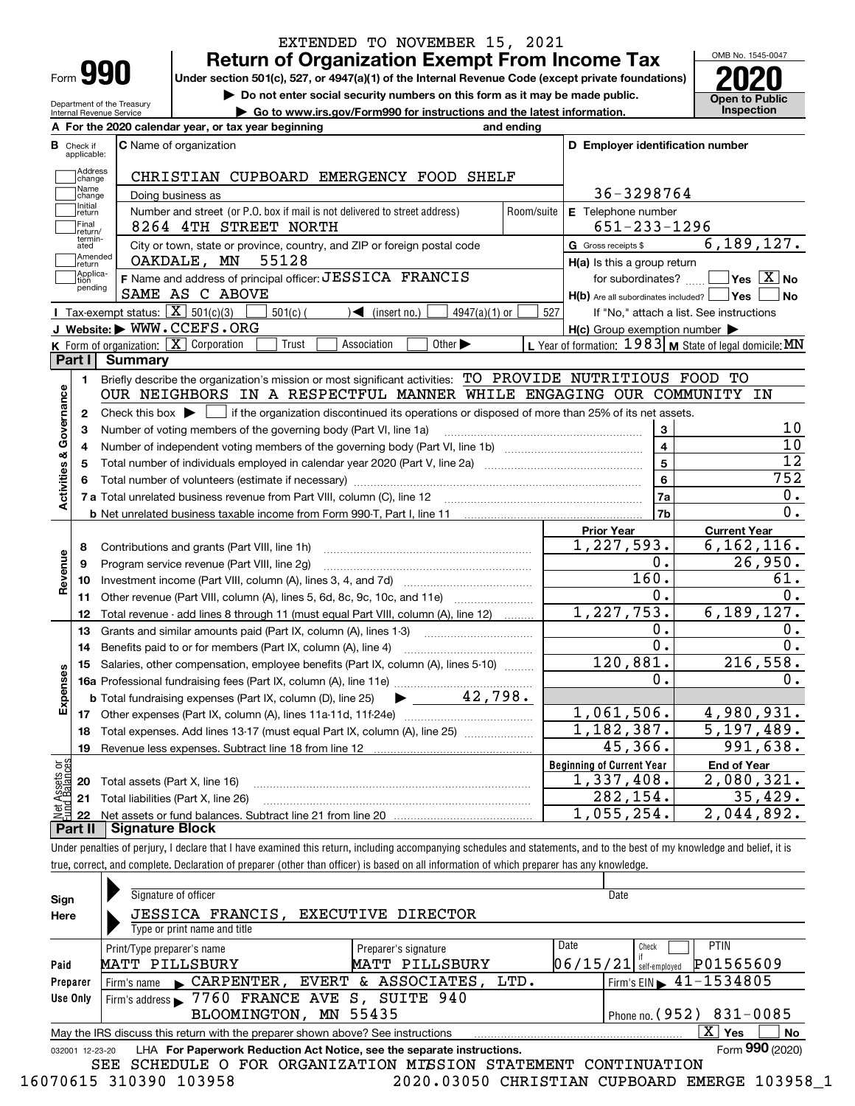| Form |  |
|------|--|

## **Return of Organization Exempt From Income Tax** EXTENDED TO NOVEMBER 15, 2021

**Under section 501(c), 527, or 4947(a)(1) of the Internal Revenue Code (except private foundations) 2020**

**| Do not enter social security numbers on this form as it may be made public.**

**| Go to www.irs.gov/Form990 for instructions and the latest information. Inspection**



Department of the Treasury Internal Revenue Service

| <b>B</b> Check if<br>applicable: | <b>C</b> Name of organization                                                                                                                      |                    | D Employer identification number                          |                                          |
|----------------------------------|----------------------------------------------------------------------------------------------------------------------------------------------------|--------------------|-----------------------------------------------------------|------------------------------------------|
| Address<br>change                | CHRISTIAN CUPBOARD EMERGENCY FOOD SHELF                                                                                                            |                    |                                                           |                                          |
| Name<br>change                   | Doing business as                                                                                                                                  | 36-3298764         |                                                           |                                          |
| Initial<br>return                | Number and street (or P.O. box if mail is not delivered to street address)                                                                         | Room/suite         | E Telephone number                                        |                                          |
| Final<br>return/                 | 8264 4TH STREET NORTH                                                                                                                              | $651 - 233 - 1296$ |                                                           |                                          |
| termin-<br>ated                  | City or town, state or province, country, and ZIP or foreign postal code                                                                           |                    | G Gross receipts \$                                       | 6, 189, 127.                             |
| Amended<br>return                | OAKDALE, MN<br>55128                                                                                                                               |                    | H(a) Is this a group return                               |                                          |
| Applica-<br>tion                 | F Name and address of principal officer: JESSICA FRANCIS                                                                                           |                    | for subordinates? $\Box$                                  | $\exists$ Yes $\boxed{\text{X}}$ No      |
| pending                          | SAME AS C ABOVE                                                                                                                                    |                    | $H(b)$ Are all subordinates included? $\Box$ Yes          | l No                                     |
|                                  | Tax-exempt status: $\boxed{\mathbf{X}}$ 501(c)(3)<br>4947(a)(1) or<br>$501(c)$ (<br>$\sqrt{\bullet}$ (insert no.)                                  | 527                |                                                           | If "No," attach a list. See instructions |
|                                  | J Website: WWW.CCEFS.ORG                                                                                                                           |                    | $H(c)$ Group exemption number $\blacktriangleright$       |                                          |
|                                  | K Form of organization: X Corporation<br>Other $\blacktriangleright$<br>Trust<br>Association                                                       |                    | L Year of formation: $1983$ M State of legal domicile: MN |                                          |
| Part I                           | <b>Summary</b>                                                                                                                                     |                    |                                                           |                                          |
| 1.                               | Briefly describe the organization's mission or most significant activities: TO PROVIDE NUTRITIOUS FOOD TO                                          |                    |                                                           |                                          |
|                                  | OUR NEIGHBORS IN A RESPECTFUL MANNER WHILE ENGAGING OUR COMMUNITY IN                                                                               |                    |                                                           |                                          |
| 2                                | Check this box $\triangleright$ $\blacksquare$ if the organization discontinued its operations or disposed of more than 25% of its net assets.     |                    |                                                           |                                          |
| Governance<br>З                  | Number of voting members of the governing body (Part VI, line 1a)                                                                                  |                    | 3                                                         | 10                                       |
| 4                                |                                                                                                                                                    |                    | $\overline{\mathbf{4}}$                                   | 10                                       |
| 5                                |                                                                                                                                                    | 5                  | 12                                                        |                                          |
| <b>Activities &amp;</b><br>6     |                                                                                                                                                    | 6                  | 752                                                       |                                          |
|                                  |                                                                                                                                                    | 7a                 | $0$ .                                                     |                                          |
|                                  |                                                                                                                                                    |                    | 7b                                                        | 0.                                       |
|                                  |                                                                                                                                                    |                    | <b>Prior Year</b><br>1,227,593.                           | <b>Current Year</b>                      |
| 8                                | Contributions and grants (Part VIII, line 1h)                                                                                                      |                    | 0.                                                        | 6, 162, 116.<br>26,950.                  |
| Revenue<br>9                     | Program service revenue (Part VIII, line 2g)                                                                                                       |                    | $\overline{1}60.$                                         | 61.                                      |
| 10                               |                                                                                                                                                    |                    | $0$ .                                                     | 0.                                       |
| 11                               | Other revenue (Part VIII, column (A), lines 5, 6d, 8c, 9c, 10c, and 11e)                                                                           |                    | 1,227,753.                                                | 6, 189, 127.                             |
| 12                               | Total revenue - add lines 8 through 11 (must equal Part VIII, column (A), line 12)                                                                 |                    | 0.                                                        | $0$ .                                    |
| 13                               | Grants and similar amounts paid (Part IX, column (A), lines 1-3)                                                                                   |                    | 0.                                                        | 0.                                       |
| 14                               | Benefits paid to or for members (Part IX, column (A), line 4)<br>Salaries, other compensation, employee benefits (Part IX, column (A), lines 5-10) |                    | 120,881.                                                  | 216,558.                                 |
| 15<br>Expenses                   |                                                                                                                                                    |                    | 0.                                                        | $0$ .                                    |
|                                  | <b>b</b> Total fundraising expenses (Part IX, column (D), line 25) $\bullet$ _ 42, 798.                                                            |                    |                                                           |                                          |
| 17                               |                                                                                                                                                    |                    | 1,061,506.                                                | 4,980,931.                               |
| 18                               | Total expenses. Add lines 13-17 (must equal Part IX, column (A), line 25)                                                                          |                    | 1,182,387.                                                | 5,197,489.                               |
|                                  | 19 Revenue less expenses. Subtract line 18 from line 12                                                                                            |                    | 45,366.                                                   | $\overline{991,638}$ .                   |
|                                  |                                                                                                                                                    |                    | <b>Beginning of Current Year</b>                          | <b>End of Year</b>                       |
| Assets or<br>1Balances<br>20     | Total assets (Part X, line 16)                                                                                                                     |                    | 1,337,408.                                                | 2,080,321.                               |
| 21                               | Total liabilities (Part X, line 26)                                                                                                                |                    | 282,154.                                                  | 35,429.                                  |
|                                  |                                                                                                                                                    |                    | 1,055,254.                                                | 2,044,892.                               |
| 22                               |                                                                                                                                                    |                    |                                                           |                                          |

| Sign<br>Here    | Signature of officer<br>JESSICA FRANCIS, EXECUTIVE DIRECTOR<br>Type or print name and title        |                      | Date                                        |  |  |  |  |  |
|-----------------|----------------------------------------------------------------------------------------------------|----------------------|---------------------------------------------|--|--|--|--|--|
|                 | Print/Type preparer's name                                                                         | Preparer's signature | Date<br><b>PTIN</b><br>Check                |  |  |  |  |  |
| Paid            | MATT PILLSBURY                                                                                     | MATT PILLSBURY       | P01565609<br> 06/15/21 <br>self-emploved    |  |  |  |  |  |
| Preparer        | Firm's name CARPENTER, EVERT & ASSOCIATES, LTD.                                                    |                      | Firm's EIN $\blacktriangleright$ 41-1534805 |  |  |  |  |  |
| Use Only        | Firm's address > 7760 FRANCE AVE S, SUITE 940                                                      |                      |                                             |  |  |  |  |  |
|                 | Phone no. (952) 831-0085<br>BLOOMINGTON, MN 55435                                                  |                      |                                             |  |  |  |  |  |
|                 | X.<br>Yes<br>No<br>May the IRS discuss this return with the preparer shown above? See instructions |                      |                                             |  |  |  |  |  |
| 032001 12-23-20 | LHA For Paperwork Reduction Act Notice, see the separate instructions.                             |                      | Form 990 (2020)                             |  |  |  |  |  |
|                 | SEE SCHEDULE O FOR ORGANIZATION MISSION STATEMENT CONTINUATION                                     |                      |                                             |  |  |  |  |  |

16070615 310390 103958 2020.03050 CHRISTIAN CUPBOARD EMERGE 103958\_1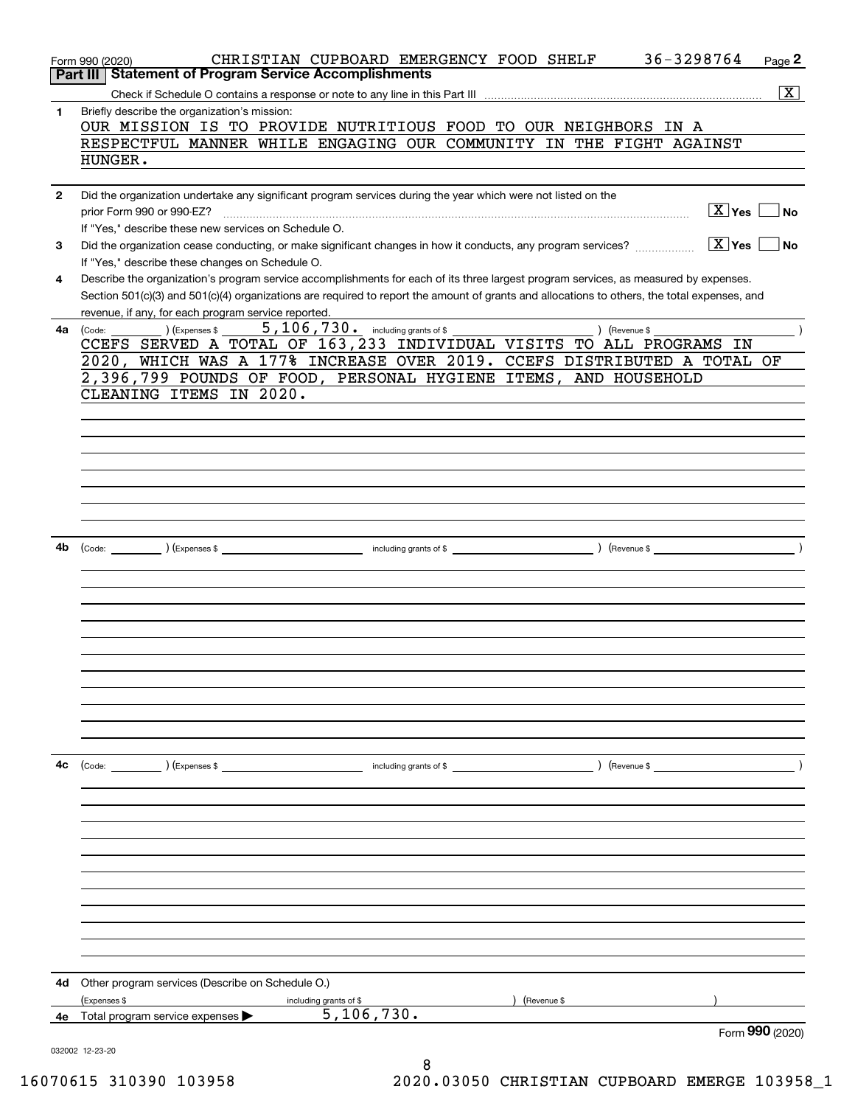|              | 36-3298764<br>CHRISTIAN CUPBOARD EMERGENCY FOOD SHELF<br>$Page$ 2<br>Form 990 (2020)                                                                      |
|--------------|-----------------------------------------------------------------------------------------------------------------------------------------------------------|
|              | <b>Statement of Program Service Accomplishments</b><br>Part III I                                                                                         |
|              | $\boxed{\text{X}}$                                                                                                                                        |
| 1            | Briefly describe the organization's mission:<br>OUR MISSION IS TO PROVIDE NUTRITIOUS FOOD TO OUR NEIGHBORS IN A                                           |
|              | RESPECTFUL MANNER WHILE ENGAGING OUR COMMUNITY IN THE FIGHT AGAINST                                                                                       |
|              | HUNGER.                                                                                                                                                   |
|              |                                                                                                                                                           |
| $\mathbf{2}$ | Did the organization undertake any significant program services during the year which were not listed on the                                              |
|              | $X$ Yes $\lfloor$<br><b>No</b><br>prior Form 990 or 990-EZ?                                                                                               |
|              | If "Yes," describe these new services on Schedule O.                                                                                                      |
| 3            | $\boxed{\text{X}}$ Yes $\boxed{\ }$<br>No<br>Did the organization cease conducting, or make significant changes in how it conducts, any program services? |
|              | If "Yes," describe these changes on Schedule O.                                                                                                           |
| 4            | Describe the organization's program service accomplishments for each of its three largest program services, as measured by expenses.                      |
|              | Section 501(c)(3) and 501(c)(4) organizations are required to report the amount of grants and allocations to others, the total expenses, and              |
|              | revenue, if any, for each program service reported.                                                                                                       |
| 4a           | $(\text{Expenses }$<br>) (Revenue \$<br>(Code:                                                                                                            |
|              | CCEFS SERVED A TOTAL OF 163,233 INDIVIDUAL VISITS TO ALL PROGRAMS IN                                                                                      |
|              | 2020, WHICH WAS A 177% INCREASE OVER 2019. CCEFS DISTRIBUTED A TOTAL OF                                                                                   |
|              | 2,396,799 POUNDS OF FOOD, PERSONAL HYGIENE ITEMS, AND HOUSEHOLD                                                                                           |
|              | CLEANING ITEMS IN 2020.                                                                                                                                   |
|              |                                                                                                                                                           |
|              |                                                                                                                                                           |
|              |                                                                                                                                                           |
|              |                                                                                                                                                           |
|              |                                                                                                                                                           |
|              |                                                                                                                                                           |
|              |                                                                                                                                                           |
|              |                                                                                                                                                           |
| 4b           |                                                                                                                                                           |
|              |                                                                                                                                                           |
|              |                                                                                                                                                           |
|              |                                                                                                                                                           |
|              |                                                                                                                                                           |
|              |                                                                                                                                                           |
|              |                                                                                                                                                           |
|              |                                                                                                                                                           |
|              |                                                                                                                                                           |
|              |                                                                                                                                                           |
|              |                                                                                                                                                           |
|              |                                                                                                                                                           |
|              |                                                                                                                                                           |
| 4c           | (Code: ) (Expenses \$<br>(Revenue \$<br>including grants of \$                                                                                            |
|              |                                                                                                                                                           |
|              |                                                                                                                                                           |
|              |                                                                                                                                                           |
|              |                                                                                                                                                           |
|              |                                                                                                                                                           |
|              |                                                                                                                                                           |
|              |                                                                                                                                                           |
|              |                                                                                                                                                           |
|              |                                                                                                                                                           |
|              |                                                                                                                                                           |
|              |                                                                                                                                                           |
| 4d           | Other program services (Describe on Schedule O.)                                                                                                          |
|              | (Expenses \$<br>(Revenue \$<br>including grants of \$                                                                                                     |
| 4е           | 5, 106, 730.<br>Total program service expenses >                                                                                                          |
|              | Form 990 (2020)                                                                                                                                           |
|              | 032002 12-23-20                                                                                                                                           |
|              | 8                                                                                                                                                         |

16070615 310390 103958 2020.03050 CHRISTIAN CUPBOARD EMERGE 103958\_1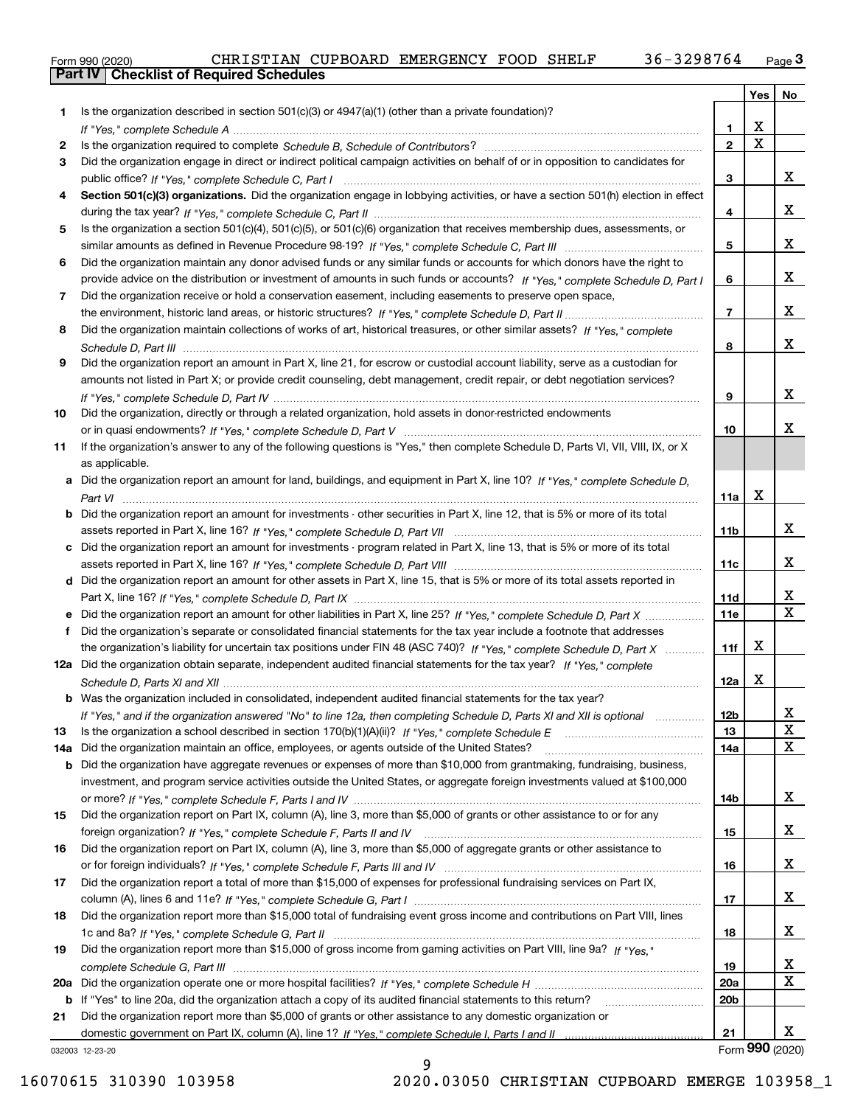| Form 990 (2020) |                                                  |  | CHRISTIAN CUPBOARD EMERGENCY FOOD SHELF |  | 36-3298764 | نة Page |
|-----------------|--------------------------------------------------|--|-----------------------------------------|--|------------|---------|
|                 | <b>Part IV   Checklist of Required Schedules</b> |  |                                         |  |            |         |

|     |                                                                                                                                                                                                                                                     |                 | Yes             | No               |
|-----|-----------------------------------------------------------------------------------------------------------------------------------------------------------------------------------------------------------------------------------------------------|-----------------|-----------------|------------------|
| 1.  | Is the organization described in section $501(c)(3)$ or $4947(a)(1)$ (other than a private foundation)?                                                                                                                                             |                 |                 |                  |
|     |                                                                                                                                                                                                                                                     | $\mathbf{1}$    | х               |                  |
| 2   |                                                                                                                                                                                                                                                     | $\mathbf{2}$    | $\mathbf X$     |                  |
| 3   | Did the organization engage in direct or indirect political campaign activities on behalf of or in opposition to candidates for                                                                                                                     |                 |                 |                  |
|     |                                                                                                                                                                                                                                                     | 3               |                 | x                |
| 4   | Section 501(c)(3) organizations. Did the organization engage in lobbying activities, or have a section 501(h) election in effect                                                                                                                    |                 |                 |                  |
|     |                                                                                                                                                                                                                                                     | 4               |                 | x                |
| 5   | Is the organization a section 501(c)(4), 501(c)(5), or 501(c)(6) organization that receives membership dues, assessments, or                                                                                                                        |                 |                 |                  |
|     |                                                                                                                                                                                                                                                     | 5               |                 | x                |
| 6   | Did the organization maintain any donor advised funds or any similar funds or accounts for which donors have the right to                                                                                                                           |                 |                 | x                |
|     | provide advice on the distribution or investment of amounts in such funds or accounts? If "Yes," complete Schedule D, Part I                                                                                                                        | 6               |                 |                  |
| 7   | Did the organization receive or hold a conservation easement, including easements to preserve open space,                                                                                                                                           | $\overline{7}$  |                 | x                |
| 8   | Did the organization maintain collections of works of art, historical treasures, or other similar assets? If "Yes," complete                                                                                                                        |                 |                 |                  |
|     |                                                                                                                                                                                                                                                     | 8               |                 | x                |
| 9   | Did the organization report an amount in Part X, line 21, for escrow or custodial account liability, serve as a custodian for                                                                                                                       |                 |                 |                  |
|     | amounts not listed in Part X; or provide credit counseling, debt management, credit repair, or debt negotiation services?                                                                                                                           |                 |                 |                  |
|     |                                                                                                                                                                                                                                                     | 9               |                 | x                |
| 10  | Did the organization, directly or through a related organization, hold assets in donor-restricted endowments                                                                                                                                        |                 |                 |                  |
|     |                                                                                                                                                                                                                                                     | 10              |                 | x                |
| 11  | If the organization's answer to any of the following questions is "Yes," then complete Schedule D, Parts VI, VII, VIII, IX, or X                                                                                                                    |                 |                 |                  |
|     | as applicable.                                                                                                                                                                                                                                      |                 |                 |                  |
|     | a Did the organization report an amount for land, buildings, and equipment in Part X, line 10? If "Yes," complete Schedule D,                                                                                                                       |                 |                 |                  |
|     |                                                                                                                                                                                                                                                     | 11a             | x               |                  |
|     | <b>b</b> Did the organization report an amount for investments - other securities in Part X, line 12, that is 5% or more of its total                                                                                                               |                 |                 |                  |
|     |                                                                                                                                                                                                                                                     | 11 <sub>b</sub> |                 | x                |
|     | c Did the organization report an amount for investments - program related in Part X, line 13, that is 5% or more of its total                                                                                                                       |                 |                 |                  |
|     |                                                                                                                                                                                                                                                     | 11c             |                 | x                |
|     | d Did the organization report an amount for other assets in Part X, line 15, that is 5% or more of its total assets reported in                                                                                                                     |                 |                 |                  |
|     |                                                                                                                                                                                                                                                     | 11d             |                 | x<br>$\mathbf X$ |
|     | e Did the organization report an amount for other liabilities in Part X, line 25? If "Yes," complete Schedule D, Part X                                                                                                                             | <b>11e</b>      |                 |                  |
|     | f Did the organization's separate or consolidated financial statements for the tax year include a footnote that addresses<br>the organization's liability for uncertain tax positions under FIN 48 (ASC 740)? If "Yes," complete Schedule D, Part X | 11f             | x               |                  |
|     | 12a Did the organization obtain separate, independent audited financial statements for the tax year? If "Yes," complete                                                                                                                             |                 |                 |                  |
|     |                                                                                                                                                                                                                                                     | 12a             | X               |                  |
|     | <b>b</b> Was the organization included in consolidated, independent audited financial statements for the tax year?                                                                                                                                  |                 |                 |                  |
|     | If "Yes," and if the organization answered "No" to line 12a, then completing Schedule D, Parts XI and XII is optional manum                                                                                                                         | 12 <sub>b</sub> |                 | x                |
| 13  |                                                                                                                                                                                                                                                     | 13              |                 | X                |
| 14a | Did the organization maintain an office, employees, or agents outside of the United States?                                                                                                                                                         | <b>14a</b>      |                 | X                |
|     | b Did the organization have aggregate revenues or expenses of more than \$10,000 from grantmaking, fundraising, business,                                                                                                                           |                 |                 |                  |
|     | investment, and program service activities outside the United States, or aggregate foreign investments valued at \$100,000                                                                                                                          |                 |                 |                  |
|     |                                                                                                                                                                                                                                                     | 14b             |                 | x                |
| 15  | Did the organization report on Part IX, column (A), line 3, more than \$5,000 of grants or other assistance to or for any                                                                                                                           |                 |                 |                  |
|     |                                                                                                                                                                                                                                                     | 15              |                 | x                |
| 16  | Did the organization report on Part IX, column (A), line 3, more than \$5,000 of aggregate grants or other assistance to                                                                                                                            |                 |                 |                  |
|     |                                                                                                                                                                                                                                                     | 16              |                 | X                |
| 17  | Did the organization report a total of more than \$15,000 of expenses for professional fundraising services on Part IX,                                                                                                                             |                 |                 |                  |
|     |                                                                                                                                                                                                                                                     | 17              |                 | X                |
| 18  | Did the organization report more than \$15,000 total of fundraising event gross income and contributions on Part VIII, lines                                                                                                                        |                 |                 | x                |
| 19  | Did the organization report more than \$15,000 of gross income from gaming activities on Part VIII, line 9a? If "Yes."                                                                                                                              | 18              |                 |                  |
|     |                                                                                                                                                                                                                                                     | 19              |                 | x                |
| 20a |                                                                                                                                                                                                                                                     | 20a             |                 | X                |
| b   | If "Yes" to line 20a, did the organization attach a copy of its audited financial statements to this return?                                                                                                                                        | 20 <sub>b</sub> |                 |                  |
| 21  | Did the organization report more than \$5,000 of grants or other assistance to any domestic organization or                                                                                                                                         |                 |                 |                  |
|     |                                                                                                                                                                                                                                                     | 21              |                 | x                |
|     | 032003 12-23-20                                                                                                                                                                                                                                     |                 | Form 990 (2020) |                  |

032003 12-23-20

9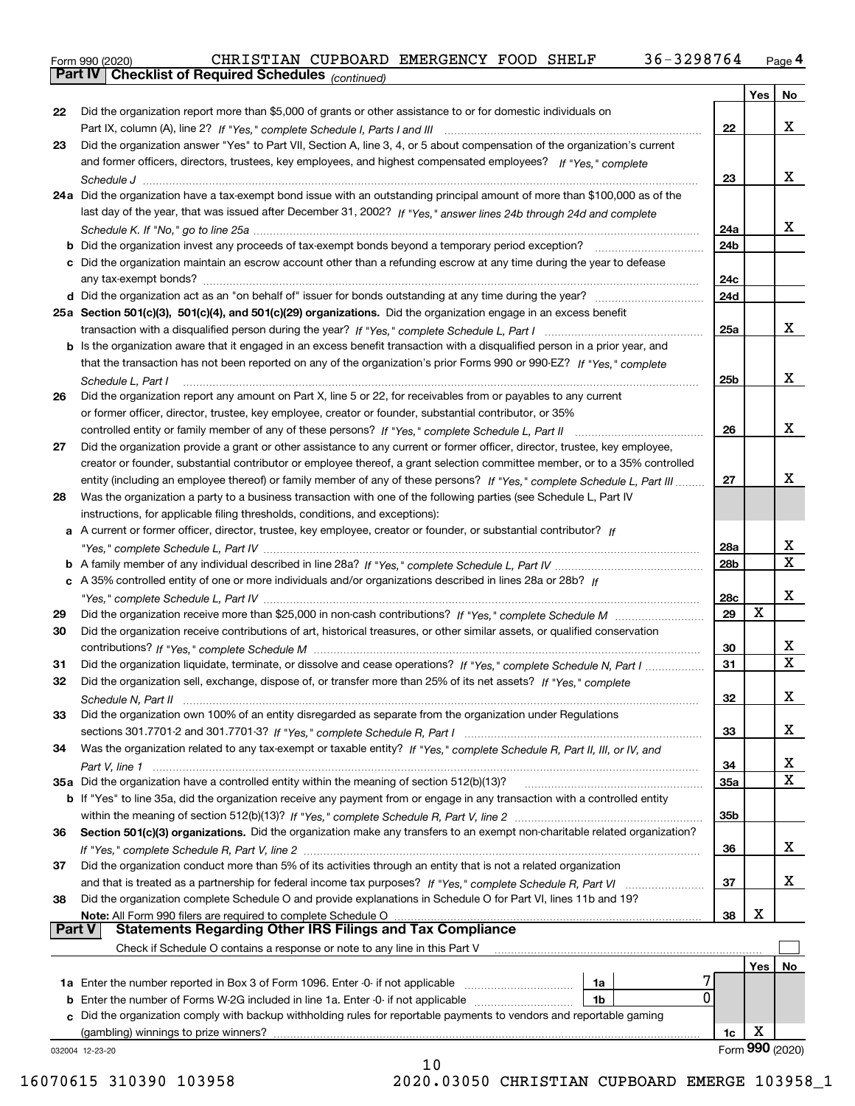Form 990 (2020) CHRISTIAN CUPBOARD EMERGENCY FOOD SHELF 36-3298764 <sub>Page</sub> 4<br>**Part IV | Checklist of Required Schedules** <sub>(continued)</sub>

*(continued)*

|        |                                                                                                                                                                                                                             |                 | Yes | No                           |
|--------|-----------------------------------------------------------------------------------------------------------------------------------------------------------------------------------------------------------------------------|-----------------|-----|------------------------------|
| 22     | Did the organization report more than \$5,000 of grants or other assistance to or for domestic individuals on                                                                                                               |                 |     |                              |
|        |                                                                                                                                                                                                                             | 22              |     | X                            |
| 23     | Did the organization answer "Yes" to Part VII, Section A, line 3, 4, or 5 about compensation of the organization's current                                                                                                  |                 |     |                              |
|        | and former officers, directors, trustees, key employees, and highest compensated employees? If "Yes," complete                                                                                                              |                 |     |                              |
|        |                                                                                                                                                                                                                             | 23              |     | X                            |
|        | 24a Did the organization have a tax-exempt bond issue with an outstanding principal amount of more than \$100,000 as of the                                                                                                 |                 |     |                              |
|        | last day of the year, that was issued after December 31, 2002? If "Yes," answer lines 24b through 24d and complete                                                                                                          |                 |     | x                            |
|        |                                                                                                                                                                                                                             | 24a             |     |                              |
|        | Did the organization invest any proceeds of tax-exempt bonds beyond a temporary period exception?<br>c Did the organization maintain an escrow account other than a refunding escrow at any time during the year to defease | 24b             |     |                              |
|        |                                                                                                                                                                                                                             | 24c             |     |                              |
|        |                                                                                                                                                                                                                             | 24d             |     |                              |
|        | 25a Section 501(c)(3), 501(c)(4), and 501(c)(29) organizations. Did the organization engage in an excess benefit                                                                                                            |                 |     |                              |
|        |                                                                                                                                                                                                                             | 25a             |     | x                            |
|        | b Is the organization aware that it engaged in an excess benefit transaction with a disqualified person in a prior year, and                                                                                                |                 |     |                              |
|        | that the transaction has not been reported on any of the organization's prior Forms 990 or 990-EZ? If "Yes," complete                                                                                                       |                 |     |                              |
|        | Schedule L, Part I                                                                                                                                                                                                          | 25 <sub>b</sub> |     | x                            |
| 26     | Did the organization report any amount on Part X, line 5 or 22, for receivables from or payables to any current                                                                                                             |                 |     |                              |
|        | or former officer, director, trustee, key employee, creator or founder, substantial contributor, or 35%                                                                                                                     |                 |     |                              |
|        | controlled entity or family member of any of these persons? If "Yes," complete Schedule L, Part II                                                                                                                          | 26              |     | x                            |
| 27     | Did the organization provide a grant or other assistance to any current or former officer, director, trustee, key employee,                                                                                                 |                 |     |                              |
|        | creator or founder, substantial contributor or employee thereof, a grant selection committee member, or to a 35% controlled                                                                                                 |                 |     |                              |
|        | entity (including an employee thereof) or family member of any of these persons? If "Yes," complete Schedule L, Part III                                                                                                    | 27              |     | x                            |
| 28     | Was the organization a party to a business transaction with one of the following parties (see Schedule L, Part IV                                                                                                           |                 |     |                              |
|        | instructions, for applicable filing thresholds, conditions, and exceptions):                                                                                                                                                |                 |     |                              |
| a      | A current or former officer, director, trustee, key employee, creator or founder, or substantial contributor? If                                                                                                            |                 |     |                              |
|        |                                                                                                                                                                                                                             | 28a             |     | х<br>$\overline{\mathbf{x}}$ |
|        | c A 35% controlled entity of one or more individuals and/or organizations described in lines 28a or 28b? If                                                                                                                 | 28b             |     |                              |
|        |                                                                                                                                                                                                                             | 28c             |     | х                            |
| 29     |                                                                                                                                                                                                                             | 29              | X   |                              |
| 30     | Did the organization receive contributions of art, historical treasures, or other similar assets, or qualified conservation                                                                                                 |                 |     |                              |
|        |                                                                                                                                                                                                                             | 30              |     | х                            |
| 31     | Did the organization liquidate, terminate, or dissolve and cease operations? If "Yes," complete Schedule N, Part I                                                                                                          | 31              |     | X                            |
| 32     | Did the organization sell, exchange, dispose of, or transfer more than 25% of its net assets? If "Yes," complete                                                                                                            |                 |     |                              |
|        |                                                                                                                                                                                                                             | 32              |     | x                            |
| 33     | Did the organization own 100% of an entity disregarded as separate from the organization under Regulations                                                                                                                  |                 |     |                              |
|        |                                                                                                                                                                                                                             | 33              |     | x                            |
| 34     | Was the organization related to any tax-exempt or taxable entity? If "Yes," complete Schedule R, Part II, III, or IV, and                                                                                                   |                 |     |                              |
|        |                                                                                                                                                                                                                             | 34              |     | x                            |
|        | 35a Did the organization have a controlled entity within the meaning of section 512(b)(13)?                                                                                                                                 | 35a             |     | X                            |
|        | b If "Yes" to line 35a, did the organization receive any payment from or engage in any transaction with a controlled entity                                                                                                 |                 |     |                              |
|        |                                                                                                                                                                                                                             | 35b             |     |                              |
| 36     | Section 501(c)(3) organizations. Did the organization make any transfers to an exempt non-charitable related organization?                                                                                                  |                 |     |                              |
|        |                                                                                                                                                                                                                             | 36              |     | x                            |
| 37     | Did the organization conduct more than 5% of its activities through an entity that is not a related organization                                                                                                            |                 |     | x                            |
| 38     | Did the organization complete Schedule O and provide explanations in Schedule O for Part VI, lines 11b and 19?                                                                                                              | 37              |     |                              |
|        | Note: All Form 990 filers are required to complete Schedule O                                                                                                                                                               | 38              | х   |                              |
| Part V | <b>Statements Regarding Other IRS Filings and Tax Compliance</b>                                                                                                                                                            |                 |     |                              |
|        | Check if Schedule O contains a response or note to any line in this Part V                                                                                                                                                  |                 |     |                              |
|        |                                                                                                                                                                                                                             |                 | Yes | No                           |
|        | 1a                                                                                                                                                                                                                          |                 |     |                              |
| b      | 0<br>Enter the number of Forms W-2G included in line 1a. Enter -0- if not applicable<br>1b                                                                                                                                  |                 |     |                              |
| c.     | Did the organization comply with backup withholding rules for reportable payments to vendors and reportable gaming                                                                                                          |                 |     |                              |
|        | (gambling) winnings to prize winners?                                                                                                                                                                                       | 1c              | х   |                              |
|        | 032004 12-23-20                                                                                                                                                                                                             |                 |     | Form 990 (2020)              |
|        | 10                                                                                                                                                                                                                          |                 |     |                              |

 <sup>16070615 310390 103958 2020.03050</sup> CHRISTIAN CUPBOARD EMERGE 103958\_1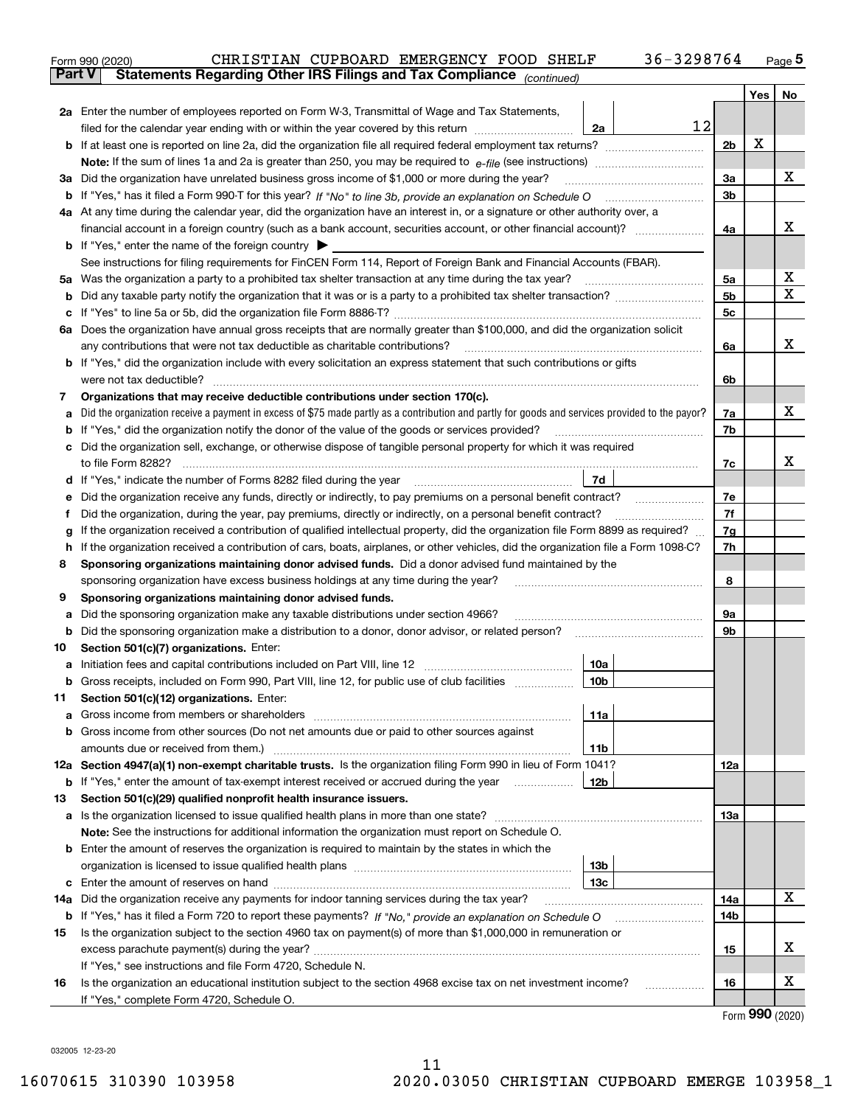|               | 36-3298764<br>CHRISTIAN CUPBOARD EMERGENCY FOOD SHELF<br>Form 990 (2020)                                                                          |                |     | $_{\text{Page}}$ 5 |  |  |  |
|---------------|---------------------------------------------------------------------------------------------------------------------------------------------------|----------------|-----|--------------------|--|--|--|
| <b>Part V</b> | Statements Regarding Other IRS Filings and Tax Compliance (continued)                                                                             |                |     |                    |  |  |  |
|               |                                                                                                                                                   |                | Yes | No                 |  |  |  |
|               | 2a Enter the number of employees reported on Form W-3, Transmittal of Wage and Tax Statements,                                                    |                |     |                    |  |  |  |
|               | 12<br>filed for the calendar year ending with or within the year covered by this return <i>manumumumum</i><br>2a                                  |                |     |                    |  |  |  |
|               |                                                                                                                                                   | 2b             | х   |                    |  |  |  |
|               |                                                                                                                                                   |                |     |                    |  |  |  |
|               | 3a Did the organization have unrelated business gross income of \$1,000 or more during the year?                                                  | 3a             |     | х                  |  |  |  |
|               |                                                                                                                                                   | 3b             |     |                    |  |  |  |
|               | 4a At any time during the calendar year, did the organization have an interest in, or a signature or other authority over, a                      |                |     |                    |  |  |  |
|               |                                                                                                                                                   | 4a             |     | х                  |  |  |  |
|               | <b>b</b> If "Yes," enter the name of the foreign country $\blacktriangleright$                                                                    |                |     |                    |  |  |  |
|               | See instructions for filing requirements for FinCEN Form 114, Report of Foreign Bank and Financial Accounts (FBAR).                               |                |     |                    |  |  |  |
|               | 5a Was the organization a party to a prohibited tax shelter transaction at any time during the tax year?                                          | 5а             |     | х                  |  |  |  |
|               |                                                                                                                                                   | 5 <sub>b</sub> |     | X                  |  |  |  |
|               |                                                                                                                                                   | 5c             |     |                    |  |  |  |
|               | 6a Does the organization have annual gross receipts that are normally greater than \$100,000, and did the organization solicit                    |                |     |                    |  |  |  |
|               | any contributions that were not tax deductible as charitable contributions?                                                                       | 6a             |     | х                  |  |  |  |
|               | <b>b</b> If "Yes," did the organization include with every solicitation an express statement that such contributions or gifts                     |                |     |                    |  |  |  |
|               | were not tax deductible?                                                                                                                          | 6b             |     |                    |  |  |  |
| 7             | Organizations that may receive deductible contributions under section 170(c).                                                                     |                |     |                    |  |  |  |
|               | a Did the organization receive a payment in excess of \$75 made partly as a contribution and partly for goods and services provided to the payor? | 7a             |     | х                  |  |  |  |
|               | <b>b</b> If "Yes," did the organization notify the donor of the value of the goods or services provided?                                          | 7b             |     |                    |  |  |  |
|               | c Did the organization sell, exchange, or otherwise dispose of tangible personal property for which it was required                               |                |     |                    |  |  |  |
|               |                                                                                                                                                   | 7c             |     | х                  |  |  |  |
|               | 7d                                                                                                                                                |                |     |                    |  |  |  |
| е             | Did the organization receive any funds, directly or indirectly, to pay premiums on a personal benefit contract?                                   | 7е             |     |                    |  |  |  |
| Ť.            | Did the organization, during the year, pay premiums, directly or indirectly, on a personal benefit contract?                                      | 7f             |     |                    |  |  |  |
| g             | If the organization received a contribution of qualified intellectual property, did the organization file Form 8899 as required?                  | 7g             |     |                    |  |  |  |
|               | h If the organization received a contribution of cars, boats, airplanes, or other vehicles, did the organization file a Form 1098-C?              | 7h             |     |                    |  |  |  |
| 8             | Sponsoring organizations maintaining donor advised funds. Did a donor advised fund maintained by the                                              |                |     |                    |  |  |  |
|               | sponsoring organization have excess business holdings at any time during the year?                                                                | 8              |     |                    |  |  |  |
| 9             | Sponsoring organizations maintaining donor advised funds.                                                                                         |                |     |                    |  |  |  |
| а             | Did the sponsoring organization make any taxable distributions under section 4966?                                                                | 9а             |     |                    |  |  |  |
|               | <b>b</b> Did the sponsoring organization make a distribution to a donor, donor advisor, or related person?                                        | 9b             |     |                    |  |  |  |
| 10            | Section 501(c)(7) organizations. Enter:                                                                                                           |                |     |                    |  |  |  |
|               | 10a                                                                                                                                               |                |     |                    |  |  |  |
|               | 10 <sub>b</sub>  <br>Gross receipts, included on Form 990, Part VIII, line 12, for public use of club facilities                                  |                |     |                    |  |  |  |
| 11            | Section 501(c)(12) organizations. Enter:                                                                                                          |                |     |                    |  |  |  |
|               | 11a                                                                                                                                               |                |     |                    |  |  |  |
|               | b Gross income from other sources (Do not net amounts due or paid to other sources against                                                        |                |     |                    |  |  |  |
|               | 11b                                                                                                                                               |                |     |                    |  |  |  |
|               | 12a Section 4947(a)(1) non-exempt charitable trusts. Is the organization filing Form 990 in lieu of Form 1041?                                    | 12a            |     |                    |  |  |  |
|               | 12b<br><b>b</b> If "Yes," enter the amount of tax-exempt interest received or accrued during the year                                             |                |     |                    |  |  |  |
| 13            | Section 501(c)(29) qualified nonprofit health insurance issuers.                                                                                  |                |     |                    |  |  |  |
|               | a Is the organization licensed to issue qualified health plans in more than one state?                                                            | 13a            |     |                    |  |  |  |
|               | Note: See the instructions for additional information the organization must report on Schedule O.                                                 |                |     |                    |  |  |  |
|               | <b>b</b> Enter the amount of reserves the organization is required to maintain by the states in which the                                         |                |     |                    |  |  |  |
|               | 13b                                                                                                                                               |                |     |                    |  |  |  |
|               | 13с                                                                                                                                               | 14a            |     | x                  |  |  |  |
| 14a           | Did the organization receive any payments for indoor tanning services during the tax year?                                                        |                |     |                    |  |  |  |
|               | b If "Yes," has it filed a Form 720 to report these payments? If "No," provide an explanation on Schedule O                                       | 14b            |     |                    |  |  |  |
| 15            | Is the organization subject to the section 4960 tax on payment(s) of more than \$1,000,000 in remuneration or                                     |                |     | x                  |  |  |  |
|               |                                                                                                                                                   | 15             |     |                    |  |  |  |
|               | If "Yes," see instructions and file Form 4720, Schedule N.                                                                                        |                |     | х                  |  |  |  |
| 16            | Is the organization an educational institution subject to the section 4968 excise tax on net investment income?                                   | 16             |     |                    |  |  |  |
|               | If "Yes," complete Form 4720, Schedule O.                                                                                                         |                |     |                    |  |  |  |

| Form 990 (2020) |  |
|-----------------|--|

032005 12-23-20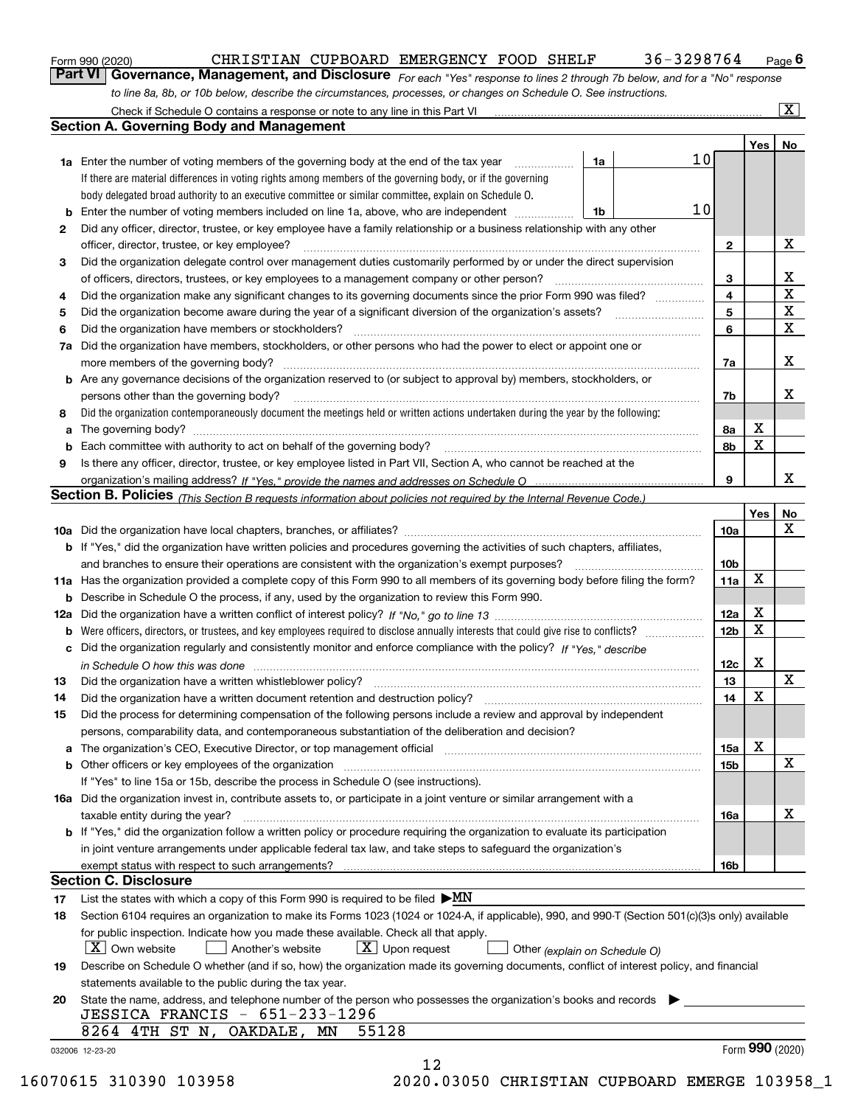|  | Form 990 (2020) |
|--|-----------------|
|  |                 |

## CHRISTIAN CUPBOARD EMERGENCY FOOD SHELF 36-3298764

*For each "Yes" response to lines 2 through 7b below, and for a "No" response to line 8a, 8b, or 10b below, describe the circumstances, processes, or changes on Schedule O. See instructions.* Form 990 (2020) **CHRISTIAN CUPBOARD EMERGENCY FOOD SHELF** 36-3298764 Page 6<br>**Part VI Governance, Management, and Disclosure** *For each "Yes" response to lines 2 through 7b below, and for a "No" response* 

|                                                                                                                                                 | Check if Schedule O contains a response or note to any line in this Part VI                                                                                           |    |    |                 |     | x               |
|-------------------------------------------------------------------------------------------------------------------------------------------------|-----------------------------------------------------------------------------------------------------------------------------------------------------------------------|----|----|-----------------|-----|-----------------|
|                                                                                                                                                 | <b>Section A. Governing Body and Management</b>                                                                                                                       |    |    |                 |     |                 |
|                                                                                                                                                 |                                                                                                                                                                       |    |    |                 | Yes | No              |
|                                                                                                                                                 | 1a Enter the number of voting members of the governing body at the end of the tax year                                                                                | 1a | 10 |                 |     |                 |
|                                                                                                                                                 | If there are material differences in voting rights among members of the governing body, or if the governing                                                           |    |    |                 |     |                 |
|                                                                                                                                                 | body delegated broad authority to an executive committee or similar committee, explain on Schedule O.                                                                 |    |    |                 |     |                 |
| b                                                                                                                                               | Enter the number of voting members included on line 1a, above, who are independent                                                                                    | 1b | 10 |                 |     |                 |
| 2                                                                                                                                               | Did any officer, director, trustee, or key employee have a family relationship or a business relationship with any other                                              |    |    |                 |     |                 |
|                                                                                                                                                 | officer, director, trustee, or key employee?                                                                                                                          |    |    | 2               |     | X               |
| 3                                                                                                                                               | Did the organization delegate control over management duties customarily performed by or under the direct supervision                                                 |    |    |                 |     |                 |
|                                                                                                                                                 | of officers, directors, trustees, or key employees to a management company or other person?                                                                           |    |    | 3               |     | x               |
| 4                                                                                                                                               | Did the organization make any significant changes to its governing documents since the prior Form 990 was filed?                                                      |    |    | 4               |     | $\mathbf X$     |
|                                                                                                                                                 |                                                                                                                                                                       |    |    | 5               |     | $\mathbf X$     |
| 5<br>6                                                                                                                                          | Did the organization have members or stockholders?                                                                                                                    |    |    | 6               |     | $\mathbf X$     |
|                                                                                                                                                 |                                                                                                                                                                       |    |    |                 |     |                 |
| 7a                                                                                                                                              | Did the organization have members, stockholders, or other persons who had the power to elect or appoint one or                                                        |    |    |                 |     | х               |
|                                                                                                                                                 | more members of the governing body?                                                                                                                                   |    |    | 7a              |     |                 |
| b                                                                                                                                               | Are any governance decisions of the organization reserved to (or subject to approval by) members, stockholders, or                                                    |    |    |                 |     |                 |
|                                                                                                                                                 | persons other than the governing body?                                                                                                                                |    |    | 7b              |     | х               |
| 8                                                                                                                                               | Did the organization contemporaneously document the meetings held or written actions undertaken during the year by the following:                                     |    |    |                 |     |                 |
| a                                                                                                                                               |                                                                                                                                                                       |    |    | 8a              | X   |                 |
| b                                                                                                                                               | Each committee with authority to act on behalf of the governing body?                                                                                                 |    |    | 8b              | X   |                 |
| 9                                                                                                                                               | Is there any officer, director, trustee, or key employee listed in Part VII, Section A, who cannot be reached at the                                                  |    |    |                 |     |                 |
|                                                                                                                                                 |                                                                                                                                                                       |    |    | 9               |     | x               |
|                                                                                                                                                 | <b>Section B. Policies</b> (This Section B requests information about policies not required by the Internal Revenue Code.)                                            |    |    |                 |     |                 |
|                                                                                                                                                 |                                                                                                                                                                       |    |    |                 | Yes | No              |
|                                                                                                                                                 |                                                                                                                                                                       |    |    | 10a             |     | х               |
|                                                                                                                                                 | <b>b</b> If "Yes," did the organization have written policies and procedures governing the activities of such chapters, affiliates,                                   |    |    |                 |     |                 |
|                                                                                                                                                 | and branches to ensure their operations are consistent with the organization's exempt purposes?                                                                       |    |    | 10 <sub>b</sub> |     |                 |
|                                                                                                                                                 | 11a Has the organization provided a complete copy of this Form 990 to all members of its governing body before filing the form?                                       |    |    | 11a             | X   |                 |
| b                                                                                                                                               | Describe in Schedule O the process, if any, used by the organization to review this Form 990.                                                                         |    |    |                 |     |                 |
| 12a                                                                                                                                             |                                                                                                                                                                       |    |    | 12a             | х   |                 |
| b                                                                                                                                               |                                                                                                                                                                       |    |    | 12 <sub>b</sub> | X   |                 |
| с                                                                                                                                               | Did the organization regularly and consistently monitor and enforce compliance with the policy? If "Yes." describe                                                    |    |    |                 |     |                 |
|                                                                                                                                                 | in Schedule O how this was done measured and contain an account of the state of the state of the state of the                                                         |    |    | 12c             | х   |                 |
| 13                                                                                                                                              | Did the organization have a written whistleblower policy?                                                                                                             |    |    | 13              |     | х               |
| 14                                                                                                                                              | Did the organization have a written document retention and destruction policy?                                                                                        |    |    | 14              | X   |                 |
| 15                                                                                                                                              | Did the process for determining compensation of the following persons include a review and approval by independent                                                    |    |    |                 |     |                 |
|                                                                                                                                                 | persons, comparability data, and contemporaneous substantiation of the deliberation and decision?                                                                     |    |    |                 |     |                 |
| а                                                                                                                                               | The organization's CEO, Executive Director, or top management official manufactured content of the organization's CEO, Executive Director, or top management official |    |    | 15a             | X   |                 |
| b                                                                                                                                               |                                                                                                                                                                       |    |    | 15b             |     | х               |
|                                                                                                                                                 | If "Yes" to line 15a or 15b, describe the process in Schedule O (see instructions).                                                                                   |    |    |                 |     |                 |
|                                                                                                                                                 | 16a Did the organization invest in, contribute assets to, or participate in a joint venture or similar arrangement with a                                             |    |    |                 |     |                 |
|                                                                                                                                                 | taxable entity during the year?                                                                                                                                       |    |    | 16a             |     | х               |
|                                                                                                                                                 | b If "Yes," did the organization follow a written policy or procedure requiring the organization to evaluate its participation                                        |    |    |                 |     |                 |
|                                                                                                                                                 | in joint venture arrangements under applicable federal tax law, and take steps to safequard the organization's                                                        |    |    |                 |     |                 |
|                                                                                                                                                 | exempt status with respect to such arrangements?                                                                                                                      |    |    | 16b             |     |                 |
|                                                                                                                                                 | <b>Section C. Disclosure</b>                                                                                                                                          |    |    |                 |     |                 |
| 17                                                                                                                                              | List the states with which a copy of this Form 990 is required to be filed $\blacktriangleright MN$                                                                   |    |    |                 |     |                 |
| 18                                                                                                                                              | Section 6104 requires an organization to make its Forms 1023 (1024 or 1024-A, if applicable), 990, and 990-T (Section 501(c)(3)s only) available                      |    |    |                 |     |                 |
|                                                                                                                                                 | for public inspection. Indicate how you made these available. Check all that apply.                                                                                   |    |    |                 |     |                 |
|                                                                                                                                                 | $\lfloor X \rfloor$ Own website<br>$\lfloor x \rfloor$ Upon request<br>Another's website<br>Other (explain on Schedule O)                                             |    |    |                 |     |                 |
| Describe on Schedule O whether (and if so, how) the organization made its governing documents, conflict of interest policy, and financial<br>19 |                                                                                                                                                                       |    |    |                 |     |                 |
|                                                                                                                                                 | statements available to the public during the tax year.                                                                                                               |    |    |                 |     |                 |
| 20                                                                                                                                              | State the name, address, and telephone number of the person who possesses the organization's books and records                                                        |    |    |                 |     |                 |
|                                                                                                                                                 | JESSICA FRANCIS - 651-233-1296                                                                                                                                        |    |    |                 |     |                 |
|                                                                                                                                                 | 8264 4TH ST N, OAKDALE, MN<br>55128                                                                                                                                   |    |    |                 |     |                 |
|                                                                                                                                                 | 032006 12-23-20                                                                                                                                                       |    |    |                 |     | Form 990 (2020) |
|                                                                                                                                                 | 12                                                                                                                                                                    |    |    |                 |     |                 |
|                                                                                                                                                 | <b>210200 1020FC</b>                                                                                                                                                  |    |    |                 |     |                 |

16070615 310390 103958 2020.03050 CHRISTIAN CUPBOARD EMERGE 103958\_1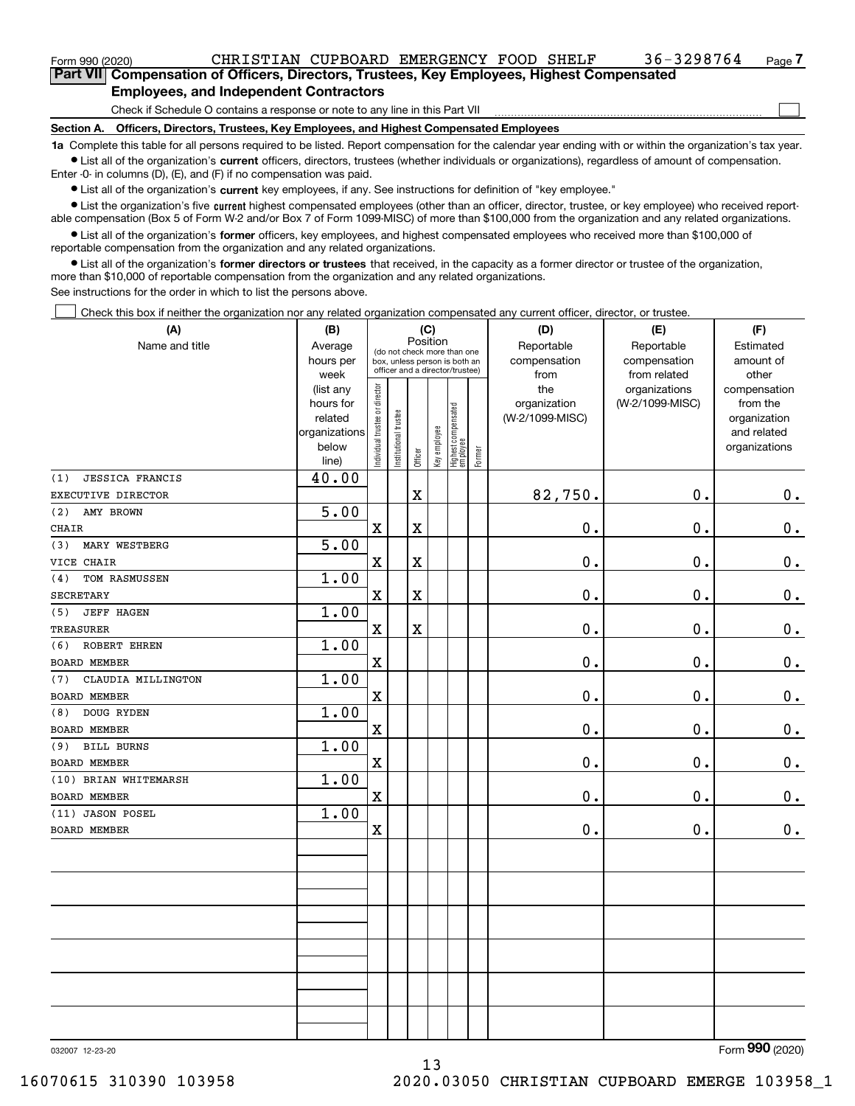| Form 990 (2020) |                                                                                            |  | CHRISTIAN CUPBOARD EMERGENCY FOOD SHELF |  | 36-3298764 | $_{Page}$ $7$ |
|-----------------|--------------------------------------------------------------------------------------------|--|-----------------------------------------|--|------------|---------------|
|                 | Part VII Compensation of Officers, Directors, Trustees, Key Employees, Highest Compensated |  |                                         |  |            |               |

### **Employees, and Independent Contractors**

Check if Schedule O contains a response or note to any line in this Part VII

**Section A. Officers, Directors, Trustees, Key Employees, and Highest Compensated Employees**

**1a**  Complete this table for all persons required to be listed. Report compensation for the calendar year ending with or within the organization's tax year. **•** List all of the organization's current officers, directors, trustees (whether individuals or organizations), regardless of amount of compensation.

Enter -0- in columns (D), (E), and (F) if no compensation was paid.

 $\bullet$  List all of the organization's  $\,$ current key employees, if any. See instructions for definition of "key employee."

**•** List the organization's five current highest compensated employees (other than an officer, director, trustee, or key employee) who received reportable compensation (Box 5 of Form W-2 and/or Box 7 of Form 1099-MISC) of more than \$100,000 from the organization and any related organizations.

**•** List all of the organization's former officers, key employees, and highest compensated employees who received more than \$100,000 of reportable compensation from the organization and any related organizations.

**former directors or trustees**  ¥ List all of the organization's that received, in the capacity as a former director or trustee of the organization, more than \$10,000 of reportable compensation from the organization and any related organizations.

See instructions for the order in which to list the persons above.

Check this box if neither the organization nor any related organization compensated any current officer, director, or trustee.  $\mathcal{L}^{\text{max}}$ 

| (A)                           | (B)               | (C)                            |                                         |                         |              |                                                                  |        | (D)             | (E)                           | (F)                   |  |  |
|-------------------------------|-------------------|--------------------------------|-----------------------------------------|-------------------------|--------------|------------------------------------------------------------------|--------|-----------------|-------------------------------|-----------------------|--|--|
| Name and title                | Average           |                                | Position<br>(do not check more than one |                         |              |                                                                  |        | Reportable      | Reportable                    | Estimated             |  |  |
|                               | hours per         |                                |                                         |                         |              | box, unless person is both an<br>officer and a director/trustee) |        | compensation    | compensation                  | amount of             |  |  |
|                               | week<br>(list any |                                |                                         |                         |              |                                                                  |        | from<br>the     | from related<br>organizations | other<br>compensation |  |  |
|                               | hours for         |                                |                                         |                         |              |                                                                  |        | organization    | (W-2/1099-MISC)               | from the              |  |  |
|                               | related           |                                |                                         |                         |              |                                                                  |        | (W-2/1099-MISC) |                               | organization          |  |  |
|                               | organizations     |                                |                                         |                         |              |                                                                  |        |                 |                               | and related           |  |  |
|                               | below             | Individual trustee or director | Institutional trustee                   |                         | Key employee | Highest compensated<br> employee                                 | Former |                 |                               | organizations         |  |  |
|                               | line)             |                                |                                         | Officer                 |              |                                                                  |        |                 |                               |                       |  |  |
| <b>JESSICA FRANCIS</b><br>(1) | 40.00             |                                |                                         |                         |              |                                                                  |        |                 |                               |                       |  |  |
| EXECUTIVE DIRECTOR            |                   |                                |                                         | X                       |              |                                                                  |        | 82,750.         | 0.                            | 0.                    |  |  |
| (2)<br>AMY BROWN              | 5.00              |                                |                                         |                         |              |                                                                  |        |                 |                               |                       |  |  |
| <b>CHAIR</b>                  |                   | $\mathbf X$                    |                                         | X                       |              |                                                                  |        | 0.              | 0.                            | $0_{.}$               |  |  |
| MARY WESTBERG<br>(3)          | 5.00              |                                |                                         |                         |              |                                                                  |        |                 |                               |                       |  |  |
| VICE CHAIR                    |                   | $\mathbf x$                    |                                         | X                       |              |                                                                  |        | 0.              | 0.                            | 0.                    |  |  |
| TOM RASMUSSEN<br>(4)          | 1.00              |                                |                                         |                         |              |                                                                  |        |                 |                               |                       |  |  |
| SECRETARY                     |                   | $\mathbf X$                    |                                         | $\overline{\textbf{X}}$ |              |                                                                  |        | 0.              | 0.                            | $0_{\cdot}$           |  |  |
| <b>JEFF HAGEN</b><br>(5)      | 1.00              |                                |                                         |                         |              |                                                                  |        |                 |                               |                       |  |  |
| <b>TREASURER</b>              |                   | $\mathbf x$                    |                                         | X                       |              |                                                                  |        | 0.              | 0.                            | 0.                    |  |  |
| ROBERT EHREN<br>(6)           | 1.00              |                                |                                         |                         |              |                                                                  |        |                 |                               |                       |  |  |
| <b>BOARD MEMBER</b>           |                   | $\mathbf X$                    |                                         |                         |              |                                                                  |        | $\mathbf 0$ .   | 0.                            | $\mathbf 0$ .         |  |  |
| CLAUDIA MILLINGTON<br>(7)     | 1.00              |                                |                                         |                         |              |                                                                  |        |                 |                               |                       |  |  |
| <b>BOARD MEMBER</b>           |                   | $\mathbf X$                    |                                         |                         |              |                                                                  |        | $0$ .           | 0.                            | $0_{.}$               |  |  |
| DOUG RYDEN<br>(8)             | 1.00              |                                |                                         |                         |              |                                                                  |        |                 |                               |                       |  |  |
| <b>BOARD MEMBER</b>           |                   | $\mathbf X$                    |                                         |                         |              |                                                                  |        | $0$ .           | 0.                            | $\mathbf 0$ .         |  |  |
| <b>BILL BURNS</b><br>(9)      | 1.00              |                                |                                         |                         |              |                                                                  |        |                 |                               |                       |  |  |
| BOARD MEMBER                  |                   | $\mathbf X$                    |                                         |                         |              |                                                                  |        | 0.              | 0.                            | $\mathbf 0$ .         |  |  |
| (10) BRIAN WHITEMARSH         | 1.00              |                                |                                         |                         |              |                                                                  |        |                 |                               |                       |  |  |
| BOARD MEMBER                  |                   | $\overline{\textbf{X}}$        |                                         |                         |              |                                                                  |        | 0.              | 0.                            | $0$ .                 |  |  |
| (11) JASON POSEL              | 1.00              |                                |                                         |                         |              |                                                                  |        |                 |                               |                       |  |  |
| BOARD MEMBER                  |                   | $\mathbf X$                    |                                         |                         |              |                                                                  |        | $0$ .           | 0.                            | $\mathbf 0$ .         |  |  |
|                               |                   |                                |                                         |                         |              |                                                                  |        |                 |                               |                       |  |  |
|                               |                   |                                |                                         |                         |              |                                                                  |        |                 |                               |                       |  |  |
|                               |                   |                                |                                         |                         |              |                                                                  |        |                 |                               |                       |  |  |
|                               |                   |                                |                                         |                         |              |                                                                  |        |                 |                               |                       |  |  |
|                               |                   |                                |                                         |                         |              |                                                                  |        |                 |                               |                       |  |  |
|                               |                   |                                |                                         |                         |              |                                                                  |        |                 |                               |                       |  |  |
|                               |                   |                                |                                         |                         |              |                                                                  |        |                 |                               |                       |  |  |
|                               |                   |                                |                                         |                         |              |                                                                  |        |                 |                               |                       |  |  |
|                               |                   |                                |                                         |                         |              |                                                                  |        |                 |                               |                       |  |  |
|                               |                   |                                |                                         |                         |              |                                                                  |        |                 |                               |                       |  |  |
|                               |                   |                                |                                         |                         |              |                                                                  |        |                 |                               |                       |  |  |
|                               |                   |                                |                                         |                         |              |                                                                  |        |                 |                               |                       |  |  |
|                               |                   |                                |                                         |                         |              |                                                                  |        |                 |                               |                       |  |  |

032007 12-23-20

Form (2020) **990**

 $\mathcal{L}^{\text{max}}$ 

13 16070615 310390 103958 2020.03050 CHRISTIAN CUPBOARD EMERGE 103958\_1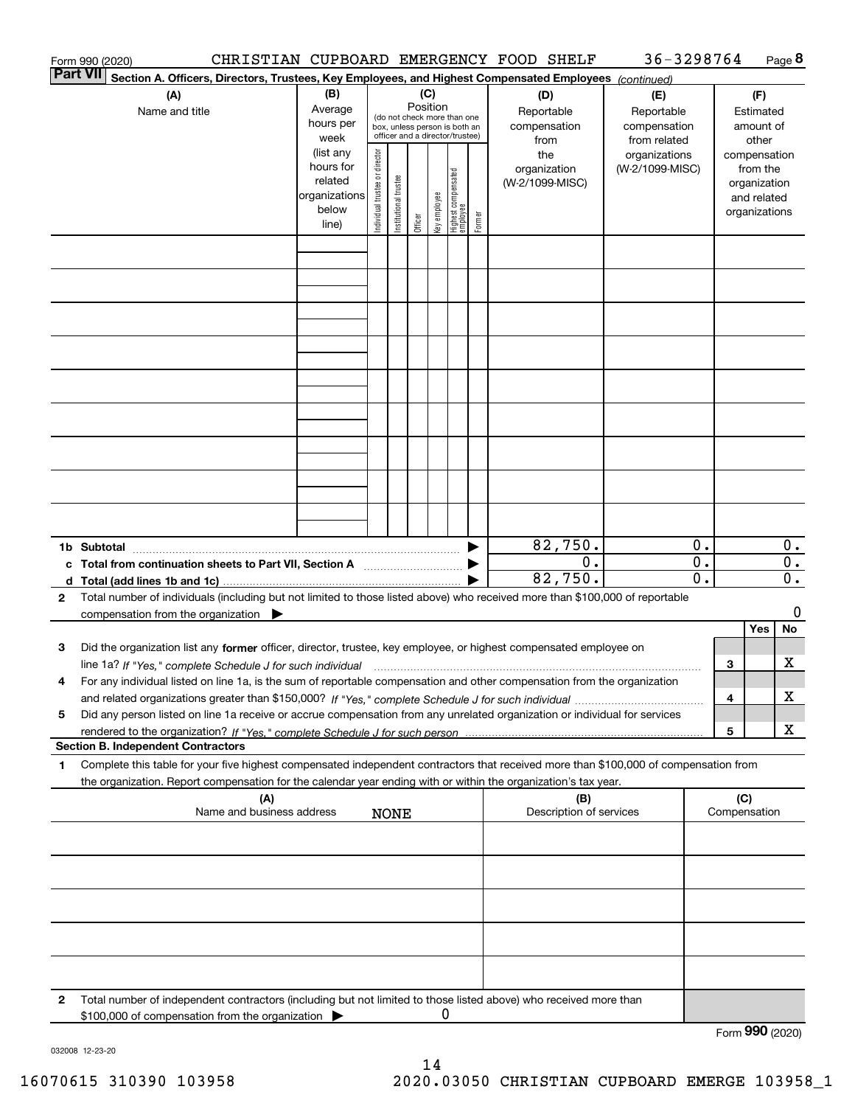|                 | Form 990 (2020)                                                                                                                                                                                                                                                     |                                                                      |                                                                                                                                                                 |                       |         |              |                                 |                                                   | CHRISTIAN CUPBOARD EMERGENCY FOOD SHELF | 36-3298764                       |                                        |     |              | Page 8                                                                   |
|-----------------|---------------------------------------------------------------------------------------------------------------------------------------------------------------------------------------------------------------------------------------------------------------------|----------------------------------------------------------------------|-----------------------------------------------------------------------------------------------------------------------------------------------------------------|-----------------------|---------|--------------|---------------------------------|---------------------------------------------------|-----------------------------------------|----------------------------------|----------------------------------------|-----|--------------|--------------------------------------------------------------------------|
| <b>Part VII</b> | Section A. Officers, Directors, Trustees, Key Employees, and Highest Compensated Employees (continued)                                                                                                                                                              |                                                                      |                                                                                                                                                                 |                       |         |              |                                 |                                                   |                                         |                                  |                                        |     |              |                                                                          |
|                 | (A)<br>Name and title                                                                                                                                                                                                                                               | (B)<br>Average<br>hours per<br>week                                  | (C)<br>(D)<br>Position<br>Reportable<br>(do not check more than one<br>compensation<br>box, unless person is both an<br>officer and a director/trustee)<br>from |                       |         |              |                                 | (E)<br>Reportable<br>compensation<br>from related |                                         |                                  | (F)<br>Estimated<br>amount of<br>other |     |              |                                                                          |
|                 |                                                                                                                                                                                                                                                                     | (list any<br>hours for<br>related<br>organizations<br>below<br>line) | Individual trustee or director                                                                                                                                  | Institutional trustee | Officer | Key employee | Highest compensated<br>employee | Former                                            | the<br>organization<br>(W-2/1099-MISC)  | organizations<br>(W-2/1099-MISC) |                                        |     |              | compensation<br>from the<br>organization<br>and related<br>organizations |
|                 |                                                                                                                                                                                                                                                                     |                                                                      |                                                                                                                                                                 |                       |         |              |                                 |                                                   |                                         |                                  |                                        |     |              |                                                                          |
|                 |                                                                                                                                                                                                                                                                     |                                                                      |                                                                                                                                                                 |                       |         |              |                                 |                                                   |                                         |                                  |                                        |     |              |                                                                          |
|                 |                                                                                                                                                                                                                                                                     |                                                                      |                                                                                                                                                                 |                       |         |              |                                 |                                                   |                                         |                                  |                                        |     |              |                                                                          |
|                 |                                                                                                                                                                                                                                                                     |                                                                      |                                                                                                                                                                 |                       |         |              |                                 |                                                   |                                         |                                  |                                        |     |              |                                                                          |
|                 |                                                                                                                                                                                                                                                                     |                                                                      |                                                                                                                                                                 |                       |         |              |                                 |                                                   |                                         |                                  |                                        |     |              |                                                                          |
|                 |                                                                                                                                                                                                                                                                     |                                                                      |                                                                                                                                                                 |                       |         |              |                                 |                                                   |                                         |                                  |                                        |     |              |                                                                          |
|                 |                                                                                                                                                                                                                                                                     |                                                                      |                                                                                                                                                                 |                       |         |              |                                 |                                                   |                                         |                                  |                                        |     |              |                                                                          |
|                 |                                                                                                                                                                                                                                                                     |                                                                      |                                                                                                                                                                 |                       |         |              |                                 |                                                   |                                         |                                  |                                        |     |              |                                                                          |
|                 | 1b Subtotal                                                                                                                                                                                                                                                         |                                                                      |                                                                                                                                                                 |                       |         |              |                                 |                                                   | 82,750.                                 |                                  | 0.                                     |     |              | $0$ .                                                                    |
| c<br>d          | Total from continuation sheets to Part VII, Section A<br>Total (add lines 1b and 1c).                                                                                                                                                                               |                                                                      |                                                                                                                                                                 |                       |         |              |                                 |                                                   | 0.<br>82,750.                           |                                  | $\overline{0}$ .<br>$\overline{0}$ .   |     |              | $\overline{0}$ .<br>$\overline{0}$ .                                     |
| 2               | Total number of individuals (including but not limited to those listed above) who received more than \$100,000 of reportable<br>compensation from the organization $\blacktriangleright$                                                                            |                                                                      |                                                                                                                                                                 |                       |         |              |                                 |                                                   |                                         |                                  |                                        |     |              | 0                                                                        |
| з               | Did the organization list any former officer, director, trustee, key employee, or highest compensated employee on                                                                                                                                                   |                                                                      |                                                                                                                                                                 |                       |         |              |                                 |                                                   |                                         |                                  |                                        |     | Yes          | No                                                                       |
| 4               | line 1a? If "Yes," complete Schedule J for such individual manufactured contained and the Yes," complete Schedule J for such individual<br>For any individual listed on line 1a, is the sum of reportable compensation and other compensation from the organization |                                                                      |                                                                                                                                                                 |                       |         |              |                                 |                                                   |                                         |                                  |                                        | З   |              | x                                                                        |
| 5               | Did any person listed on line 1a receive or accrue compensation from any unrelated organization or individual for services                                                                                                                                          |                                                                      |                                                                                                                                                                 |                       |         |              |                                 |                                                   |                                         |                                  |                                        | 4   |              | x                                                                        |
|                 | <b>Section B. Independent Contractors</b>                                                                                                                                                                                                                           |                                                                      |                                                                                                                                                                 |                       |         |              |                                 |                                                   |                                         |                                  |                                        | 5   |              | x                                                                        |
| 1               | Complete this table for your five highest compensated independent contractors that received more than \$100,000 of compensation from<br>the organization. Report compensation for the calendar year ending with or within the organization's tax year.              |                                                                      |                                                                                                                                                                 |                       |         |              |                                 |                                                   |                                         |                                  |                                        |     |              |                                                                          |
|                 | (A)<br>Name and business address                                                                                                                                                                                                                                    |                                                                      |                                                                                                                                                                 | <b>NONE</b>           |         |              |                                 |                                                   | (B)<br>Description of services          |                                  |                                        | (C) | Compensation |                                                                          |
|                 |                                                                                                                                                                                                                                                                     |                                                                      |                                                                                                                                                                 |                       |         |              |                                 |                                                   |                                         |                                  |                                        |     |              |                                                                          |
|                 |                                                                                                                                                                                                                                                                     |                                                                      |                                                                                                                                                                 |                       |         |              |                                 |                                                   |                                         |                                  |                                        |     |              |                                                                          |
|                 |                                                                                                                                                                                                                                                                     |                                                                      |                                                                                                                                                                 |                       |         |              |                                 |                                                   |                                         |                                  |                                        |     |              |                                                                          |
|                 |                                                                                                                                                                                                                                                                     |                                                                      |                                                                                                                                                                 |                       |         |              |                                 |                                                   |                                         |                                  |                                        |     |              |                                                                          |
| 2               | Total number of independent contractors (including but not limited to those listed above) who received more than                                                                                                                                                    |                                                                      |                                                                                                                                                                 |                       |         |              |                                 |                                                   |                                         |                                  |                                        |     |              |                                                                          |
|                 | \$100,000 of compensation from the organization                                                                                                                                                                                                                     |                                                                      |                                                                                                                                                                 |                       |         |              |                                 |                                                   |                                         |                                  |                                        |     | റററ          |                                                                          |

Form (2020) **990**

032008 12-23-20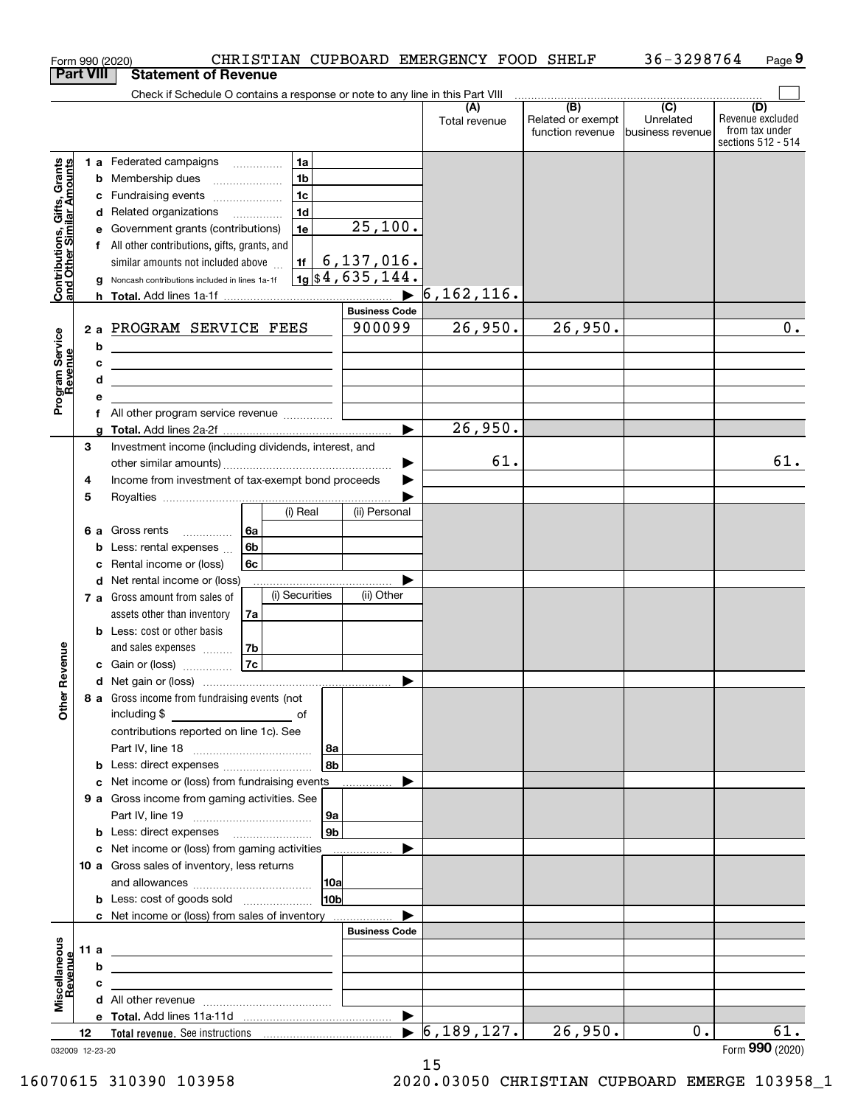|                                                           |                  |   | CHRISTIAN CUPBOARD EMERGENCY FOOD SHELF<br>Form 990 (2020)                                                                                                                                                                           |     |                      |                                  |                                              | 36-3298764                                      | Page 9                                                          |
|-----------------------------------------------------------|------------------|---|--------------------------------------------------------------------------------------------------------------------------------------------------------------------------------------------------------------------------------------|-----|----------------------|----------------------------------|----------------------------------------------|-------------------------------------------------|-----------------------------------------------------------------|
|                                                           | <b>Part VIII</b> |   | <b>Statement of Revenue</b>                                                                                                                                                                                                          |     |                      |                                  |                                              |                                                 |                                                                 |
|                                                           |                  |   | Check if Schedule O contains a response or note to any line in this Part VIII                                                                                                                                                        |     |                      |                                  |                                              |                                                 |                                                                 |
|                                                           |                  |   |                                                                                                                                                                                                                                      |     |                      | (A)<br>Total revenue             | (B)<br>Related or exempt<br>function revenue | $\overline{C}$<br>Unrelated<br>business revenue | (D)<br>Revenue excluded<br>from tax under<br>sections 512 - 514 |
|                                                           |                  |   | 1 a Federated campaigns<br>1a                                                                                                                                                                                                        |     |                      |                                  |                                              |                                                 |                                                                 |
| Contributions, Gifts, Grants<br>and Other Similar Amounts |                  |   | 1 <sub>b</sub><br><b>b</b> Membership dues                                                                                                                                                                                           |     |                      |                                  |                                              |                                                 |                                                                 |
|                                                           |                  |   | 1 <sub>c</sub><br>c Fundraising events                                                                                                                                                                                               |     |                      |                                  |                                              |                                                 |                                                                 |
|                                                           |                  |   | 1 <sub>d</sub><br>d Related organizations                                                                                                                                                                                            |     |                      |                                  |                                              |                                                 |                                                                 |
|                                                           |                  |   | e Government grants (contributions)<br>1e                                                                                                                                                                                            |     | 25,100.              |                                  |                                              |                                                 |                                                                 |
|                                                           |                  |   | f All other contributions, gifts, grants, and                                                                                                                                                                                        |     |                      |                                  |                                              |                                                 |                                                                 |
|                                                           |                  |   | similar amounts not included above<br>1f                                                                                                                                                                                             |     | 6, 137, 016.         |                                  |                                              |                                                 |                                                                 |
|                                                           |                  | g | Noncash contributions included in lines 1a-1f                                                                                                                                                                                        |     | $1g$ \$4,635,144.    |                                  |                                              |                                                 |                                                                 |
|                                                           |                  |   |                                                                                                                                                                                                                                      |     |                      | 6, 162, 116.                     |                                              |                                                 |                                                                 |
|                                                           |                  |   |                                                                                                                                                                                                                                      |     | <b>Business Code</b> |                                  |                                              |                                                 |                                                                 |
|                                                           |                  |   | 2 a PROGRAM SERVICE FEES                                                                                                                                                                                                             |     | 900099               | 26,950.                          | 26,950.                                      |                                                 | 0.                                                              |
| Program Service<br>Revenue                                |                  | b | <u> 1980 - Johann Barn, mars ann an t-Amhain Aonaich an t-Aonaich an t-Aonaich ann an t-Aonaich ann an t-Aonaich</u>                                                                                                                 |     |                      |                                  |                                              |                                                 |                                                                 |
|                                                           |                  | с | <u>and the state of the state of the state of the state of the state of the state of the state of the state of the state of the state of the state of the state of the state of the state of the state of the state of the state</u> |     |                      |                                  |                                              |                                                 |                                                                 |
|                                                           |                  | d | <u> 1989 - Johann Stoff, fransk politik (d. 1989)</u>                                                                                                                                                                                |     |                      |                                  |                                              |                                                 |                                                                 |
|                                                           |                  | е |                                                                                                                                                                                                                                      |     |                      |                                  |                                              |                                                 |                                                                 |
|                                                           |                  |   | f All other program service revenue                                                                                                                                                                                                  |     |                      |                                  |                                              |                                                 |                                                                 |
|                                                           |                  | a |                                                                                                                                                                                                                                      |     |                      | 26,950.                          |                                              |                                                 |                                                                 |
|                                                           | 3                |   | Investment income (including dividends, interest, and                                                                                                                                                                                |     |                      |                                  |                                              |                                                 |                                                                 |
|                                                           |                  |   |                                                                                                                                                                                                                                      |     | ▶                    | 61.                              |                                              |                                                 | 61.                                                             |
|                                                           | 4                |   | Income from investment of tax-exempt bond proceeds                                                                                                                                                                                   |     |                      |                                  |                                              |                                                 |                                                                 |
|                                                           | 5                |   |                                                                                                                                                                                                                                      |     |                      |                                  |                                              |                                                 |                                                                 |
|                                                           |                  |   | (i) Real                                                                                                                                                                                                                             |     | (ii) Personal        |                                  |                                              |                                                 |                                                                 |
|                                                           |                  |   | 6 a Gross rents<br>6а                                                                                                                                                                                                                |     |                      |                                  |                                              |                                                 |                                                                 |
|                                                           |                  |   | 6b<br><b>b</b> Less: rental expenses $\ldots$                                                                                                                                                                                        |     |                      |                                  |                                              |                                                 |                                                                 |
|                                                           |                  | c | Rental income or (loss)<br>6c                                                                                                                                                                                                        |     |                      |                                  |                                              |                                                 |                                                                 |
|                                                           |                  |   | d Net rental income or (loss)                                                                                                                                                                                                        |     |                      |                                  |                                              |                                                 |                                                                 |
|                                                           |                  |   | (i) Securities<br>7 a Gross amount from sales of                                                                                                                                                                                     |     | (ii) Other           |                                  |                                              |                                                 |                                                                 |
|                                                           |                  |   | assets other than inventory<br>7a                                                                                                                                                                                                    |     |                      |                                  |                                              |                                                 |                                                                 |
|                                                           |                  |   | <b>b</b> Less: cost or other basis                                                                                                                                                                                                   |     |                      |                                  |                                              |                                                 |                                                                 |
|                                                           |                  |   | and sales expenses<br>7b                                                                                                                                                                                                             |     |                      |                                  |                                              |                                                 |                                                                 |
| evenue                                                    |                  |   | 7c<br>c Gain or (loss)                                                                                                                                                                                                               |     |                      |                                  |                                              |                                                 |                                                                 |
|                                                           |                  |   |                                                                                                                                                                                                                                      |     |                      |                                  |                                              |                                                 |                                                                 |
| Œ<br>Other                                                |                  |   | 8 a Gross income from fundraising events (not                                                                                                                                                                                        |     |                      |                                  |                                              |                                                 |                                                                 |
|                                                           |                  |   | including \$                                                                                                                                                                                                                         |     |                      |                                  |                                              |                                                 |                                                                 |
|                                                           |                  |   | contributions reported on line 1c). See                                                                                                                                                                                              |     |                      |                                  |                                              |                                                 |                                                                 |
|                                                           |                  |   |                                                                                                                                                                                                                                      | 8a  |                      |                                  |                                              |                                                 |                                                                 |
|                                                           |                  |   | <b>b</b> Less: direct expenses <i></i>                                                                                                                                                                                               | 8b  |                      |                                  |                                              |                                                 |                                                                 |
|                                                           |                  |   | c Net income or (loss) from fundraising events                                                                                                                                                                                       |     |                      |                                  |                                              |                                                 |                                                                 |
|                                                           |                  |   | 9 a Gross income from gaming activities. See                                                                                                                                                                                         |     |                      |                                  |                                              |                                                 |                                                                 |
|                                                           |                  |   |                                                                                                                                                                                                                                      | 9a  |                      |                                  |                                              |                                                 |                                                                 |
|                                                           |                  |   | <b>b</b> Less: direct expenses <b>manually</b>                                                                                                                                                                                       | 9b  |                      |                                  |                                              |                                                 |                                                                 |
|                                                           |                  |   | c Net income or (loss) from gaming activities                                                                                                                                                                                        |     | .                    |                                  |                                              |                                                 |                                                                 |
|                                                           |                  |   | 10 a Gross sales of inventory, less returns                                                                                                                                                                                          |     |                      |                                  |                                              |                                                 |                                                                 |
|                                                           |                  |   |                                                                                                                                                                                                                                      | 10a |                      |                                  |                                              |                                                 |                                                                 |
|                                                           |                  |   | <b>b</b> Less: cost of goods sold                                                                                                                                                                                                    | 10b |                      |                                  |                                              |                                                 |                                                                 |
|                                                           |                  |   | c Net income or (loss) from sales of inventory                                                                                                                                                                                       |     |                      |                                  |                                              |                                                 |                                                                 |
|                                                           |                  |   |                                                                                                                                                                                                                                      |     | <b>Business Code</b> |                                  |                                              |                                                 |                                                                 |
|                                                           | 11 a             |   | <u> 1989 - Andrea Stadt Britain, amerikansk politiker (</u>                                                                                                                                                                          |     |                      |                                  |                                              |                                                 |                                                                 |
|                                                           |                  | b | the contract of the contract of the contract of the contract of the contract of                                                                                                                                                      |     |                      |                                  |                                              |                                                 |                                                                 |
| Miscellaneous<br>Revenue                                  |                  | c | <u> 1989 - Johann John Stone, markin film yn y brening yn y brening yn y brening y brening yn y brening yn y bre</u>                                                                                                                 |     |                      |                                  |                                              |                                                 |                                                                 |
|                                                           |                  |   |                                                                                                                                                                                                                                      |     |                      |                                  |                                              |                                                 |                                                                 |
|                                                           |                  |   |                                                                                                                                                                                                                                      |     | ▶                    |                                  |                                              |                                                 |                                                                 |
|                                                           | 12               |   |                                                                                                                                                                                                                                      |     |                      | $\blacktriangleright$ 6,189,127. | 26,950.                                      | 0.                                              | 61.                                                             |
| 032009 12-23-20                                           |                  |   |                                                                                                                                                                                                                                      |     |                      |                                  |                                              |                                                 | Form 990 (2020)                                                 |

032009 12-23-20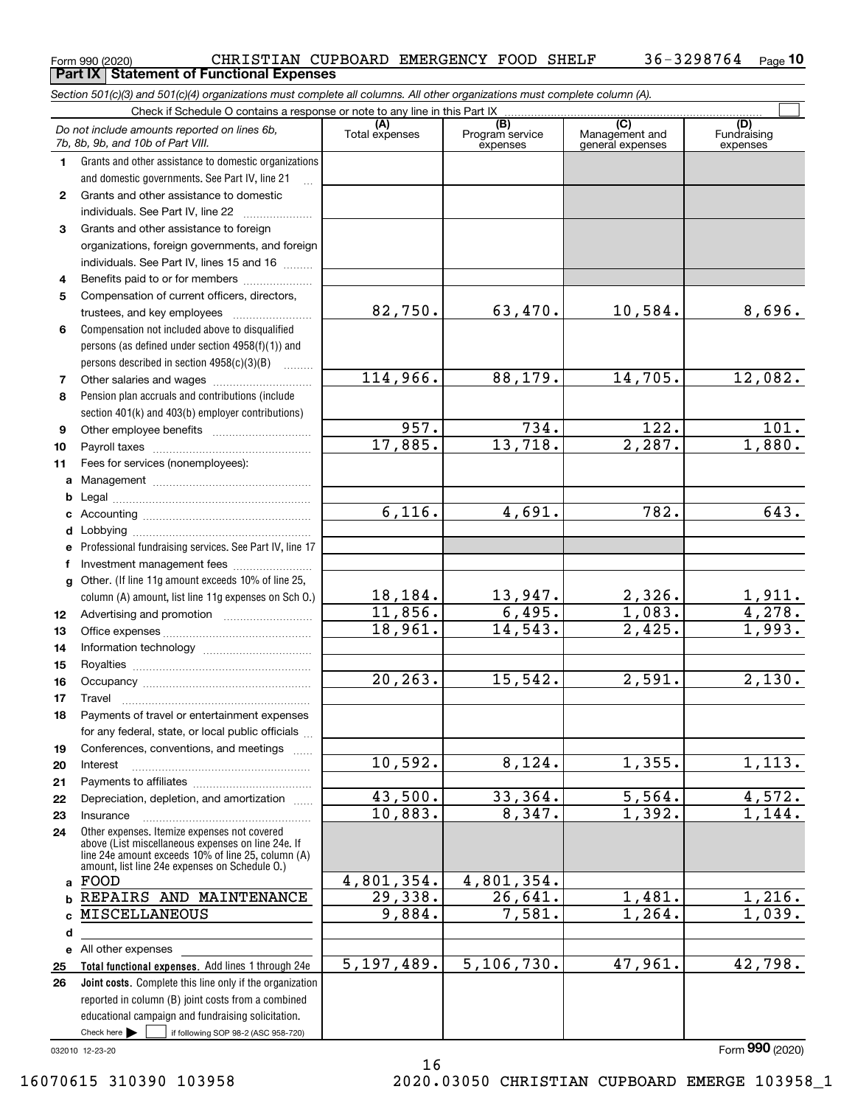| Form 990 (2020) | CHRISTIAN CUPBOARD EMERGENCY FOOD SHELF           |  |  | 36-3298764 <sub>Page</sub> 10 |  |
|-----------------|---------------------------------------------------|--|--|-------------------------------|--|
|                 | <b>Part IX   Statement of Functional Expenses</b> |  |  |                               |  |

*Section 501(c)(3) and 501(c)(4) organizations must complete all columns. All other organizations must complete column (A).*

|              | Do not include amounts reported on lines 6b,<br>7b, 8b, 9b, and 10b of Part VIII.                                                                                                                          | (A)<br>Total expenses | $\overline{(B)}$<br>Program service<br>expenses | $\overline{C}$<br>Management and<br>general expenses | (D)<br>Fundraising<br>expenses |
|--------------|------------------------------------------------------------------------------------------------------------------------------------------------------------------------------------------------------------|-----------------------|-------------------------------------------------|------------------------------------------------------|--------------------------------|
| 1.           | Grants and other assistance to domestic organizations                                                                                                                                                      |                       |                                                 |                                                      |                                |
|              | and domestic governments. See Part IV, line 21                                                                                                                                                             |                       |                                                 |                                                      |                                |
| $\mathbf{2}$ | Grants and other assistance to domestic                                                                                                                                                                    |                       |                                                 |                                                      |                                |
|              | individuals. See Part IV, line 22                                                                                                                                                                          |                       |                                                 |                                                      |                                |
| 3.           | Grants and other assistance to foreign                                                                                                                                                                     |                       |                                                 |                                                      |                                |
|              | organizations, foreign governments, and foreign                                                                                                                                                            |                       |                                                 |                                                      |                                |
|              | individuals. See Part IV, lines 15 and 16                                                                                                                                                                  |                       |                                                 |                                                      |                                |
| 4            | Benefits paid to or for members                                                                                                                                                                            |                       |                                                 |                                                      |                                |
| 5            | Compensation of current officers, directors,                                                                                                                                                               |                       |                                                 |                                                      |                                |
|              | trustees, and key employees                                                                                                                                                                                | 82,750.               | 63,470.                                         | 10,584.                                              | 8,696.                         |
| 6            | Compensation not included above to disqualified                                                                                                                                                            |                       |                                                 |                                                      |                                |
|              | persons (as defined under section 4958(f)(1)) and                                                                                                                                                          |                       |                                                 |                                                      |                                |
|              | persons described in section 4958(c)(3)(B)                                                                                                                                                                 |                       |                                                 |                                                      |                                |
| 7            |                                                                                                                                                                                                            | 114,966.              | 88,179.                                         | 14,705.                                              | 12,082.                        |
| 8            | Pension plan accruals and contributions (include                                                                                                                                                           |                       |                                                 |                                                      |                                |
|              | section 401(k) and 403(b) employer contributions)                                                                                                                                                          | 957.                  | 734.                                            | 122.                                                 | 101.                           |
| 9<br>10      |                                                                                                                                                                                                            | 17,885.               | 13,718.                                         | 2,287.                                               | 1,880.                         |
| 11           | Fees for services (nonemployees):                                                                                                                                                                          |                       |                                                 |                                                      |                                |
| a            |                                                                                                                                                                                                            |                       |                                                 |                                                      |                                |
| b            |                                                                                                                                                                                                            |                       |                                                 |                                                      |                                |
| c            |                                                                                                                                                                                                            | 6,116.                | 4,691.                                          | 782.                                                 | 643.                           |
| d            |                                                                                                                                                                                                            |                       |                                                 |                                                      |                                |
| е            | Professional fundraising services. See Part IV, line 17                                                                                                                                                    |                       |                                                 |                                                      |                                |
| f            | Investment management fees                                                                                                                                                                                 |                       |                                                 |                                                      |                                |
| $\mathbf{q}$ | Other. (If line 11g amount exceeds 10% of line 25,                                                                                                                                                         |                       |                                                 |                                                      |                                |
|              | column (A) amount, list line 11g expenses on Sch O.)                                                                                                                                                       | 18,184.               | $\frac{13,947.}{6,495.}$                        | 2,326.                                               | $\frac{1,911.}{4,278.}$        |
| 12           |                                                                                                                                                                                                            | 11,856.               |                                                 | 1,083.                                               |                                |
| 13           |                                                                                                                                                                                                            | 18,961.               | 14,543.                                         | $\overline{2,425}$ .                                 | 1,993.                         |
| 14           |                                                                                                                                                                                                            |                       |                                                 |                                                      |                                |
| 15           |                                                                                                                                                                                                            |                       |                                                 |                                                      |                                |
| 16           |                                                                                                                                                                                                            | 20, 263.              | 15,542.                                         | 2,591.                                               | 2,130.                         |
| 17           | Travel                                                                                                                                                                                                     |                       |                                                 |                                                      |                                |
| 18           | Payments of travel or entertainment expenses                                                                                                                                                               |                       |                                                 |                                                      |                                |
|              | for any federal, state, or local public officials<br>Conferences, conventions, and meetings                                                                                                                |                       |                                                 |                                                      |                                |
| 19<br>20     | Interest                                                                                                                                                                                                   | 10,592.               | 8,124.                                          | 1,355.                                               | 1,113.                         |
| 21           |                                                                                                                                                                                                            |                       |                                                 |                                                      |                                |
| 22           | Depreciation, depletion, and amortization                                                                                                                                                                  | 43,500.               | 33,364.                                         | 5,564.                                               | 4,572.                         |
| 23           | Insurance                                                                                                                                                                                                  | 10,883.               | 8,347.                                          | 1,392.                                               | 1,144.                         |
| 24           | Other expenses. Itemize expenses not covered<br>above (List miscellaneous expenses on line 24e. If<br>line 24e amount exceeds 10% of line 25, column (A)<br>amount, list line 24e expenses on Schedule 0.) |                       |                                                 |                                                      |                                |
| a            | FOOD                                                                                                                                                                                                       | 4,801,354.            | 4,801,354.                                      |                                                      |                                |
| b            | REPAIRS AND MAINTENANCE                                                                                                                                                                                    | 29,338.               | 26,641.                                         | 1,481.                                               | 1,216.                         |
| c            | MISCELLANEOUS                                                                                                                                                                                              | 9,884.                | 7,581.                                          | 1, 264.                                              | 1,039.                         |
| d            |                                                                                                                                                                                                            |                       |                                                 |                                                      |                                |
|              | e All other expenses                                                                                                                                                                                       |                       |                                                 |                                                      |                                |
| 25           | Total functional expenses. Add lines 1 through 24e                                                                                                                                                         | 5, 197, 489.          | 5, 106, 730.                                    | 47,961.                                              | 42,798.                        |
| 26           | Joint costs. Complete this line only if the organization                                                                                                                                                   |                       |                                                 |                                                      |                                |
|              | reported in column (B) joint costs from a combined                                                                                                                                                         |                       |                                                 |                                                      |                                |
|              | educational campaign and fundraising solicitation.                                                                                                                                                         |                       |                                                 |                                                      |                                |
|              | Check here $\blacktriangleright$<br>if following SOP 98-2 (ASC 958-720)                                                                                                                                    |                       |                                                 |                                                      |                                |

16

032010 12-23-20

Form (2020) **990**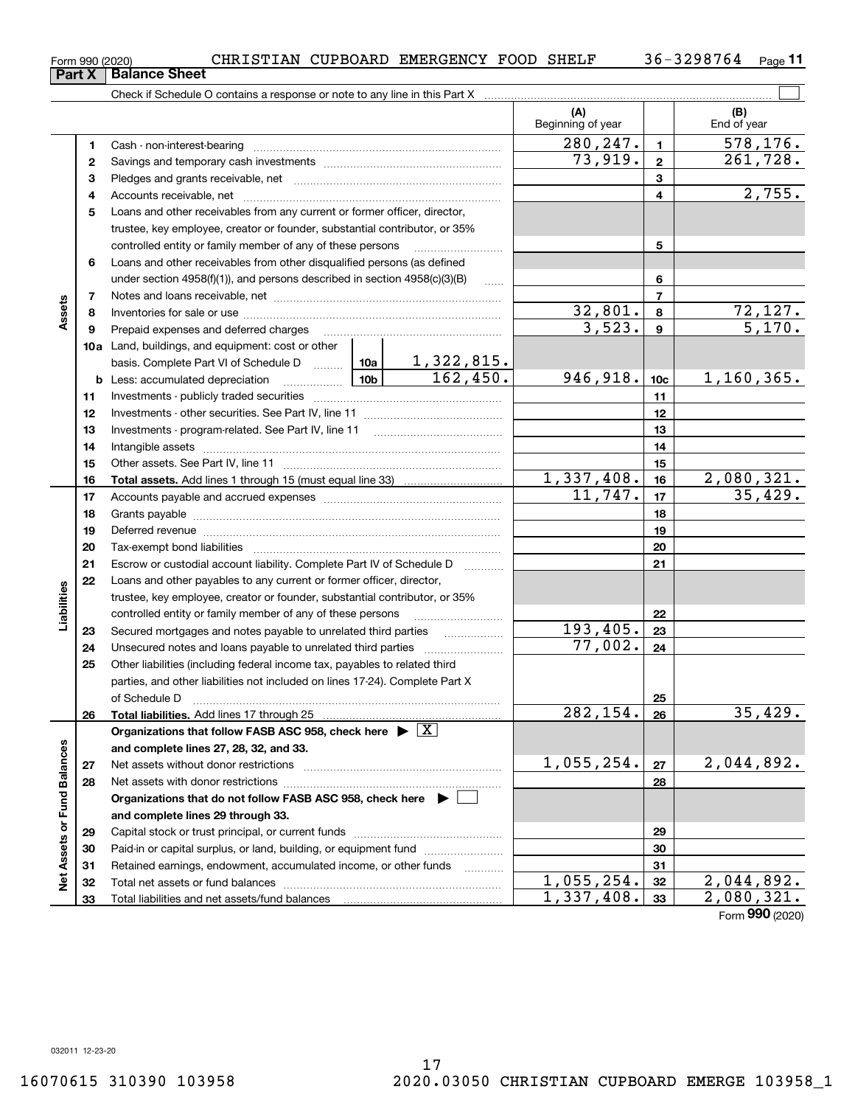| 3298764<br>FOOD<br><b>EMERGENCY</b><br><b>SHELF</b><br>CUPBOARD<br>CHRISTIAN<br>36–<br><sup>⊏</sup> orm 990 (2020) | $P$ age |
|--------------------------------------------------------------------------------------------------------------------|---------|
|--------------------------------------------------------------------------------------------------------------------|---------|

|                             |          | Check if Schedule O contains a response or note to any line in this Part X         |           |                     |                          |                 |                          |
|-----------------------------|----------|------------------------------------------------------------------------------------|-----------|---------------------|--------------------------|-----------------|--------------------------|
|                             |          |                                                                                    |           |                     | (A)<br>Beginning of year |                 | (B)<br>End of year       |
|                             | 1        |                                                                                    | 280, 247. | $\mathbf{1}$        | 578,176.                 |                 |                          |
|                             | 2        |                                                                                    |           |                     | 73,919.                  | $\mathbf{2}$    | 261, 728.                |
|                             | 3        |                                                                                    |           |                     |                          | 3               |                          |
|                             | 4        |                                                                                    |           |                     | 4                        | 2,755.          |                          |
|                             | 5        | Loans and other receivables from any current or former officer, director,          |           |                     |                          |                 |                          |
|                             |          | trustee, key employee, creator or founder, substantial contributor, or 35%         |           |                     |                          |                 |                          |
|                             |          | controlled entity or family member of any of these persons                         |           |                     |                          | 5               |                          |
|                             | 6        | Loans and other receivables from other disqualified persons (as defined            |           |                     |                          |                 |                          |
|                             |          | under section $4958(f)(1)$ , and persons described in section $4958(c)(3)(B)$      |           | 6                   |                          |                 |                          |
|                             | 7        |                                                                                    |           |                     |                          | $\overline{7}$  |                          |
| Assets                      | 8        |                                                                                    |           |                     | 32,801.                  | 8               | $\frac{72,127.}{5,170.}$ |
|                             | 9        | Prepaid expenses and deferred charges                                              |           |                     | 3,523.                   | 9               |                          |
|                             |          | <b>10a</b> Land, buildings, and equipment: cost or other                           |           |                     |                          |                 |                          |
|                             |          |                                                                                    |           |                     |                          |                 |                          |
|                             |          | <u>  10b</u>  <br><b>b</b> Less: accumulated depreciation                          |           |                     | 946,918.                 | 10 <sub>c</sub> | 1,160,365.               |
|                             | 11       |                                                                                    |           | 11                  |                          |                 |                          |
|                             | 12       |                                                                                    |           | 12                  |                          |                 |                          |
|                             | 13       |                                                                                    |           | 13                  |                          |                 |                          |
|                             | 14       |                                                                                    |           | 14                  |                          |                 |                          |
|                             | 15       |                                                                                    |           | 15                  |                          |                 |                          |
|                             | 16       |                                                                                    |           |                     | <u>1,337,408.</u>        | 16              | 2,080,321.               |
|                             | 17       |                                                                                    | 11,747.   | 17                  | 35,429.                  |                 |                          |
|                             | 18       |                                                                                    |           | 18                  |                          |                 |                          |
|                             | 19       |                                                                                    |           |                     | 19                       |                 |                          |
|                             | 20       |                                                                                    |           |                     |                          | 20              |                          |
|                             | 21       | Escrow or custodial account liability. Complete Part IV of Schedule D              |           | 1.1.1.1.1.1.1.1.1.1 |                          | 21              |                          |
|                             | 22       | Loans and other payables to any current or former officer, director,               |           |                     |                          |                 |                          |
| Liabilities                 |          | trustee, key employee, creator or founder, substantial contributor, or 35%         |           |                     |                          |                 |                          |
|                             |          | controlled entity or family member of any of these persons                         |           |                     |                          | 22              |                          |
|                             | 23       | Secured mortgages and notes payable to unrelated third parties <i>manumum</i>      |           |                     | 193,405.                 | 23              |                          |
|                             | 24       | Unsecured notes and loans payable to unrelated third parties                       |           |                     | 77,002.                  | 24              |                          |
|                             | 25       | Other liabilities (including federal income tax, payables to related third         |           |                     |                          |                 |                          |
|                             |          | parties, and other liabilities not included on lines 17-24). Complete Part X       |           |                     |                          |                 |                          |
|                             |          | of Schedule D                                                                      |           |                     | $\overline{282,154}$ .   | 25              |                          |
|                             | 26       | Total liabilities. Add lines 17 through 25                                         |           |                     |                          | 26              | 35,429.                  |
|                             |          | Organizations that follow FASB ASC 958, check here $\blacktriangleright \boxed{X}$ |           |                     |                          |                 |                          |
|                             |          | and complete lines 27, 28, 32, and 33.                                             |           |                     | 1,055,254.               |                 | 2,044,892.               |
|                             | 27       | Net assets without donor restrictions                                              |           |                     |                          | 27              |                          |
|                             | 28       | Net assets with donor restrictions                                                 |           |                     |                          | 28              |                          |
|                             |          | Organizations that do not follow FASB ASC 958, check here ▶ U                      |           |                     |                          |                 |                          |
|                             |          | and complete lines 29 through 33.                                                  |           |                     |                          |                 |                          |
|                             | 29       | Paid-in or capital surplus, or land, building, or equipment fund                   |           |                     |                          | 29<br>30        |                          |
|                             | 30<br>31 |                                                                                    |           |                     |                          | 31              |                          |
| Net Assets or Fund Balances | 32       | Retained earnings, endowment, accumulated income, or other funds                   |           |                     | 1,055,254.               | 32              | $\overline{2,044,892}$ . |
|                             | 33       |                                                                                    |           |                     | 1,337,408.               | 33              | 2,080,321.               |
|                             |          |                                                                                    |           |                     |                          |                 |                          |

Form (2020) **990**

**Part X Balance Sheet**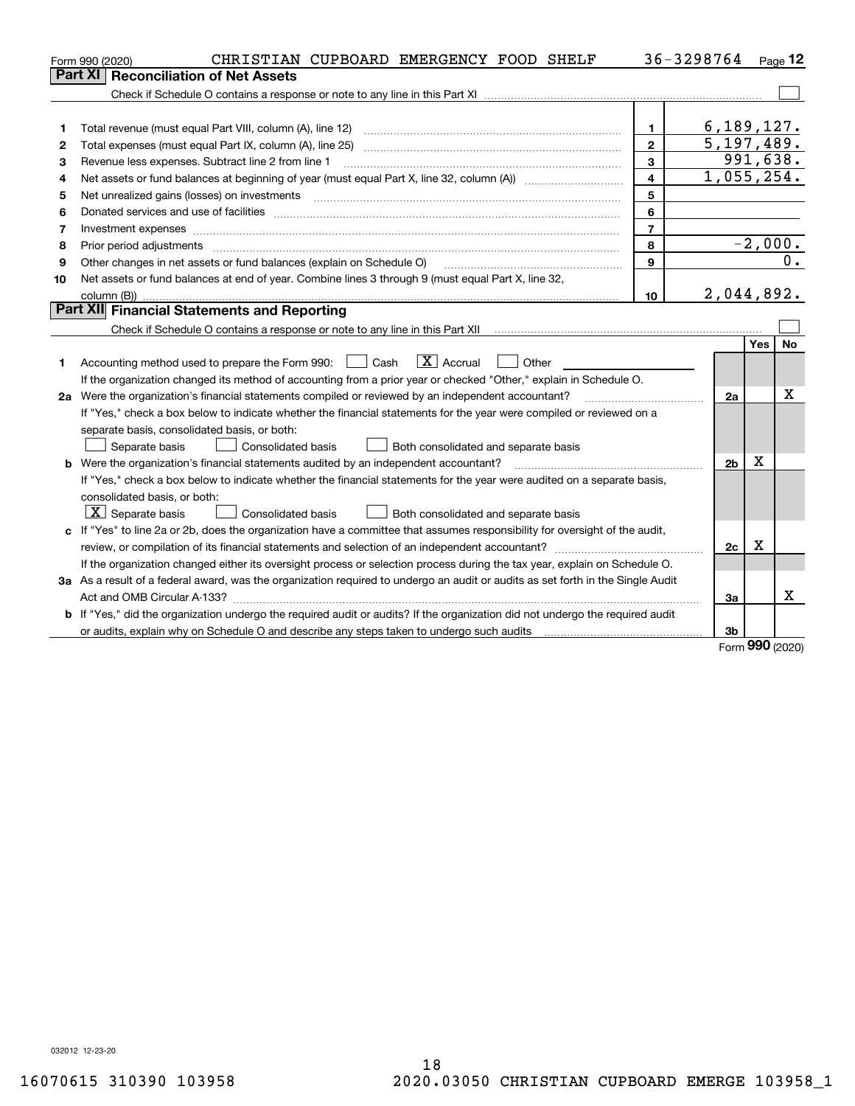|                                             | CHRISTIAN CUPBOARD EMERGENCY FOOD SHELF<br>Form 990 (2020)                                                                                                                                                                     |                         | 36-3298764 |                            |     | Page 12   |  |  |  |
|---------------------------------------------|--------------------------------------------------------------------------------------------------------------------------------------------------------------------------------------------------------------------------------|-------------------------|------------|----------------------------|-----|-----------|--|--|--|
|                                             | <b>Reconciliation of Net Assets</b><br>Part XI                                                                                                                                                                                 |                         |            |                            |     |           |  |  |  |
|                                             |                                                                                                                                                                                                                                |                         |            |                            |     |           |  |  |  |
|                                             |                                                                                                                                                                                                                                |                         |            |                            |     |           |  |  |  |
| 1                                           | Total revenue (must equal Part VIII, column (A), line 12)                                                                                                                                                                      | $\mathbf{1}$            |            | 6, 189, 127.               |     |           |  |  |  |
| 2                                           | Total expenses (must equal Part IX, column (A), line 25)                                                                                                                                                                       | $\overline{2}$          |            | 5, 197, 489.               |     |           |  |  |  |
| 3                                           | Revenue less expenses. Subtract line 2 from line 1                                                                                                                                                                             | 3                       |            | 991,638.                   |     |           |  |  |  |
| 4                                           | Net assets or fund balances at beginning of year (must equal Part X, line 32, column (A)) <i>massets</i> or fund balances at beginning of year (must equal Part X, line 32, column (A))                                        | $\overline{\mathbf{4}}$ |            | $\overline{1}$ , 055, 254. |     |           |  |  |  |
| 5                                           |                                                                                                                                                                                                                                | 5                       |            |                            |     |           |  |  |  |
| 6                                           | Donated services and use of facilities [111] Donated and the service of facilities [11] Donated services and use of facilities [11] Donated and the service of the service of the service of the service of the service of the | 6                       |            |                            |     |           |  |  |  |
| 7                                           | Investment expenses www.communication.com/www.communication.com/www.communication.com/www.communication.com                                                                                                                    | $\overline{7}$          |            |                            |     |           |  |  |  |
| 8                                           | Prior period adjustments                                                                                                                                                                                                       | 8                       |            |                            |     | $-2,000.$ |  |  |  |
| 9                                           | Other changes in net assets or fund balances (explain on Schedule O)                                                                                                                                                           | 9                       |            |                            |     |           |  |  |  |
| 10                                          | Net assets or fund balances at end of year. Combine lines 3 through 9 (must equal Part X, line 32,                                                                                                                             |                         |            |                            |     |           |  |  |  |
|                                             |                                                                                                                                                                                                                                | 10                      |            | 2,044,892.                 |     |           |  |  |  |
| Part XII Financial Statements and Reporting |                                                                                                                                                                                                                                |                         |            |                            |     |           |  |  |  |
|                                             |                                                                                                                                                                                                                                |                         |            |                            |     |           |  |  |  |
|                                             |                                                                                                                                                                                                                                |                         |            |                            | Yes | <b>No</b> |  |  |  |
| 1                                           | $\boxed{\mathbf{X}}$ Accrual<br>Accounting method used to prepare the Form 990: <u>June</u> Cash<br>Other                                                                                                                      |                         |            |                            |     |           |  |  |  |
|                                             | If the organization changed its method of accounting from a prior year or checked "Other," explain in Schedule O.                                                                                                              |                         |            |                            |     |           |  |  |  |
|                                             | 2a Were the organization's financial statements compiled or reviewed by an independent accountant?                                                                                                                             |                         |            | 2a                         |     | х         |  |  |  |
|                                             | If "Yes," check a box below to indicate whether the financial statements for the year were compiled or reviewed on a                                                                                                           |                         |            |                            |     |           |  |  |  |
|                                             | separate basis, consolidated basis, or both:                                                                                                                                                                                   |                         |            |                            |     |           |  |  |  |
|                                             | Separate basis<br>Consolidated basis<br>Both consolidated and separate basis                                                                                                                                                   |                         |            |                            |     |           |  |  |  |
|                                             | <b>b</b> Were the organization's financial statements audited by an independent accountant?                                                                                                                                    |                         |            | 2 <sub>b</sub>             | х   |           |  |  |  |
|                                             | If "Yes," check a box below to indicate whether the financial statements for the year were audited on a separate basis,                                                                                                        |                         |            |                            |     |           |  |  |  |
|                                             | consolidated basis, or both:                                                                                                                                                                                                   |                         |            |                            |     |           |  |  |  |
|                                             | $ \mathbf{X} $ Separate basis<br>Consolidated basis<br>Both consolidated and separate basis                                                                                                                                    |                         |            |                            |     |           |  |  |  |
|                                             | c If "Yes" to line 2a or 2b, does the organization have a committee that assumes responsibility for oversight of the audit,                                                                                                    |                         |            |                            |     |           |  |  |  |
|                                             |                                                                                                                                                                                                                                |                         |            | 2c                         | х   |           |  |  |  |
|                                             | If the organization changed either its oversight process or selection process during the tax year, explain on Schedule O.                                                                                                      |                         |            |                            |     |           |  |  |  |
|                                             | 3a As a result of a federal award, was the organization required to undergo an audit or audits as set forth in the Single Audit                                                                                                |                         |            |                            |     |           |  |  |  |
|                                             |                                                                                                                                                                                                                                |                         |            | За                         |     | x         |  |  |  |
|                                             | b If "Yes," did the organization undergo the required audit or audits? If the organization did not undergo the required audit                                                                                                  |                         |            |                            |     |           |  |  |  |
|                                             |                                                                                                                                                                                                                                |                         |            | 3 <sub>b</sub>             |     |           |  |  |  |

Form (2020) **990**

032012 12-23-20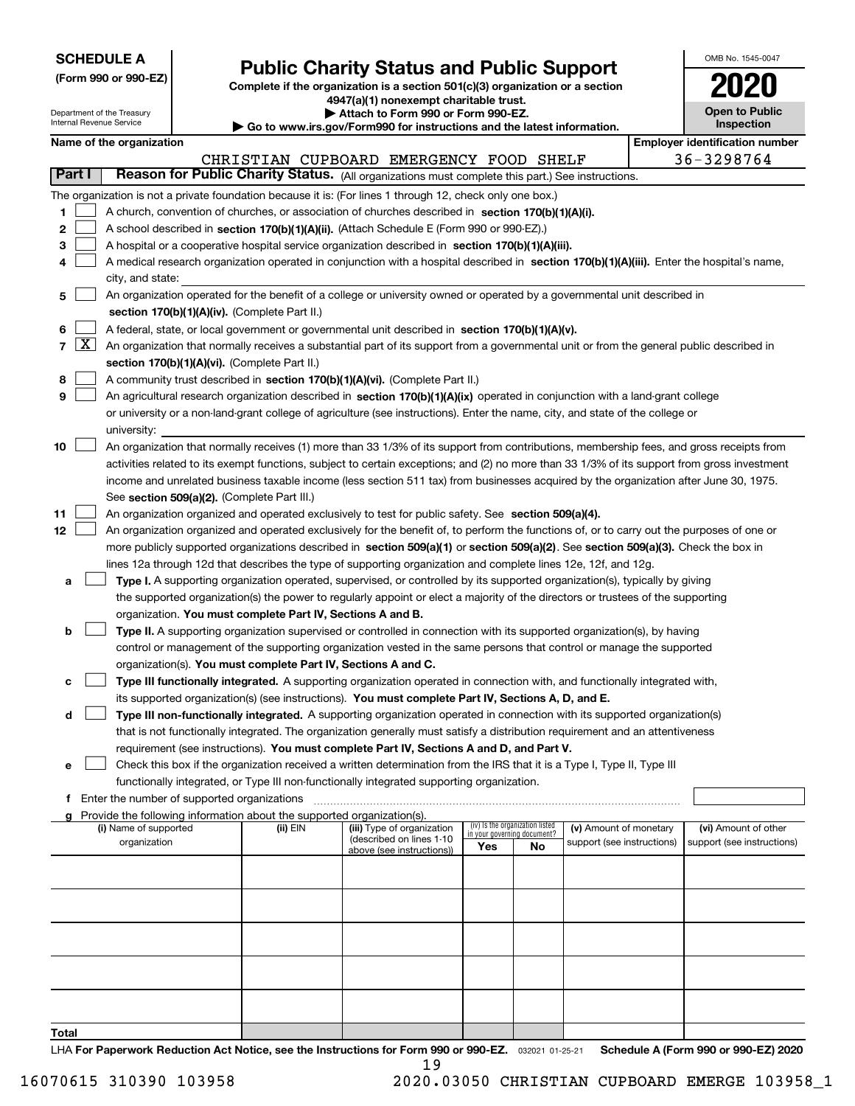| <b>SCHEDULE A</b> |
|-------------------|
|-------------------|

Department of the Treasury

**(Form 990 or 990-EZ)**

## **Public Charity Status and Public Support**

**Complete if the organization is a section 501(c)(3) organization or a section 4947(a)(1) nonexempt charitable trust. | Attach to Form 990 or Form 990-EZ.** 

| , www.irs.gov/Form990 for instructions and the latest information. |  |
|--------------------------------------------------------------------|--|

| OMB No. 1545-0047                   |
|-------------------------------------|
| 2020                                |
| <b>Open to Public</b><br>Inspection |

|                |                     | Internal Revenue Service                                                                                                                  |                                               |                                                                        |                                                                                                                                              | <b>Inspection</b><br>$\triangleright$ Go to www.irs.gov/Form990 for instructions and the latest information. |                                 |                            |  |                                       |  |  |  |  |
|----------------|---------------------|-------------------------------------------------------------------------------------------------------------------------------------------|-----------------------------------------------|------------------------------------------------------------------------|----------------------------------------------------------------------------------------------------------------------------------------------|--------------------------------------------------------------------------------------------------------------|---------------------------------|----------------------------|--|---------------------------------------|--|--|--|--|
|                |                     | Name of the organization                                                                                                                  |                                               |                                                                        |                                                                                                                                              |                                                                                                              |                                 |                            |  | <b>Employer identification number</b> |  |  |  |  |
|                |                     |                                                                                                                                           |                                               |                                                                        | CHRISTIAN CUPBOARD EMERGENCY FOOD SHELF                                                                                                      |                                                                                                              |                                 |                            |  | 36-3298764                            |  |  |  |  |
| <b>Part I</b>  |                     |                                                                                                                                           |                                               |                                                                        | Reason for Public Charity Status. (All organizations must complete this part.) See instructions.                                             |                                                                                                              |                                 |                            |  |                                       |  |  |  |  |
|                |                     |                                                                                                                                           |                                               |                                                                        | The organization is not a private foundation because it is: (For lines 1 through 12, check only one box.)                                    |                                                                                                              |                                 |                            |  |                                       |  |  |  |  |
| 1.             |                     |                                                                                                                                           |                                               |                                                                        | A church, convention of churches, or association of churches described in section 170(b)(1)(A)(i).                                           |                                                                                                              |                                 |                            |  |                                       |  |  |  |  |
| 2              |                     |                                                                                                                                           |                                               |                                                                        | A school described in section 170(b)(1)(A)(ii). (Attach Schedule E (Form 990 or 990-EZ).)                                                    |                                                                                                              |                                 |                            |  |                                       |  |  |  |  |
| з              |                     |                                                                                                                                           |                                               |                                                                        | A hospital or a cooperative hospital service organization described in section 170(b)(1)(A)(iii).                                            |                                                                                                              |                                 |                            |  |                                       |  |  |  |  |
| 4              |                     |                                                                                                                                           |                                               |                                                                        | A medical research organization operated in conjunction with a hospital described in section 170(b)(1)(A)(iii). Enter the hospital's name,   |                                                                                                              |                                 |                            |  |                                       |  |  |  |  |
|                |                     | city, and state:                                                                                                                          |                                               |                                                                        |                                                                                                                                              |                                                                                                              |                                 |                            |  |                                       |  |  |  |  |
| 5              |                     |                                                                                                                                           |                                               |                                                                        | An organization operated for the benefit of a college or university owned or operated by a governmental unit described in                    |                                                                                                              |                                 |                            |  |                                       |  |  |  |  |
|                |                     |                                                                                                                                           |                                               | section 170(b)(1)(A)(iv). (Complete Part II.)                          |                                                                                                                                              |                                                                                                              |                                 |                            |  |                                       |  |  |  |  |
| 6              |                     | A federal, state, or local government or governmental unit described in section 170(b)(1)(A)(v).                                          |                                               |                                                                        |                                                                                                                                              |                                                                                                              |                                 |                            |  |                                       |  |  |  |  |
| $\overline{7}$ | $\lfloor x \rfloor$ | An organization that normally receives a substantial part of its support from a governmental unit or from the general public described in |                                               |                                                                        |                                                                                                                                              |                                                                                                              |                                 |                            |  |                                       |  |  |  |  |
|                |                     |                                                                                                                                           |                                               | section 170(b)(1)(A)(vi). (Complete Part II.)                          |                                                                                                                                              |                                                                                                              |                                 |                            |  |                                       |  |  |  |  |
| 8              |                     |                                                                                                                                           |                                               |                                                                        | A community trust described in section 170(b)(1)(A)(vi). (Complete Part II.)                                                                 |                                                                                                              |                                 |                            |  |                                       |  |  |  |  |
| 9              |                     |                                                                                                                                           |                                               |                                                                        | An agricultural research organization described in section 170(b)(1)(A)(ix) operated in conjunction with a land-grant college                |                                                                                                              |                                 |                            |  |                                       |  |  |  |  |
|                |                     |                                                                                                                                           |                                               |                                                                        | or university or a non-land-grant college of agriculture (see instructions). Enter the name, city, and state of the college or               |                                                                                                              |                                 |                            |  |                                       |  |  |  |  |
|                |                     | university:                                                                                                                               |                                               |                                                                        |                                                                                                                                              |                                                                                                              |                                 |                            |  |                                       |  |  |  |  |
| 10             |                     |                                                                                                                                           |                                               |                                                                        | An organization that normally receives (1) more than 33 1/3% of its support from contributions, membership fees, and gross receipts from     |                                                                                                              |                                 |                            |  |                                       |  |  |  |  |
|                |                     |                                                                                                                                           |                                               |                                                                        | activities related to its exempt functions, subject to certain exceptions; and (2) no more than 33 1/3% of its support from gross investment |                                                                                                              |                                 |                            |  |                                       |  |  |  |  |
|                |                     |                                                                                                                                           |                                               |                                                                        | income and unrelated business taxable income (less section 511 tax) from businesses acquired by the organization after June 30, 1975.        |                                                                                                              |                                 |                            |  |                                       |  |  |  |  |
|                |                     |                                                                                                                                           |                                               | See section 509(a)(2). (Complete Part III.)                            |                                                                                                                                              |                                                                                                              |                                 |                            |  |                                       |  |  |  |  |
| 11             |                     |                                                                                                                                           |                                               |                                                                        | An organization organized and operated exclusively to test for public safety. See section 509(a)(4).                                         |                                                                                                              |                                 |                            |  |                                       |  |  |  |  |
| 12             |                     |                                                                                                                                           |                                               |                                                                        | An organization organized and operated exclusively for the benefit of, to perform the functions of, or to carry out the purposes of one or   |                                                                                                              |                                 |                            |  |                                       |  |  |  |  |
|                |                     |                                                                                                                                           |                                               |                                                                        | more publicly supported organizations described in section 509(a)(1) or section 509(a)(2). See section 509(a)(3). Check the box in           |                                                                                                              |                                 |                            |  |                                       |  |  |  |  |
|                |                     |                                                                                                                                           |                                               |                                                                        | lines 12a through 12d that describes the type of supporting organization and complete lines 12e, 12f, and 12g.                               |                                                                                                              |                                 |                            |  |                                       |  |  |  |  |
| a              |                     |                                                                                                                                           |                                               |                                                                        | Type I. A supporting organization operated, supervised, or controlled by its supported organization(s), typically by giving                  |                                                                                                              |                                 |                            |  |                                       |  |  |  |  |
|                |                     |                                                                                                                                           |                                               | organization. You must complete Part IV, Sections A and B.             | the supported organization(s) the power to regularly appoint or elect a majority of the directors or trustees of the supporting              |                                                                                                              |                                 |                            |  |                                       |  |  |  |  |
| b              |                     |                                                                                                                                           |                                               |                                                                        | Type II. A supporting organization supervised or controlled in connection with its supported organization(s), by having                      |                                                                                                              |                                 |                            |  |                                       |  |  |  |  |
|                |                     |                                                                                                                                           |                                               |                                                                        | control or management of the supporting organization vested in the same persons that control or manage the supported                         |                                                                                                              |                                 |                            |  |                                       |  |  |  |  |
|                |                     |                                                                                                                                           |                                               | organization(s). You must complete Part IV, Sections A and C.          |                                                                                                                                              |                                                                                                              |                                 |                            |  |                                       |  |  |  |  |
| с              |                     |                                                                                                                                           |                                               |                                                                        | Type III functionally integrated. A supporting organization operated in connection with, and functionally integrated with,                   |                                                                                                              |                                 |                            |  |                                       |  |  |  |  |
|                |                     |                                                                                                                                           |                                               |                                                                        | its supported organization(s) (see instructions). You must complete Part IV, Sections A, D, and E.                                           |                                                                                                              |                                 |                            |  |                                       |  |  |  |  |
| d              |                     |                                                                                                                                           |                                               |                                                                        | Type III non-functionally integrated. A supporting organization operated in connection with its supported organization(s)                    |                                                                                                              |                                 |                            |  |                                       |  |  |  |  |
|                |                     |                                                                                                                                           |                                               |                                                                        | that is not functionally integrated. The organization generally must satisfy a distribution requirement and an attentiveness                 |                                                                                                              |                                 |                            |  |                                       |  |  |  |  |
|                |                     |                                                                                                                                           |                                               |                                                                        | requirement (see instructions). You must complete Part IV, Sections A and D, and Part V.                                                     |                                                                                                              |                                 |                            |  |                                       |  |  |  |  |
| е              |                     |                                                                                                                                           |                                               |                                                                        | Check this box if the organization received a written determination from the IRS that it is a Type I, Type II, Type III                      |                                                                                                              |                                 |                            |  |                                       |  |  |  |  |
|                |                     |                                                                                                                                           |                                               |                                                                        | functionally integrated, or Type III non-functionally integrated supporting organization.                                                    |                                                                                                              |                                 |                            |  |                                       |  |  |  |  |
|                |                     |                                                                                                                                           | f Enter the number of supported organizations |                                                                        |                                                                                                                                              |                                                                                                              |                                 |                            |  |                                       |  |  |  |  |
|                |                     |                                                                                                                                           |                                               | Provide the following information about the supported organization(s). |                                                                                                                                              |                                                                                                              |                                 |                            |  |                                       |  |  |  |  |
|                |                     | (i) Name of supported                                                                                                                     |                                               | (ii) EIN                                                               | (iii) Type of organization<br>(described on lines 1-10                                                                                       | in your governing document?                                                                                  | (iv) Is the organization listed | (v) Amount of monetary     |  | (vi) Amount of other                  |  |  |  |  |
|                |                     | organization                                                                                                                              |                                               |                                                                        | above (see instructions))                                                                                                                    | Yes                                                                                                          | No                              | support (see instructions) |  | support (see instructions)            |  |  |  |  |
|                |                     |                                                                                                                                           |                                               |                                                                        |                                                                                                                                              |                                                                                                              |                                 |                            |  |                                       |  |  |  |  |
|                |                     |                                                                                                                                           |                                               |                                                                        |                                                                                                                                              |                                                                                                              |                                 |                            |  |                                       |  |  |  |  |
|                |                     |                                                                                                                                           |                                               |                                                                        |                                                                                                                                              |                                                                                                              |                                 |                            |  |                                       |  |  |  |  |
|                |                     |                                                                                                                                           |                                               |                                                                        |                                                                                                                                              |                                                                                                              |                                 |                            |  |                                       |  |  |  |  |
|                |                     |                                                                                                                                           |                                               |                                                                        |                                                                                                                                              |                                                                                                              |                                 |                            |  |                                       |  |  |  |  |
|                |                     |                                                                                                                                           |                                               |                                                                        |                                                                                                                                              |                                                                                                              |                                 |                            |  |                                       |  |  |  |  |
|                |                     |                                                                                                                                           |                                               |                                                                        |                                                                                                                                              |                                                                                                              |                                 |                            |  |                                       |  |  |  |  |
|                |                     |                                                                                                                                           |                                               |                                                                        |                                                                                                                                              |                                                                                                              |                                 |                            |  |                                       |  |  |  |  |
|                |                     |                                                                                                                                           |                                               |                                                                        |                                                                                                                                              |                                                                                                              |                                 |                            |  |                                       |  |  |  |  |
| Total          |                     |                                                                                                                                           |                                               |                                                                        |                                                                                                                                              |                                                                                                              |                                 |                            |  |                                       |  |  |  |  |

LHA For Paperwork Reduction Act Notice, see the Instructions for Form 990 or 990-EZ. <sub>032021</sub> o1-25-21 Schedule A (Form 990 or 990-EZ) 2020

16070615 310390 103958 2020.03050 CHRISTIAN CUPBOARD EMERGE 103958\_1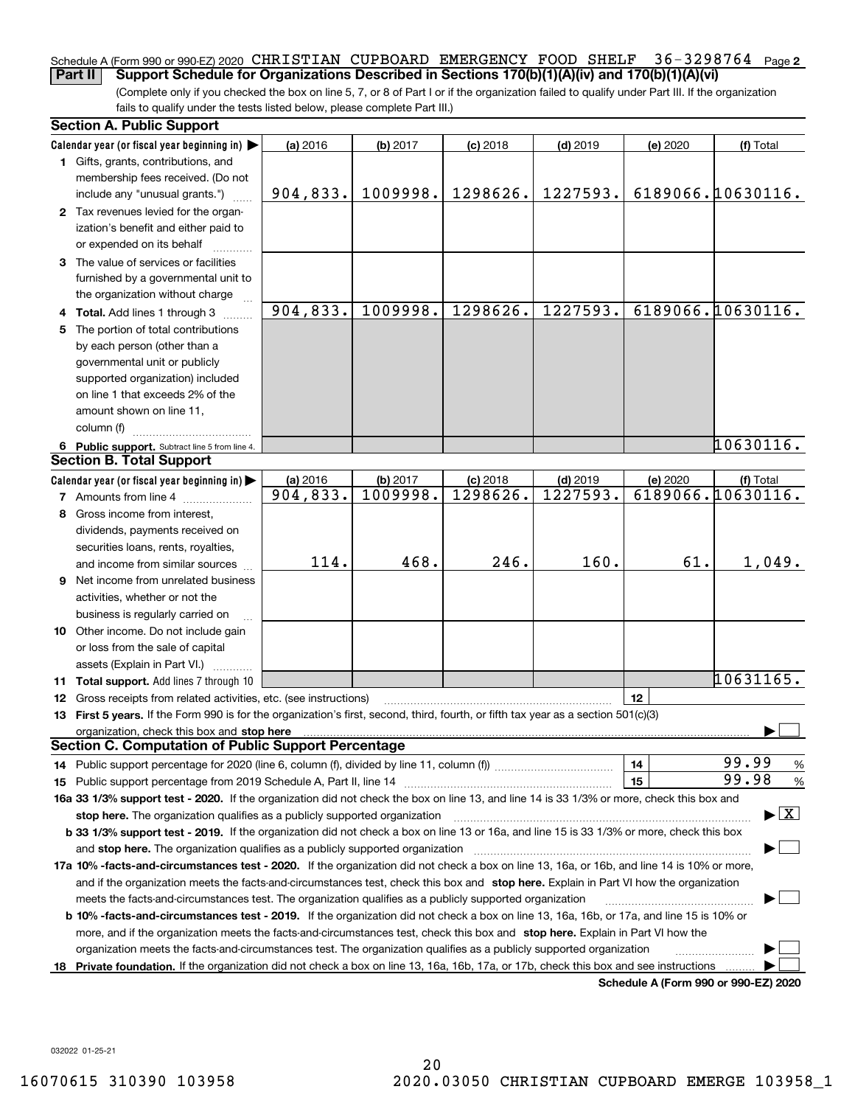### Schedule A (Form 990 or 990-EZ) 2020 CHRISTIAN CUPBOARD EMERGENCY FOOD SHELF 36-3298764 <sub>Page 2</sub> **Part II Support Schedule for Organizations Described in Sections 170(b)(1)(A)(iv) and 170(b)(1)(A)(vi)**

(Complete only if you checked the box on line 5, 7, or 8 of Part I or if the organization failed to qualify under Part III. If the organization fails to qualify under the tests listed below, please complete Part III.)

|    | <b>Section A. Public Support</b>                                                                                                                                                                                                                           |            |          |            |            |                                      |                                          |
|----|------------------------------------------------------------------------------------------------------------------------------------------------------------------------------------------------------------------------------------------------------------|------------|----------|------------|------------|--------------------------------------|------------------------------------------|
|    | Calendar year (or fiscal year beginning in)                                                                                                                                                                                                                | (a) 2016   | (b) 2017 | $(c)$ 2018 | $(d)$ 2019 | (e) 2020                             | (f) Total                                |
|    | 1 Gifts, grants, contributions, and<br>membership fees received. (Do not                                                                                                                                                                                   |            |          |            |            |                                      |                                          |
|    | include any "unusual grants.")                                                                                                                                                                                                                             | 904,833.   | 1009998. | 1298626.   | 1227593.   |                                      | 6189066.10630116.                        |
|    | 2 Tax revenues levied for the organ-<br>ization's benefit and either paid to<br>or expended on its behalf                                                                                                                                                  |            |          |            |            |                                      |                                          |
|    | 3 The value of services or facilities<br>furnished by a governmental unit to                                                                                                                                                                               |            |          |            |            |                                      |                                          |
|    | the organization without charge                                                                                                                                                                                                                            |            |          |            |            |                                      |                                          |
|    | 4 Total. Add lines 1 through 3                                                                                                                                                                                                                             | 904,833.   | 1009998. | 1298626.   | 1227593.   |                                      | 6189066.10630116.                        |
| 5. | The portion of total contributions                                                                                                                                                                                                                         |            |          |            |            |                                      |                                          |
|    | by each person (other than a                                                                                                                                                                                                                               |            |          |            |            |                                      |                                          |
|    | governmental unit or publicly                                                                                                                                                                                                                              |            |          |            |            |                                      |                                          |
|    | supported organization) included                                                                                                                                                                                                                           |            |          |            |            |                                      |                                          |
|    | on line 1 that exceeds 2% of the                                                                                                                                                                                                                           |            |          |            |            |                                      |                                          |
|    | amount shown on line 11,                                                                                                                                                                                                                                   |            |          |            |            |                                      |                                          |
|    | column (f)                                                                                                                                                                                                                                                 |            |          |            |            |                                      |                                          |
|    | 6 Public support. Subtract line 5 from line 4.                                                                                                                                                                                                             |            |          |            |            |                                      | 10630116.                                |
|    | <b>Section B. Total Support</b>                                                                                                                                                                                                                            |            |          |            |            |                                      |                                          |
|    | Calendar year (or fiscal year beginning in)                                                                                                                                                                                                                | $(a)$ 2016 | (b) 2017 | $(c)$ 2018 | $(d)$ 2019 | (e) 2020                             | (f) Total                                |
|    | <b>7</b> Amounts from line 4                                                                                                                                                                                                                               | 904,833.   | 1009998. | 1298626.   | 1227593.   |                                      | 6189066.10630116.                        |
| 8  | Gross income from interest,                                                                                                                                                                                                                                |            |          |            |            |                                      |                                          |
|    | dividends, payments received on                                                                                                                                                                                                                            |            |          |            |            |                                      |                                          |
|    | securities loans, rents, royalties,                                                                                                                                                                                                                        |            |          |            |            |                                      |                                          |
|    | and income from similar sources                                                                                                                                                                                                                            | 114.       | 468.     | 246.       | 160.       | 61.                                  | 1,049.                                   |
|    | <b>9</b> Net income from unrelated business                                                                                                                                                                                                                |            |          |            |            |                                      |                                          |
|    | activities, whether or not the                                                                                                                                                                                                                             |            |          |            |            |                                      |                                          |
|    | business is regularly carried on                                                                                                                                                                                                                           |            |          |            |            |                                      |                                          |
|    | 10 Other income. Do not include gain                                                                                                                                                                                                                       |            |          |            |            |                                      |                                          |
|    | or loss from the sale of capital                                                                                                                                                                                                                           |            |          |            |            |                                      |                                          |
|    | assets (Explain in Part VI.)                                                                                                                                                                                                                               |            |          |            |            |                                      |                                          |
|    | 11 Total support. Add lines 7 through 10                                                                                                                                                                                                                   |            |          |            |            |                                      | 10631165.                                |
|    | <b>12</b> Gross receipts from related activities, etc. (see instructions)                                                                                                                                                                                  |            |          |            |            | 12                                   |                                          |
|    | 13 First 5 years. If the Form 990 is for the organization's first, second, third, fourth, or fifth tax year as a section 501(c)(3)                                                                                                                         |            |          |            |            |                                      |                                          |
|    | <b>Section C. Computation of Public Support Percentage</b>                                                                                                                                                                                                 |            |          |            |            |                                      |                                          |
|    |                                                                                                                                                                                                                                                            |            |          |            |            |                                      | 99.99                                    |
|    | 14 Public support percentage for 2020 (line 6, column (f), divided by line 11, column (f) <i>marroummaname</i>                                                                                                                                             |            |          |            |            | 14<br>15                             | %<br>99.98                               |
|    |                                                                                                                                                                                                                                                            |            |          |            |            |                                      | %                                        |
|    | 16a 33 1/3% support test - 2020. If the organization did not check the box on line 13, and line 14 is 33 1/3% or more, check this box and                                                                                                                  |            |          |            |            |                                      | $\blacktriangleright$ $\boxed{\text{X}}$ |
|    | stop here. The organization qualifies as a publicly supported organization                                                                                                                                                                                 |            |          |            |            |                                      |                                          |
|    | b 33 1/3% support test - 2019. If the organization did not check a box on line 13 or 16a, and line 15 is 33 1/3% or more, check this box                                                                                                                   |            |          |            |            |                                      |                                          |
|    | and stop here. The organization qualifies as a publicly supported organization                                                                                                                                                                             |            |          |            |            |                                      |                                          |
|    | 17a 10% -facts-and-circumstances test - 2020. If the organization did not check a box on line 13, 16a, or 16b, and line 14 is 10% or more,                                                                                                                 |            |          |            |            |                                      |                                          |
|    | and if the organization meets the facts-and-circumstances test, check this box and stop here. Explain in Part VI how the organization                                                                                                                      |            |          |            |            |                                      |                                          |
|    | meets the facts-and-circumstances test. The organization qualifies as a publicly supported organization                                                                                                                                                    |            |          |            |            |                                      |                                          |
|    | <b>b 10% -facts-and-circumstances test - 2019.</b> If the organization did not check a box on line 13, 16a, 16b, or 17a, and line 15 is 10% or                                                                                                             |            |          |            |            |                                      |                                          |
|    | more, and if the organization meets the facts-and-circumstances test, check this box and stop here. Explain in Part VI how the                                                                                                                             |            |          |            |            |                                      |                                          |
| 18 | organization meets the facts-and-circumstances test. The organization qualifies as a publicly supported organization<br>Private foundation. If the organization did not check a box on line 13, 16a, 16b, 17a, or 17b, check this box and see instructions |            |          |            |            |                                      |                                          |
|    |                                                                                                                                                                                                                                                            |            |          |            |            | Schedule A (Form 990 or 990-EZ) 2020 |                                          |
|    |                                                                                                                                                                                                                                                            |            |          |            |            |                                      |                                          |

032022 01-25-21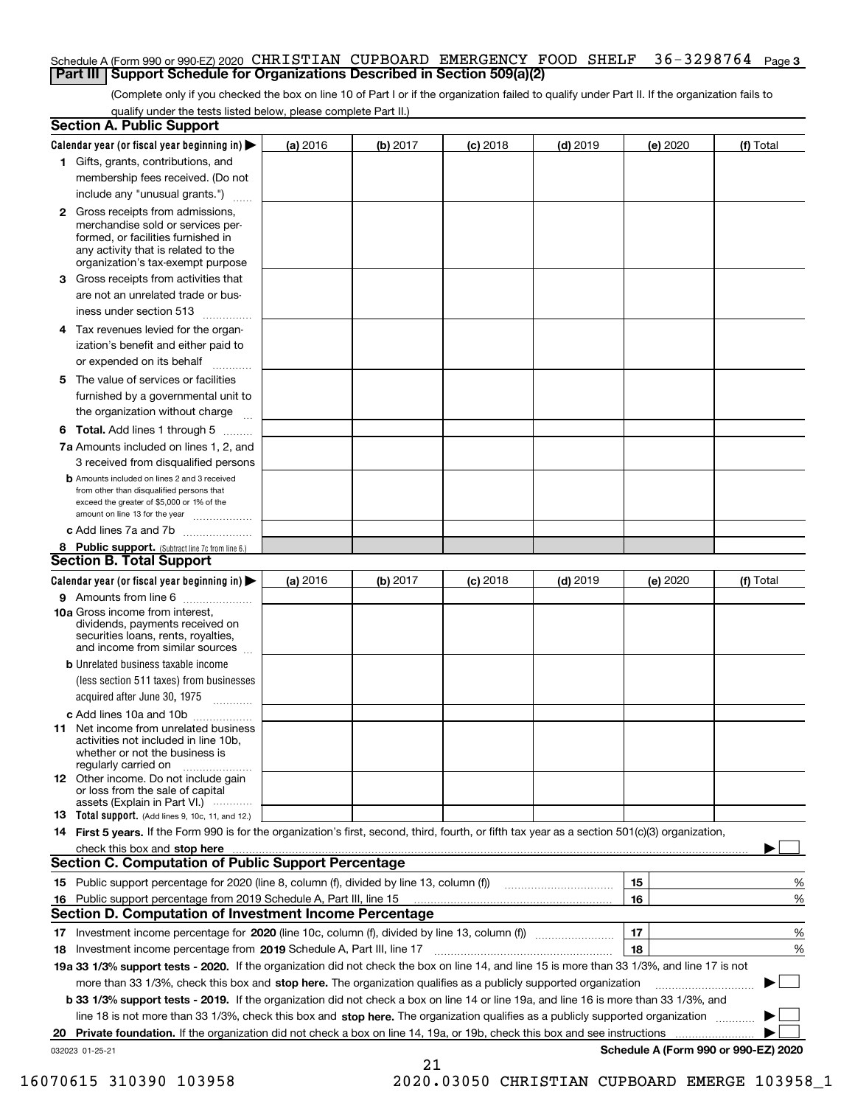### Schedule A (Form 990 or 990-EZ) 2020 CHRISTIAN CUPBOARD EMERGENCY FOOD SHELF 36-3298764 <sub>Page 3</sub> **Part III Support Schedule for Organizations Described in Section 509(a)(2)**

(Complete only if you checked the box on line 10 of Part I or if the organization failed to qualify under Part II. If the organization fails to qualify under the tests listed below, please complete Part II.)

| <b>Section A. Public Support</b>                                                                                                                           |          |          |            |            |                                      |           |
|------------------------------------------------------------------------------------------------------------------------------------------------------------|----------|----------|------------|------------|--------------------------------------|-----------|
| Calendar year (or fiscal year beginning in)                                                                                                                | (a) 2016 | (b) 2017 | $(c)$ 2018 | $(d)$ 2019 | (e) 2020                             | (f) Total |
| 1 Gifts, grants, contributions, and                                                                                                                        |          |          |            |            |                                      |           |
| membership fees received. (Do not                                                                                                                          |          |          |            |            |                                      |           |
| include any "unusual grants.")                                                                                                                             |          |          |            |            |                                      |           |
| <b>2</b> Gross receipts from admissions,<br>merchandise sold or services per-<br>formed, or facilities furnished in<br>any activity that is related to the |          |          |            |            |                                      |           |
| organization's tax-exempt purpose                                                                                                                          |          |          |            |            |                                      |           |
| 3 Gross receipts from activities that                                                                                                                      |          |          |            |            |                                      |           |
| are not an unrelated trade or bus-<br>iness under section 513                                                                                              |          |          |            |            |                                      |           |
| 4 Tax revenues levied for the organ-                                                                                                                       |          |          |            |            |                                      |           |
| ization's benefit and either paid to                                                                                                                       |          |          |            |            |                                      |           |
| or expended on its behalf                                                                                                                                  |          |          |            |            |                                      |           |
| 5 The value of services or facilities                                                                                                                      |          |          |            |            |                                      |           |
| furnished by a governmental unit to                                                                                                                        |          |          |            |            |                                      |           |
| the organization without charge                                                                                                                            |          |          |            |            |                                      |           |
| <b>6 Total.</b> Add lines 1 through 5                                                                                                                      |          |          |            |            |                                      |           |
| 7a Amounts included on lines 1, 2, and                                                                                                                     |          |          |            |            |                                      |           |
| 3 received from disqualified persons                                                                                                                       |          |          |            |            |                                      |           |
| <b>b</b> Amounts included on lines 2 and 3 received                                                                                                        |          |          |            |            |                                      |           |
| from other than disqualified persons that<br>exceed the greater of \$5,000 or 1% of the                                                                    |          |          |            |            |                                      |           |
| amount on line 13 for the year                                                                                                                             |          |          |            |            |                                      |           |
| c Add lines 7a and 7b                                                                                                                                      |          |          |            |            |                                      |           |
| 8 Public support. (Subtract line 7c from line 6.)                                                                                                          |          |          |            |            |                                      |           |
| <b>Section B. Total Support</b>                                                                                                                            |          |          |            |            |                                      |           |
| Calendar year (or fiscal year beginning in)                                                                                                                | (a) 2016 | (b) 2017 | $(c)$ 2018 | $(d)$ 2019 | (e) 2020                             | (f) Total |
| <b>9</b> Amounts from line 6                                                                                                                               |          |          |            |            |                                      |           |
| 10a Gross income from interest,<br>dividends, payments received on<br>securities loans, rents, royalties,<br>and income from similar sources               |          |          |            |            |                                      |           |
| <b>b</b> Unrelated business taxable income                                                                                                                 |          |          |            |            |                                      |           |
| (less section 511 taxes) from businesses                                                                                                                   |          |          |            |            |                                      |           |
| acquired after June 30, 1975<br>1.1.1.1.1.1.1.1.1.1                                                                                                        |          |          |            |            |                                      |           |
| c Add lines 10a and 10b                                                                                                                                    |          |          |            |            |                                      |           |
| 11 Net income from unrelated business<br>activities not included in line 10b,<br>whether or not the business is<br>regularly carried on                    |          |          |            |            |                                      |           |
| <b>12</b> Other income. Do not include gain<br>or loss from the sale of capital<br>assets (Explain in Part VI.)                                            |          |          |            |            |                                      |           |
| <b>13 Total support.</b> (Add lines 9, 10c, 11, and 12.)                                                                                                   |          |          |            |            |                                      |           |
| 14 First 5 years. If the Form 990 is for the organization's first, second, third, fourth, or fifth tax year as a section 501(c)(3) organization,           |          |          |            |            |                                      |           |
| check this box and stop here measurements are constructed as the state of the state of the state and stop here                                             |          |          |            |            |                                      |           |
| <b>Section C. Computation of Public Support Percentage</b>                                                                                                 |          |          |            |            |                                      |           |
| 15 Public support percentage for 2020 (line 8, column (f), divided by line 13, column (f))                                                                 |          |          |            |            | 15                                   | %         |
| 16 Public support percentage from 2019 Schedule A, Part III, line 15                                                                                       |          |          |            |            | 16                                   | %         |
| Section D. Computation of Investment Income Percentage                                                                                                     |          |          |            |            |                                      |           |
|                                                                                                                                                            |          |          |            |            | 17                                   | %         |
| 18 Investment income percentage from 2019 Schedule A, Part III, line 17                                                                                    |          |          |            |            | 18                                   | %         |
| 19a 33 1/3% support tests - 2020. If the organization did not check the box on line 14, and line 15 is more than 33 1/3%, and line 17 is not               |          |          |            |            |                                      |           |
| more than 33 1/3%, check this box and stop here. The organization qualifies as a publicly supported organization                                           |          |          |            |            |                                      |           |
| b 33 1/3% support tests - 2019. If the organization did not check a box on line 14 or line 19a, and line 16 is more than 33 1/3%, and                      |          |          |            |            |                                      |           |
| line 18 is not more than 33 1/3%, check this box and stop here. The organization qualifies as a publicly supported organization                            |          |          |            |            |                                      |           |
| 20 Private foundation. If the organization did not check a box on line 14, 19a, or 19b, check this box and see instructions                                |          |          |            |            |                                      |           |
| 032023 01-25-21                                                                                                                                            |          |          |            |            | Schedule A (Form 990 or 990-EZ) 2020 |           |

21

 <sup>16070615 310390 103958 2020.03050</sup> CHRISTIAN CUPBOARD EMERGE 103958\_1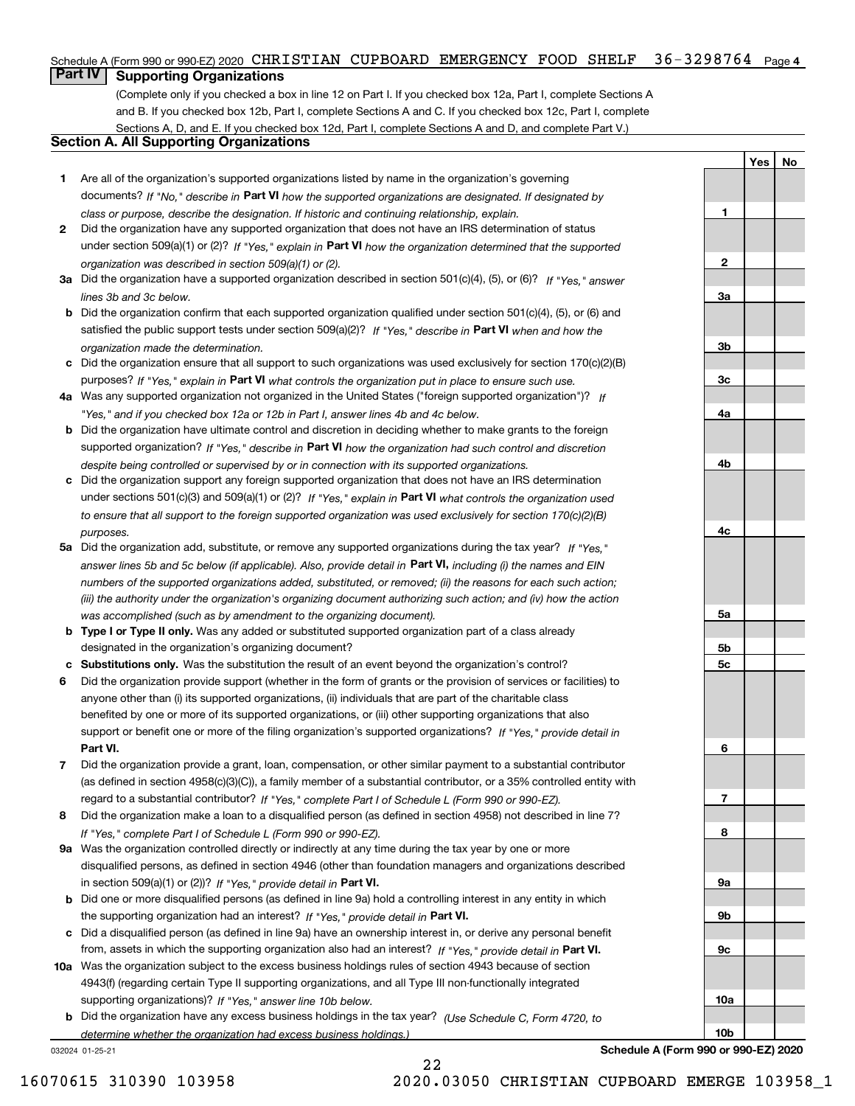## Schedule A (Form 990 or 990-EZ) 2020  $\,$  CHRISTIAN  $\,$  CUPBOARD  $\,$  EMERGENCY  $\,$  FOOD  $\,$  SHELF  $\,$   $\,$  36-3298764  $\,$   $\,$  Page 4  $\,$

## **Part IV Supporting Organizations**

(Complete only if you checked a box in line 12 on Part I. If you checked box 12a, Part I, complete Sections A and B. If you checked box 12b, Part I, complete Sections A and C. If you checked box 12c, Part I, complete Sections A, D, and E. If you checked box 12d, Part I, complete Sections A and D, and complete Part V.)

## **Section A. All Supporting Organizations**

- **1** Are all of the organization's supported organizations listed by name in the organization's governing documents? If "No," describe in **Part VI** how the supported organizations are designated. If designated by *class or purpose, describe the designation. If historic and continuing relationship, explain.*
- **2** Did the organization have any supported organization that does not have an IRS determination of status under section 509(a)(1) or (2)? If "Yes," explain in Part VI how the organization determined that the supported *organization was described in section 509(a)(1) or (2).*
- **3a** Did the organization have a supported organization described in section 501(c)(4), (5), or (6)? If "Yes," answer *lines 3b and 3c below.*
- **b** Did the organization confirm that each supported organization qualified under section 501(c)(4), (5), or (6) and satisfied the public support tests under section 509(a)(2)? If "Yes," describe in **Part VI** when and how the *organization made the determination.*
- **c**Did the organization ensure that all support to such organizations was used exclusively for section 170(c)(2)(B) purposes? If "Yes," explain in **Part VI** what controls the organization put in place to ensure such use.
- **4a***If* Was any supported organization not organized in the United States ("foreign supported organization")? *"Yes," and if you checked box 12a or 12b in Part I, answer lines 4b and 4c below.*
- **b** Did the organization have ultimate control and discretion in deciding whether to make grants to the foreign supported organization? If "Yes," describe in **Part VI** how the organization had such control and discretion *despite being controlled or supervised by or in connection with its supported organizations.*
- **c** Did the organization support any foreign supported organization that does not have an IRS determination under sections 501(c)(3) and 509(a)(1) or (2)? If "Yes," explain in **Part VI** what controls the organization used *to ensure that all support to the foreign supported organization was used exclusively for section 170(c)(2)(B) purposes.*
- **5a** Did the organization add, substitute, or remove any supported organizations during the tax year? If "Yes," answer lines 5b and 5c below (if applicable). Also, provide detail in **Part VI,** including (i) the names and EIN *numbers of the supported organizations added, substituted, or removed; (ii) the reasons for each such action; (iii) the authority under the organization's organizing document authorizing such action; and (iv) how the action was accomplished (such as by amendment to the organizing document).*
- **b** Type I or Type II only. Was any added or substituted supported organization part of a class already designated in the organization's organizing document?
- **cSubstitutions only.**  Was the substitution the result of an event beyond the organization's control?
- **6** Did the organization provide support (whether in the form of grants or the provision of services or facilities) to **Part VI.** *If "Yes," provide detail in* support or benefit one or more of the filing organization's supported organizations? anyone other than (i) its supported organizations, (ii) individuals that are part of the charitable class benefited by one or more of its supported organizations, or (iii) other supporting organizations that also
- **7**Did the organization provide a grant, loan, compensation, or other similar payment to a substantial contributor *If "Yes," complete Part I of Schedule L (Form 990 or 990-EZ).* regard to a substantial contributor? (as defined in section 4958(c)(3)(C)), a family member of a substantial contributor, or a 35% controlled entity with
- **8** Did the organization make a loan to a disqualified person (as defined in section 4958) not described in line 7? *If "Yes," complete Part I of Schedule L (Form 990 or 990-EZ).*
- **9a** Was the organization controlled directly or indirectly at any time during the tax year by one or more in section 509(a)(1) or (2))? If "Yes," *provide detail in* <code>Part VI.</code> disqualified persons, as defined in section 4946 (other than foundation managers and organizations described
- **b** Did one or more disqualified persons (as defined in line 9a) hold a controlling interest in any entity in which the supporting organization had an interest? If "Yes," provide detail in P**art VI**.
- **c**Did a disqualified person (as defined in line 9a) have an ownership interest in, or derive any personal benefit from, assets in which the supporting organization also had an interest? If "Yes," provide detail in P**art VI.**
- **10a** Was the organization subject to the excess business holdings rules of section 4943 because of section supporting organizations)? If "Yes," answer line 10b below. 4943(f) (regarding certain Type II supporting organizations, and all Type III non-functionally integrated
- **b** Did the organization have any excess business holdings in the tax year? (Use Schedule C, Form 4720, to *determine whether the organization had excess business holdings.)*

22

032024 01-25-21

**3b3c4a4b4c5a 5b5c6789a 9b9c10a**

**YesNo**

**1**

**2**

**3a**

**Schedule A (Form 990 or 990-EZ) 2020**

**10b**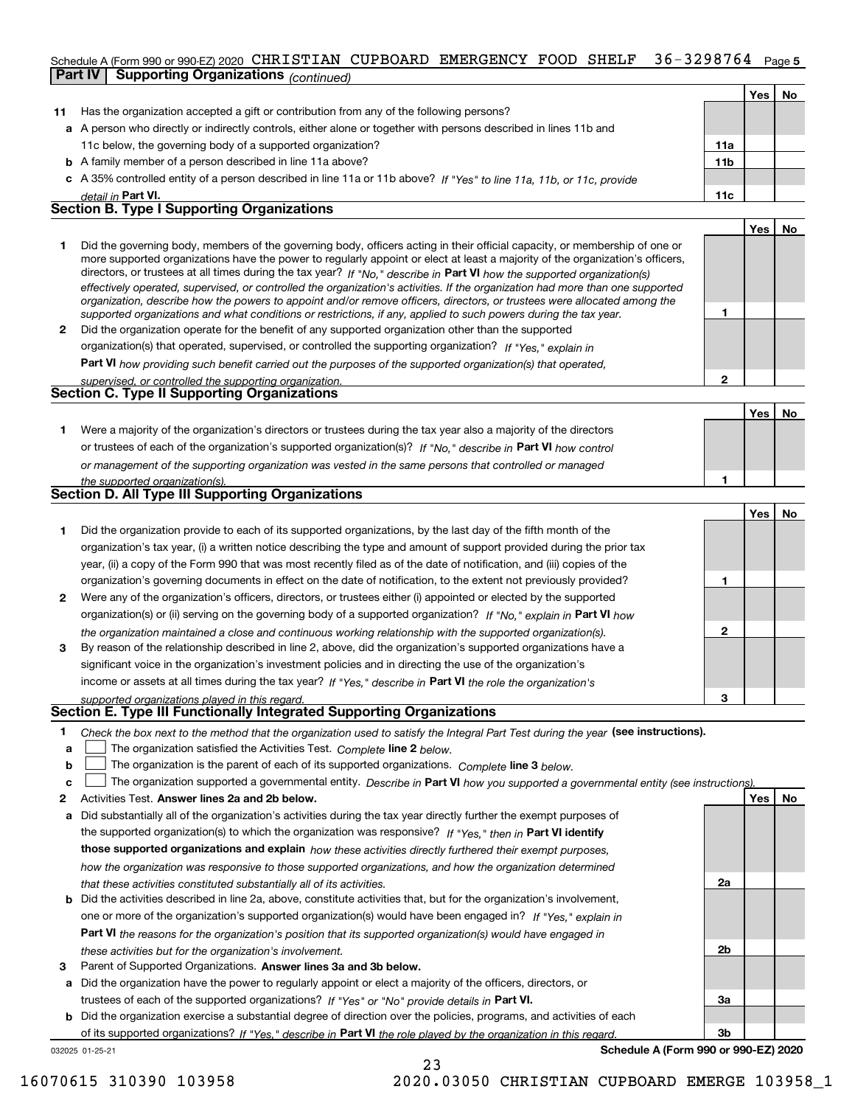### 36-3298764 Page 5 Schedule A (Form 990 or 990-EZ) 2020  $\,$  CHRISTIAN  $\,$  CUPBOARD  $\,$  EMERGENCY  $\,$  FOOD  $\,$  SHELF  $\,$   $\,$  36  $-$  3 2 9 8 7 6  $4$   $\,$  Page **Part IV Supporting Organizations** *(continued)*

|    |                                                                                                                                                                                                                                                                                                                                                                                                                                                                                                                                                                                                                                                      |                 | Yes l | No |
|----|------------------------------------------------------------------------------------------------------------------------------------------------------------------------------------------------------------------------------------------------------------------------------------------------------------------------------------------------------------------------------------------------------------------------------------------------------------------------------------------------------------------------------------------------------------------------------------------------------------------------------------------------------|-----------------|-------|----|
| 11 | Has the organization accepted a gift or contribution from any of the following persons?                                                                                                                                                                                                                                                                                                                                                                                                                                                                                                                                                              |                 |       |    |
|    | a A person who directly or indirectly controls, either alone or together with persons described in lines 11b and                                                                                                                                                                                                                                                                                                                                                                                                                                                                                                                                     |                 |       |    |
|    | 11c below, the governing body of a supported organization?                                                                                                                                                                                                                                                                                                                                                                                                                                                                                                                                                                                           | 11a             |       |    |
|    | <b>b</b> A family member of a person described in line 11a above?                                                                                                                                                                                                                                                                                                                                                                                                                                                                                                                                                                                    | 11 <sub>b</sub> |       |    |
|    | c A 35% controlled entity of a person described in line 11a or 11b above? If "Yes" to line 11a, 11b, or 11c, provide                                                                                                                                                                                                                                                                                                                                                                                                                                                                                                                                 |                 |       |    |
|    | detail in Part VI.                                                                                                                                                                                                                                                                                                                                                                                                                                                                                                                                                                                                                                   | 11c             |       |    |
|    | <b>Section B. Type I Supporting Organizations</b>                                                                                                                                                                                                                                                                                                                                                                                                                                                                                                                                                                                                    |                 |       |    |
|    |                                                                                                                                                                                                                                                                                                                                                                                                                                                                                                                                                                                                                                                      |                 | Yes l | No |
|    | Did the governing body, members of the governing body, officers acting in their official capacity, or membership of one or<br>more supported organizations have the power to regularly appoint or elect at least a majority of the organization's officers,<br>directors, or trustees at all times during the tax year? If "No," describe in Part VI how the supported organization(s)<br>effectively operated, supervised, or controlled the organization's activities. If the organization had more than one supported<br>organization, describe how the powers to appoint and/or remove officers, directors, or trustees were allocated among the |                 |       |    |
|    | supported organizations and what conditions or restrictions, if any, applied to such powers during the tax year.                                                                                                                                                                                                                                                                                                                                                                                                                                                                                                                                     |                 |       |    |

**2** Did the organization operate for the benefit of any supported organization other than the supported **Part VI**  *how providing such benefit carried out the purposes of the supported organization(s) that operated, If "Yes," explain in* organization(s) that operated, supervised, or controlled the supporting organization?

| supervised, or controlled the supporting organization. |  |
|--------------------------------------------------------|--|
| Section C. Type II Supporting Organizations            |  |
|                                                        |  |

**1**or trustees of each of the organization's supported organization(s)? If "No," describe in **Part VI** how control **1***or management of the supporting organization was vested in the same persons that controlled or managed the supported organization(s).* Were a majority of the organization's directors or trustees during the tax year also a majority of the directors

|  |  | <b>Section D. All Type III Supporting Organizations</b> |
|--|--|---------------------------------------------------------|
|  |  |                                                         |

|              |                                                                                                                        |   | Yes l | No |
|--------------|------------------------------------------------------------------------------------------------------------------------|---|-------|----|
|              | Did the organization provide to each of its supported organizations, by the last day of the fifth month of the         |   |       |    |
|              | organization's tax year, (i) a written notice describing the type and amount of support provided during the prior tax  |   |       |    |
|              | year, (ii) a copy of the Form 990 that was most recently filed as of the date of notification, and (iii) copies of the |   |       |    |
|              | organization's governing documents in effect on the date of notification, to the extent not previously provided?       |   |       |    |
| $\mathbf{2}$ | Were any of the organization's officers, directors, or trustees either (i) appointed or elected by the supported       |   |       |    |
|              | organization(s) or (ii) serving on the governing body of a supported organization? If "No," explain in Part VI how     |   |       |    |
|              | the organization maintained a close and continuous working relationship with the supported organization(s).            | 2 |       |    |
| 3            | By reason of the relationship described in line 2, above, did the organization's supported organizations have a        |   |       |    |
|              | significant voice in the organization's investment policies and in directing the use of the organization's             |   |       |    |
|              | income or assets at all times during the tax year? If "Yes," describe in Part VI the role the organization's           |   |       |    |
|              | supported organizations played in this regard.                                                                         | з |       |    |

## *supported organizations played in this regard.* **Section E. Type III Functionally Integrated Supporting Organizations**

- **1**Check the box next to the method that the organization used to satisfy the Integral Part Test during the year (see instructions).
- **alinupy** The organization satisfied the Activities Test. Complete line 2 below.
- **bThe organization is the parent of each of its supported organizations. Complete line 3 below.**

|  |  |  | The organization supported a governmental entity. Describe in Part VI how you supported a governmental entity (see instructions). |  |
|--|--|--|-----------------------------------------------------------------------------------------------------------------------------------|--|
|--|--|--|-----------------------------------------------------------------------------------------------------------------------------------|--|

23

- **2Answer lines 2a and 2b below. Yes No** Activities Test.
- **a** Did substantially all of the organization's activities during the tax year directly further the exempt purposes of the supported organization(s) to which the organization was responsive? If "Yes," then in **Part VI identify those supported organizations and explain**  *how these activities directly furthered their exempt purposes, how the organization was responsive to those supported organizations, and how the organization determined that these activities constituted substantially all of its activities.*
- **b** Did the activities described in line 2a, above, constitute activities that, but for the organization's involvement, **Part VI**  *the reasons for the organization's position that its supported organization(s) would have engaged in* one or more of the organization's supported organization(s) would have been engaged in? If "Yes," e*xplain in these activities but for the organization's involvement.*
- **3** Parent of Supported Organizations. Answer lines 3a and 3b below.

**a** Did the organization have the power to regularly appoint or elect a majority of the officers, directors, or trustees of each of the supported organizations? If "Yes" or "No" provide details in **Part VI.** 

**b** Did the organization exercise a substantial degree of direction over the policies, programs, and activities of each of its supported organizations? If "Yes," describe in Part VI the role played by the organization in this regard.

032025 01-25-21

**Schedule A (Form 990 or 990-EZ) 2020**

**2a**

**2b**

**3a**

**3b**

**2**

**YesNo**

16070615 310390 103958 2020.03050 CHRISTIAN CUPBOARD EMERGE 103958\_1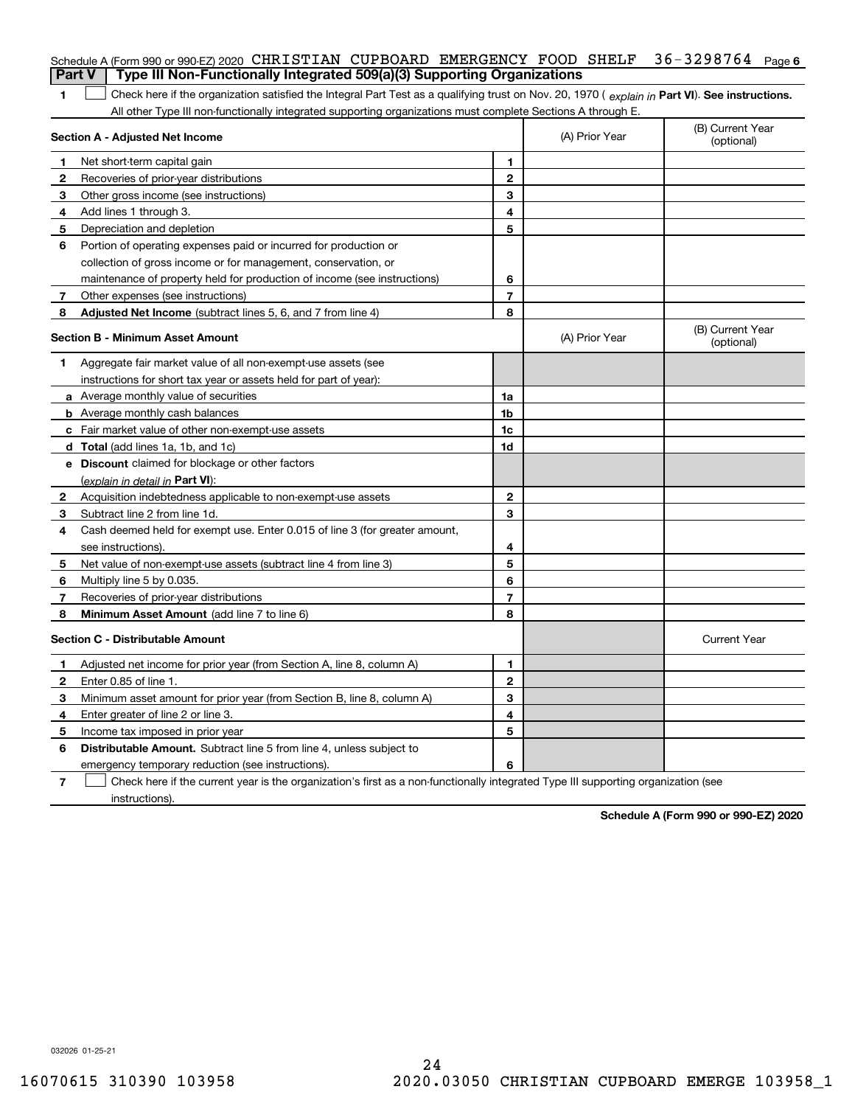|               | Schedule A (Form 990 or 990-EZ) 2020 CHRISTIAN CUPBOARD EMERGENCY FOOD SHELF                                                                                                                                                                                  |                                                  |                | $36 - 3298764$ Page 6          |  |
|---------------|---------------------------------------------------------------------------------------------------------------------------------------------------------------------------------------------------------------------------------------------------------------|--------------------------------------------------|----------------|--------------------------------|--|
| <b>Part V</b> | Type III Non-Functionally Integrated 509(a)(3) Supporting Organizations                                                                                                                                                                                       |                                                  |                |                                |  |
| 1             | Check here if the organization satisfied the Integral Part Test as a qualifying trust on Nov. 20, 1970 (explain in Part VI). See instructions.<br>All other Type III non-functionally integrated supporting organizations must complete Sections A through E. |                                                  |                |                                |  |
|               | Section A - Adjusted Net Income                                                                                                                                                                                                                               | (B) Current Year<br>(A) Prior Year<br>(optional) |                |                                |  |
| 1             | Net short-term capital gain                                                                                                                                                                                                                                   | 1.                                               |                |                                |  |
| 2             | Recoveries of prior-year distributions                                                                                                                                                                                                                        | $\overline{2}$                                   |                |                                |  |
| З             | Other gross income (see instructions)                                                                                                                                                                                                                         | 3                                                |                |                                |  |
| 4             | Add lines 1 through 3.                                                                                                                                                                                                                                        | 4                                                |                |                                |  |
| 5             | Depreciation and depletion                                                                                                                                                                                                                                    | 5                                                |                |                                |  |
| 6             | Portion of operating expenses paid or incurred for production or                                                                                                                                                                                              |                                                  |                |                                |  |
|               | collection of gross income or for management, conservation, or                                                                                                                                                                                                |                                                  |                |                                |  |
|               | maintenance of property held for production of income (see instructions)                                                                                                                                                                                      | 6                                                |                |                                |  |
| 7             | Other expenses (see instructions)                                                                                                                                                                                                                             | $\overline{7}$                                   |                |                                |  |
| 8             | Adjusted Net Income (subtract lines 5, 6, and 7 from line 4)                                                                                                                                                                                                  | 8                                                |                |                                |  |
|               | <b>Section B - Minimum Asset Amount</b>                                                                                                                                                                                                                       |                                                  | (A) Prior Year | (B) Current Year<br>(optional) |  |
| 1             | Aggregate fair market value of all non-exempt-use assets (see                                                                                                                                                                                                 |                                                  |                |                                |  |
|               | instructions for short tax year or assets held for part of year):                                                                                                                                                                                             |                                                  |                |                                |  |
|               | <b>a</b> Average monthly value of securities                                                                                                                                                                                                                  | 1a                                               |                |                                |  |
|               | <b>b</b> Average monthly cash balances                                                                                                                                                                                                                        | 1b                                               |                |                                |  |
|               | c Fair market value of other non-exempt-use assets                                                                                                                                                                                                            | 1c                                               |                |                                |  |
|               | <b>d</b> Total (add lines 1a, 1b, and 1c)                                                                                                                                                                                                                     | 1d                                               |                |                                |  |
|               | <b>e</b> Discount claimed for blockage or other factors                                                                                                                                                                                                       |                                                  |                |                                |  |
|               | (explain in detail in Part VI):                                                                                                                                                                                                                               |                                                  |                |                                |  |
| 2             | Acquisition indebtedness applicable to non-exempt-use assets                                                                                                                                                                                                  | $\mathbf{2}$                                     |                |                                |  |
| 3             | Subtract line 2 from line 1d.                                                                                                                                                                                                                                 | 3                                                |                |                                |  |
| 4             | Cash deemed held for exempt use. Enter 0.015 of line 3 (for greater amount,                                                                                                                                                                                   |                                                  |                |                                |  |
|               | see instructions).                                                                                                                                                                                                                                            | 4                                                |                |                                |  |
| 5             | Net value of non-exempt-use assets (subtract line 4 from line 3)                                                                                                                                                                                              | 5                                                |                |                                |  |
| 6             | Multiply line 5 by 0.035.                                                                                                                                                                                                                                     | 6                                                |                |                                |  |
| 7             | Recoveries of prior-year distributions                                                                                                                                                                                                                        | $\overline{7}$                                   |                |                                |  |
| 8             | Minimum Asset Amount (add line 7 to line 6)                                                                                                                                                                                                                   | 8                                                |                |                                |  |
|               | <b>Section C - Distributable Amount</b>                                                                                                                                                                                                                       |                                                  |                | <b>Current Year</b>            |  |
|               | Adjusted net income for prior year (from Section A, line 8, column A)                                                                                                                                                                                         | 1                                                |                |                                |  |
|               | Enter 0.85 of line 1.                                                                                                                                                                                                                                         | 2                                                |                |                                |  |
| 3             | Minimum asset amount for prior year (from Section B, line 8, column A)                                                                                                                                                                                        | 3                                                |                |                                |  |
| 4             | Enter greater of line 2 or line 3.                                                                                                                                                                                                                            | 4                                                |                |                                |  |
|               | 5 Income tax imposed in prior year                                                                                                                                                                                                                            | 5                                                |                |                                |  |
| 6             | <b>Distributable Amount.</b> Subtract line 5 from line 4, unless subject to                                                                                                                                                                                   |                                                  |                |                                |  |
|               | emergency temporary reduction (see instructions).                                                                                                                                                                                                             | 6                                                |                |                                |  |
| 7             | Check here if the current year is the organization's first as a non-functionally integrated Type III supporting organization (see                                                                                                                             |                                                  |                |                                |  |

instructions).

**Schedule A (Form 990 or 990-EZ) 2020**

032026 01-25-21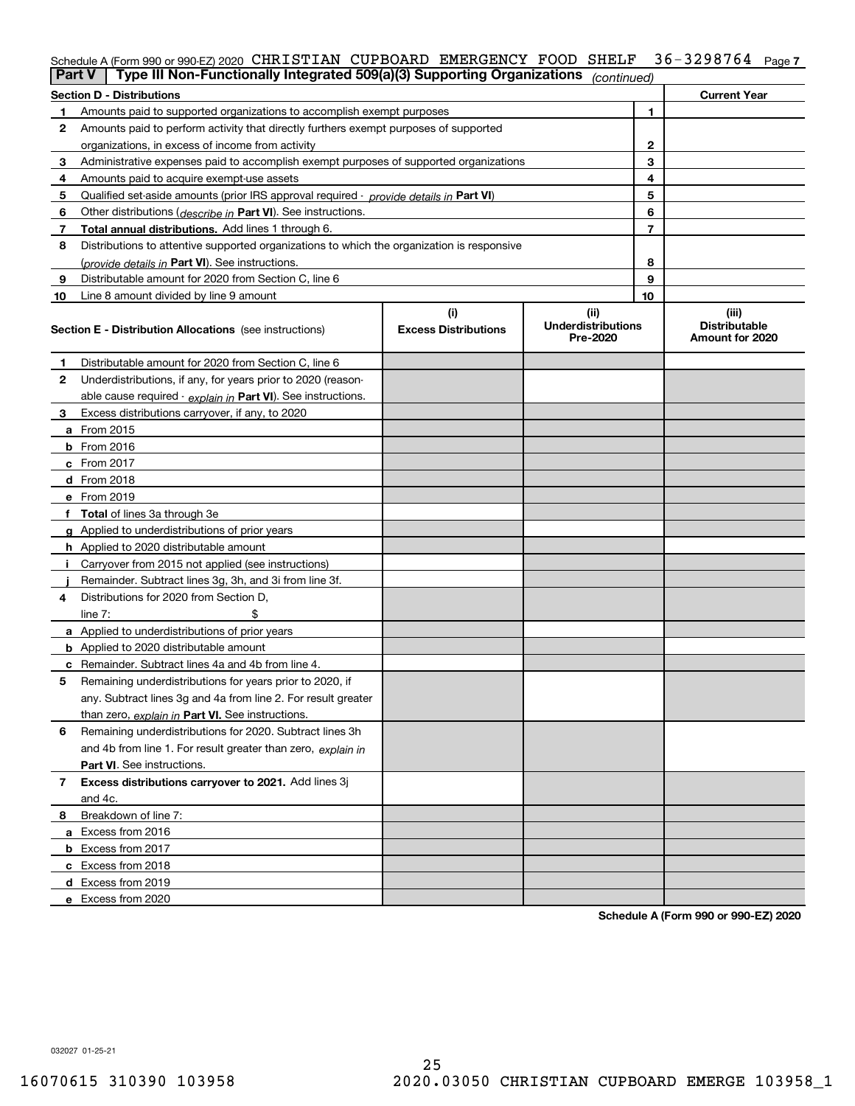## Schedule A (Form 990 or 990-EZ) 2020 CHRISTIAN CUPBOARD EMERGENCY FOOD SHELF 36-3298764 <sub>Page 7</sub>

| <b>Part V</b> | Type III Non-Functionally Integrated 509(a)(3) Supporting Organizations                    |                                    | (continued)                                   |   |                                                  |
|---------------|--------------------------------------------------------------------------------------------|------------------------------------|-----------------------------------------------|---|--------------------------------------------------|
|               | <b>Section D - Distributions</b>                                                           |                                    |                                               |   | <b>Current Year</b>                              |
| 1             | Amounts paid to supported organizations to accomplish exempt purposes                      |                                    |                                               | 1 |                                                  |
| 2             | Amounts paid to perform activity that directly furthers exempt purposes of supported       |                                    |                                               |   |                                                  |
|               | organizations, in excess of income from activity                                           |                                    |                                               | 2 |                                                  |
| 3             | Administrative expenses paid to accomplish exempt purposes of supported organizations      |                                    |                                               | 3 |                                                  |
| 4             | Amounts paid to acquire exempt-use assets                                                  |                                    | 4                                             |   |                                                  |
| 5             | Qualified set-aside amounts (prior IRS approval required - provide details in Part VI)     |                                    | 5                                             |   |                                                  |
| 6             | Other distributions (describe in Part VI). See instructions.                               |                                    | 6                                             |   |                                                  |
| 7             | Total annual distributions. Add lines 1 through 6.                                         |                                    |                                               | 7 |                                                  |
| 8             | Distributions to attentive supported organizations to which the organization is responsive |                                    |                                               |   |                                                  |
|               | (provide details in Part VI). See instructions.                                            |                                    |                                               | 8 |                                                  |
| 9             | Distributable amount for 2020 from Section C, line 6                                       |                                    |                                               | 9 |                                                  |
| 10            | Line 8 amount divided by line 9 amount                                                     |                                    | 10                                            |   |                                                  |
|               | <b>Section E - Distribution Allocations</b> (see instructions)                             | (i)<br><b>Excess Distributions</b> | (ii)<br><b>Underdistributions</b><br>Pre-2020 |   | (iii)<br><b>Distributable</b><br>Amount for 2020 |
| 1             | Distributable amount for 2020 from Section C, line 6                                       |                                    |                                               |   |                                                  |
| 2             | Underdistributions, if any, for years prior to 2020 (reason-                               |                                    |                                               |   |                                                  |
|               | able cause required - explain in Part VI). See instructions.                               |                                    |                                               |   |                                                  |
| 3             | Excess distributions carryover, if any, to 2020                                            |                                    |                                               |   |                                                  |
|               | <b>a</b> From 2015                                                                         |                                    |                                               |   |                                                  |
|               | <b>b</b> From 2016                                                                         |                                    |                                               |   |                                                  |
|               | c From 2017                                                                                |                                    |                                               |   |                                                  |
|               | <b>d</b> From 2018                                                                         |                                    |                                               |   |                                                  |
|               | e From 2019                                                                                |                                    |                                               |   |                                                  |
|               | f Total of lines 3a through 3e                                                             |                                    |                                               |   |                                                  |
|               | g Applied to underdistributions of prior years                                             |                                    |                                               |   |                                                  |
|               | <b>h</b> Applied to 2020 distributable amount                                              |                                    |                                               |   |                                                  |
|               | Carryover from 2015 not applied (see instructions)                                         |                                    |                                               |   |                                                  |
|               | Remainder. Subtract lines 3g, 3h, and 3i from line 3f.                                     |                                    |                                               |   |                                                  |
| 4             | Distributions for 2020 from Section D,                                                     |                                    |                                               |   |                                                  |
|               | line $7:$                                                                                  |                                    |                                               |   |                                                  |
|               | a Applied to underdistributions of prior years                                             |                                    |                                               |   |                                                  |
|               | <b>b</b> Applied to 2020 distributable amount                                              |                                    |                                               |   |                                                  |
|               | c Remainder. Subtract lines 4a and 4b from line 4.                                         |                                    |                                               |   |                                                  |
| 5             | Remaining underdistributions for years prior to 2020, if                                   |                                    |                                               |   |                                                  |
|               | any. Subtract lines 3g and 4a from line 2. For result greater                              |                                    |                                               |   |                                                  |
|               | than zero, explain in Part VI. See instructions.                                           |                                    |                                               |   |                                                  |
| 6             | Remaining underdistributions for 2020. Subtract lines 3h                                   |                                    |                                               |   |                                                  |
|               | and 4b from line 1. For result greater than zero, explain in                               |                                    |                                               |   |                                                  |
|               | Part VI. See instructions.                                                                 |                                    |                                               |   |                                                  |
| 7             | Excess distributions carryover to 2021. Add lines 3j                                       |                                    |                                               |   |                                                  |
|               | and 4c.                                                                                    |                                    |                                               |   |                                                  |
| 8             | Breakdown of line 7:                                                                       |                                    |                                               |   |                                                  |
|               | a Excess from 2016                                                                         |                                    |                                               |   |                                                  |
|               | <b>b</b> Excess from 2017                                                                  |                                    |                                               |   |                                                  |
|               | c Excess from 2018                                                                         |                                    |                                               |   |                                                  |
|               | d Excess from 2019                                                                         |                                    |                                               |   |                                                  |
|               | e Excess from 2020                                                                         |                                    |                                               |   |                                                  |

**Schedule A (Form 990 or 990-EZ) 2020**

032027 01-25-21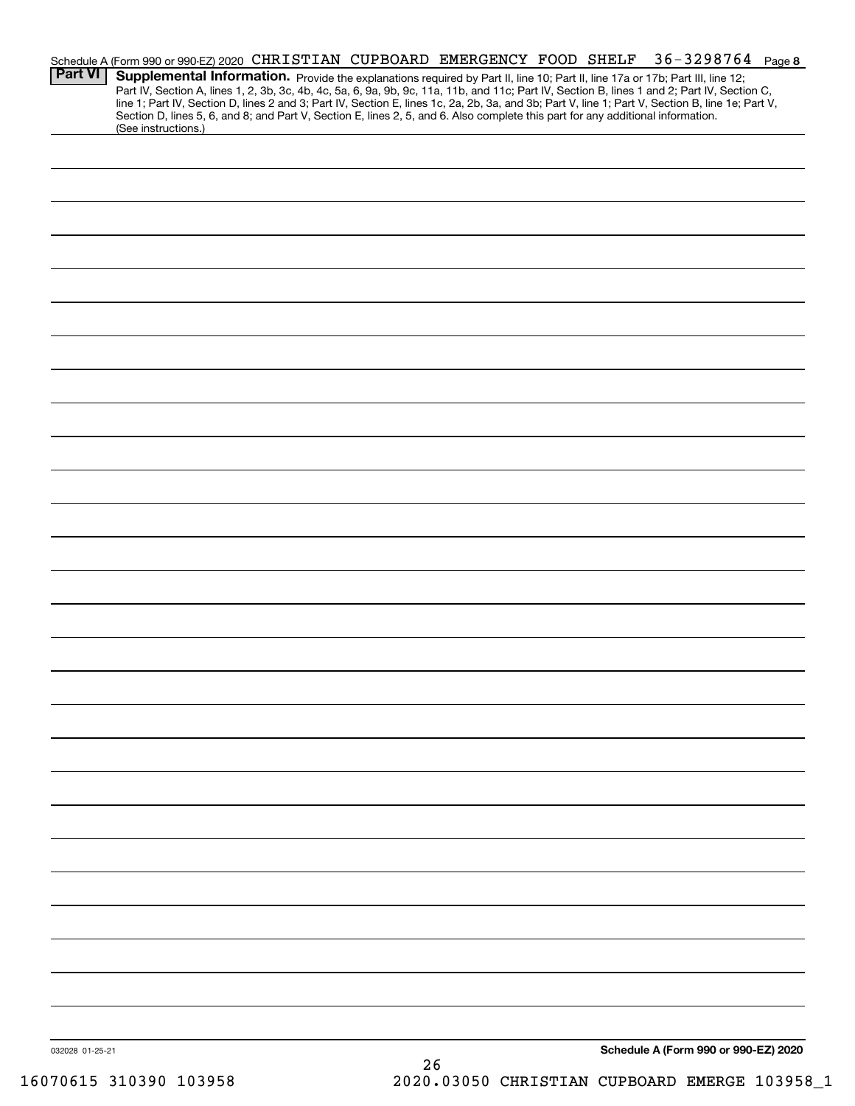|                 | Schedule A (Form 990 or 990-EZ) 2020 CHRISTIAN CUPBOARD EMERGENCY FOOD SHELF                                                    |  |    |  | $36 - 3298764$ Page 8                                                                                                                                                                                                                                                                                                                                                                                                             |  |
|-----------------|---------------------------------------------------------------------------------------------------------------------------------|--|----|--|-----------------------------------------------------------------------------------------------------------------------------------------------------------------------------------------------------------------------------------------------------------------------------------------------------------------------------------------------------------------------------------------------------------------------------------|--|
| <b>Part VI</b>  | Section D, lines 5, 6, and 8; and Part V, Section E, lines 2, 5, and 6. Also complete this part for any additional information. |  |    |  | Supplemental Information. Provide the explanations required by Part II, line 10; Part II, line 17a or 17b; Part III, line 12;<br>Part IV, Section A, lines 1, 2, 3b, 3c, 4b, 4c, 5a, 6, 9a, 9b, 9c, 11a, 11b, and 11c; Part IV, Section B, lines 1 and 2; Part IV, Section C,<br>line 1; Part IV, Section D, lines 2 and 3; Part IV, Section E, lines 1c, 2a, 2b, 3a, and 3b; Part V, line 1; Part V, Section B, line 1e; Part V, |  |
|                 | (See instructions.)                                                                                                             |  |    |  |                                                                                                                                                                                                                                                                                                                                                                                                                                   |  |
|                 |                                                                                                                                 |  |    |  |                                                                                                                                                                                                                                                                                                                                                                                                                                   |  |
|                 |                                                                                                                                 |  |    |  |                                                                                                                                                                                                                                                                                                                                                                                                                                   |  |
|                 |                                                                                                                                 |  |    |  |                                                                                                                                                                                                                                                                                                                                                                                                                                   |  |
|                 |                                                                                                                                 |  |    |  |                                                                                                                                                                                                                                                                                                                                                                                                                                   |  |
|                 |                                                                                                                                 |  |    |  |                                                                                                                                                                                                                                                                                                                                                                                                                                   |  |
|                 |                                                                                                                                 |  |    |  |                                                                                                                                                                                                                                                                                                                                                                                                                                   |  |
|                 |                                                                                                                                 |  |    |  |                                                                                                                                                                                                                                                                                                                                                                                                                                   |  |
|                 |                                                                                                                                 |  |    |  |                                                                                                                                                                                                                                                                                                                                                                                                                                   |  |
|                 |                                                                                                                                 |  |    |  |                                                                                                                                                                                                                                                                                                                                                                                                                                   |  |
|                 |                                                                                                                                 |  |    |  |                                                                                                                                                                                                                                                                                                                                                                                                                                   |  |
|                 |                                                                                                                                 |  |    |  |                                                                                                                                                                                                                                                                                                                                                                                                                                   |  |
|                 |                                                                                                                                 |  |    |  |                                                                                                                                                                                                                                                                                                                                                                                                                                   |  |
|                 |                                                                                                                                 |  |    |  |                                                                                                                                                                                                                                                                                                                                                                                                                                   |  |
|                 |                                                                                                                                 |  |    |  |                                                                                                                                                                                                                                                                                                                                                                                                                                   |  |
|                 |                                                                                                                                 |  |    |  |                                                                                                                                                                                                                                                                                                                                                                                                                                   |  |
|                 |                                                                                                                                 |  |    |  |                                                                                                                                                                                                                                                                                                                                                                                                                                   |  |
|                 |                                                                                                                                 |  |    |  |                                                                                                                                                                                                                                                                                                                                                                                                                                   |  |
|                 |                                                                                                                                 |  |    |  |                                                                                                                                                                                                                                                                                                                                                                                                                                   |  |
|                 |                                                                                                                                 |  |    |  |                                                                                                                                                                                                                                                                                                                                                                                                                                   |  |
|                 |                                                                                                                                 |  |    |  |                                                                                                                                                                                                                                                                                                                                                                                                                                   |  |
|                 |                                                                                                                                 |  |    |  |                                                                                                                                                                                                                                                                                                                                                                                                                                   |  |
|                 |                                                                                                                                 |  |    |  |                                                                                                                                                                                                                                                                                                                                                                                                                                   |  |
|                 |                                                                                                                                 |  |    |  |                                                                                                                                                                                                                                                                                                                                                                                                                                   |  |
|                 |                                                                                                                                 |  |    |  |                                                                                                                                                                                                                                                                                                                                                                                                                                   |  |
|                 |                                                                                                                                 |  |    |  |                                                                                                                                                                                                                                                                                                                                                                                                                                   |  |
|                 |                                                                                                                                 |  |    |  |                                                                                                                                                                                                                                                                                                                                                                                                                                   |  |
|                 |                                                                                                                                 |  |    |  |                                                                                                                                                                                                                                                                                                                                                                                                                                   |  |
|                 |                                                                                                                                 |  |    |  |                                                                                                                                                                                                                                                                                                                                                                                                                                   |  |
|                 |                                                                                                                                 |  |    |  |                                                                                                                                                                                                                                                                                                                                                                                                                                   |  |
|                 |                                                                                                                                 |  |    |  |                                                                                                                                                                                                                                                                                                                                                                                                                                   |  |
|                 |                                                                                                                                 |  |    |  |                                                                                                                                                                                                                                                                                                                                                                                                                                   |  |
|                 |                                                                                                                                 |  |    |  |                                                                                                                                                                                                                                                                                                                                                                                                                                   |  |
|                 |                                                                                                                                 |  |    |  |                                                                                                                                                                                                                                                                                                                                                                                                                                   |  |
|                 |                                                                                                                                 |  |    |  |                                                                                                                                                                                                                                                                                                                                                                                                                                   |  |
|                 |                                                                                                                                 |  |    |  |                                                                                                                                                                                                                                                                                                                                                                                                                                   |  |
|                 |                                                                                                                                 |  |    |  |                                                                                                                                                                                                                                                                                                                                                                                                                                   |  |
| 032028 01-25-21 |                                                                                                                                 |  | つよ |  | Schedule A (Form 990 or 990-EZ) 2020                                                                                                                                                                                                                                                                                                                                                                                              |  |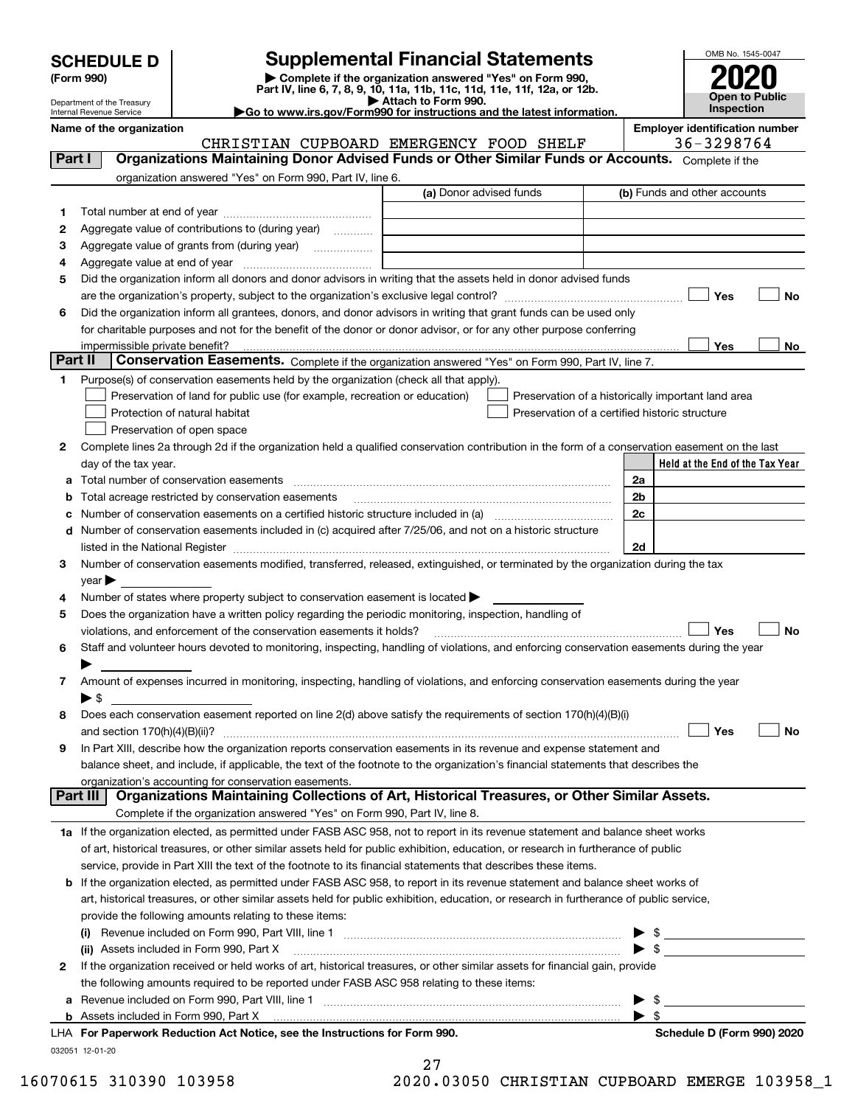| <b>SCHEDULE D</b> |  |
|-------------------|--|
|-------------------|--|

Department of the Treasury Internal Revenue Service

| (Form 990) |  |  |
|------------|--|--|
|------------|--|--|

# **Supplemental Financial Statements**

(Form 990)<br>
Pepartment of the Treasury<br>
Department of the Treasury<br>
Department of the Treasury<br>
Department of the Treasury<br> **Co to www.irs.gov/Form990 for instructions and the latest information.**<br> **Co to www.irs.gov/Form9** 

|  | Go to www.irs.gov/Form990 for instructions and the latest informat~ |  |  |  |
|--|---------------------------------------------------------------------|--|--|--|
|  |                                                                     |  |  |  |



| Name of the organization |  |
|--------------------------|--|
|--------------------------|--|

CHRISTIAN CUPBOARD EMERGENCY FOOD SHELF 36-3298764

**Name of the organization Employer identification number**

| Part I  |                            | Organizations Maintaining Donor Advised Funds or Other Similar Funds or Accounts. Complete if the                                              |                                                    |      |                                 |    |
|---------|----------------------------|------------------------------------------------------------------------------------------------------------------------------------------------|----------------------------------------------------|------|---------------------------------|----|
|         |                            | organization answered "Yes" on Form 990, Part IV, line 6.                                                                                      |                                                    |      |                                 |    |
|         |                            |                                                                                                                                                | (a) Donor advised funds                            |      | (b) Funds and other accounts    |    |
| 1       |                            |                                                                                                                                                |                                                    |      |                                 |    |
| 2       |                            | Aggregate value of contributions to (during year)                                                                                              |                                                    |      |                                 |    |
| з       |                            | Aggregate value of grants from (during year)<br>$\overline{\phantom{a}}$                                                                       |                                                    |      |                                 |    |
| 4       |                            |                                                                                                                                                |                                                    |      |                                 |    |
| 5       |                            | Did the organization inform all donors and donor advisors in writing that the assets held in donor advised funds                               |                                                    |      |                                 |    |
|         |                            |                                                                                                                                                |                                                    |      | Yes                             | No |
| 6       |                            | Did the organization inform all grantees, donors, and donor advisors in writing that grant funds can be used only                              |                                                    |      |                                 |    |
|         |                            | for charitable purposes and not for the benefit of the donor or donor advisor, or for any other purpose conferring                             |                                                    |      |                                 |    |
|         |                            | impermissible private benefit?                                                                                                                 |                                                    |      | Yes                             | No |
| Part II |                            | Conservation Easements. Complete if the organization answered "Yes" on Form 990, Part IV, line 7.                                              |                                                    |      |                                 |    |
| 1       |                            | Purpose(s) of conservation easements held by the organization (check all that apply).                                                          |                                                    |      |                                 |    |
|         |                            | Preservation of land for public use (for example, recreation or education)                                                                     | Preservation of a historically important land area |      |                                 |    |
|         |                            | Protection of natural habitat                                                                                                                  | Preservation of a certified historic structure     |      |                                 |    |
|         |                            | Preservation of open space                                                                                                                     |                                                    |      |                                 |    |
| 2       |                            | Complete lines 2a through 2d if the organization held a qualified conservation contribution in the form of a conservation easement on the last |                                                    |      |                                 |    |
|         |                            | day of the tax year.                                                                                                                           |                                                    |      | Held at the End of the Tax Year |    |
| a       |                            |                                                                                                                                                |                                                    | 2a   |                                 |    |
| b       |                            | Total acreage restricted by conservation easements                                                                                             |                                                    | 2b   |                                 |    |
| c       |                            | Number of conservation easements on a certified historic structure included in (a) manufacture included in (a)                                 |                                                    | 2c   |                                 |    |
| d       |                            | Number of conservation easements included in (c) acquired after 7/25/06, and not on a historic structure                                       |                                                    |      |                                 |    |
|         |                            | listed in the National Register [11, 2003] March 2014 The National Register [11, 2014] March 2014 The National                                 |                                                    | 2d   |                                 |    |
| 3       |                            | Number of conservation easements modified, transferred, released, extinguished, or terminated by the organization during the tax               |                                                    |      |                                 |    |
|         | $year \blacktriangleright$ |                                                                                                                                                |                                                    |      |                                 |    |
| 4       |                            | Number of states where property subject to conservation easement is located >                                                                  |                                                    |      |                                 |    |
| 5       |                            | Does the organization have a written policy regarding the periodic monitoring, inspection, handling of                                         |                                                    |      |                                 |    |
|         |                            | violations, and enforcement of the conservation easements it holds?                                                                            |                                                    |      | Yes                             | No |
| 6       |                            | Staff and volunteer hours devoted to monitoring, inspecting, handling of violations, and enforcing conservation easements during the year      |                                                    |      |                                 |    |
|         |                            |                                                                                                                                                |                                                    |      |                                 |    |
| 7       | $\blacktriangleright$ \$   | Amount of expenses incurred in monitoring, inspecting, handling of violations, and enforcing conservation easements during the year            |                                                    |      |                                 |    |
| 8       |                            | Does each conservation easement reported on line 2(d) above satisfy the requirements of section 170(h)(4)(B)(i)                                |                                                    |      |                                 |    |
|         |                            |                                                                                                                                                |                                                    |      | Yes                             | No |
| 9       |                            | In Part XIII, describe how the organization reports conservation easements in its revenue and expense statement and                            |                                                    |      |                                 |    |
|         |                            | balance sheet, and include, if applicable, the text of the footnote to the organization's financial statements that describes the              |                                                    |      |                                 |    |
|         |                            | organization's accounting for conservation easements.                                                                                          |                                                    |      |                                 |    |
|         | Part III                   | Organizations Maintaining Collections of Art, Historical Treasures, or Other Similar Assets.                                                   |                                                    |      |                                 |    |
|         |                            | Complete if the organization answered "Yes" on Form 990, Part IV, line 8.                                                                      |                                                    |      |                                 |    |
|         |                            | 1a If the organization elected, as permitted under FASB ASC 958, not to report in its revenue statement and balance sheet works                |                                                    |      |                                 |    |
|         |                            | of art, historical treasures, or other similar assets held for public exhibition, education, or research in furtherance of public              |                                                    |      |                                 |    |
|         |                            | service, provide in Part XIII the text of the footnote to its financial statements that describes these items.                                 |                                                    |      |                                 |    |
| b       |                            | If the organization elected, as permitted under FASB ASC 958, to report in its revenue statement and balance sheet works of                    |                                                    |      |                                 |    |
|         |                            | art, historical treasures, or other similar assets held for public exhibition, education, or research in furtherance of public service,        |                                                    |      |                                 |    |
|         |                            | provide the following amounts relating to these items:                                                                                         |                                                    |      |                                 |    |
|         |                            |                                                                                                                                                |                                                    |      | \$                              |    |
|         |                            | (ii) Assets included in Form 990, Part X                                                                                                       |                                                    | ► \$ |                                 |    |
| 2       |                            | If the organization received or held works of art, historical treasures, or other similar assets for financial gain, provide                   |                                                    |      |                                 |    |
|         |                            | the following amounts required to be reported under FASB ASC 958 relating to these items:                                                      |                                                    |      |                                 |    |
| а       |                            |                                                                                                                                                |                                                    |      | \$                              |    |
|         |                            |                                                                                                                                                |                                                    |      | \$                              |    |
|         |                            | LHA For Paperwork Reduction Act Notice, see the Instructions for Form 990.                                                                     |                                                    |      | Schedule D (Form 990) 2020      |    |
|         | 032051 12-01-20            |                                                                                                                                                |                                                    |      |                                 |    |
|         |                            |                                                                                                                                                | 27                                                 |      |                                 |    |

| 16070615 310390 103958 | 2020.03050 CHRISTIAN CUPBOARD EMERGE 103958 1 |  |  |  |
|------------------------|-----------------------------------------------|--|--|--|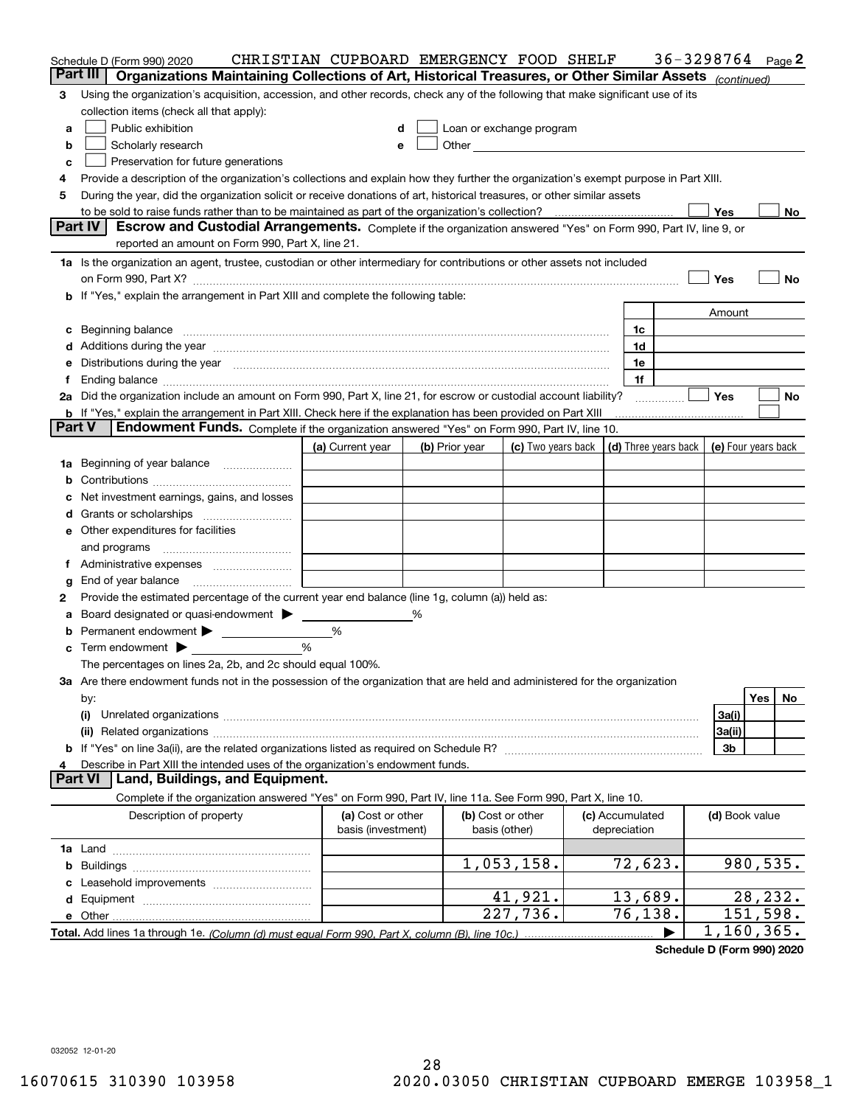|               | Schedule D (Form 990) 2020                                                                                                                                                                                                     | CHRISTIAN CUPBOARD EMERGENCY FOOD SHELF |   |                                    |                                                                             |                                 | 36-3298764 |                | Page 2     |
|---------------|--------------------------------------------------------------------------------------------------------------------------------------------------------------------------------------------------------------------------------|-----------------------------------------|---|------------------------------------|-----------------------------------------------------------------------------|---------------------------------|------------|----------------|------------|
|               | Part III<br>Organizations Maintaining Collections of Art, Historical Treasures, or Other Similar Assets (continued)                                                                                                            |                                         |   |                                    |                                                                             |                                 |            |                |            |
| 3             | Using the organization's acquisition, accession, and other records, check any of the following that make significant use of its                                                                                                |                                         |   |                                    |                                                                             |                                 |            |                |            |
|               | collection items (check all that apply):                                                                                                                                                                                       |                                         |   |                                    |                                                                             |                                 |            |                |            |
| а             | Public exhibition                                                                                                                                                                                                              |                                         | d | Loan or exchange program           |                                                                             |                                 |            |                |            |
| b             | Scholarly research                                                                                                                                                                                                             | e                                       |   |                                    |                                                                             |                                 |            |                |            |
| c             | Preservation for future generations                                                                                                                                                                                            |                                         |   |                                    |                                                                             |                                 |            |                |            |
| 4             | Provide a description of the organization's collections and explain how they further the organization's exempt purpose in Part XIII.                                                                                           |                                         |   |                                    |                                                                             |                                 |            |                |            |
| 5             | During the year, did the organization solicit or receive donations of art, historical treasures, or other similar assets                                                                                                       |                                         |   |                                    |                                                                             |                                 |            |                |            |
|               |                                                                                                                                                                                                                                |                                         |   |                                    |                                                                             |                                 |            | Yes            | No l       |
|               | Part IV<br>Escrow and Custodial Arrangements. Complete if the organization answered "Yes" on Form 990, Part IV, line 9, or                                                                                                     |                                         |   |                                    |                                                                             |                                 |            |                |            |
|               | reported an amount on Form 990, Part X, line 21.                                                                                                                                                                               |                                         |   |                                    |                                                                             |                                 |            |                |            |
|               | 1a Is the organization an agent, trustee, custodian or other intermediary for contributions or other assets not included                                                                                                       |                                         |   |                                    |                                                                             |                                 |            |                |            |
|               |                                                                                                                                                                                                                                |                                         |   |                                    |                                                                             |                                 |            | Yes            | No         |
|               | <b>b</b> If "Yes," explain the arrangement in Part XIII and complete the following table:                                                                                                                                      |                                         |   |                                    |                                                                             |                                 |            |                |            |
|               |                                                                                                                                                                                                                                |                                         |   |                                    |                                                                             |                                 |            | Amount         |            |
|               | c Beginning balance measurements and the contract of the contract of the contract of the contract of the contract of the contract of the contract of the contract of the contract of the contract of the contract of the contr |                                         |   |                                    |                                                                             | 1c<br>1d                        |            |                |            |
|               |                                                                                                                                                                                                                                |                                         |   |                                    |                                                                             | 1e                              |            |                |            |
|               | e Distributions during the year manufactured and an intervention of the year manufactured by the state of the state of the state of the state of the state of the state of the state of the state of the state of the state of |                                         |   |                                    |                                                                             | 1f                              |            |                |            |
|               | 2a Did the organization include an amount on Form 990, Part X, line 21, for escrow or custodial account liability?                                                                                                             |                                         |   |                                    |                                                                             |                                 |            | <b>Yes</b>     | No         |
|               | <b>b</b> If "Yes," explain the arrangement in Part XIII. Check here if the explanation has been provided on Part XIII                                                                                                          |                                         |   |                                    |                                                                             |                                 |            |                |            |
| <b>Part V</b> | Endowment Funds. Complete if the organization answered "Yes" on Form 990, Part IV, line 10.                                                                                                                                    |                                         |   |                                    |                                                                             |                                 |            |                |            |
|               |                                                                                                                                                                                                                                | (a) Current year                        |   | (b) Prior year                     | (c) Two years back $\vert$ (d) Three years back $\vert$ (e) Four years back |                                 |            |                |            |
|               | 1a Beginning of year balance                                                                                                                                                                                                   |                                         |   |                                    |                                                                             |                                 |            |                |            |
| b             |                                                                                                                                                                                                                                |                                         |   |                                    |                                                                             |                                 |            |                |            |
| c             | Net investment earnings, gains, and losses                                                                                                                                                                                     |                                         |   |                                    |                                                                             |                                 |            |                |            |
|               |                                                                                                                                                                                                                                |                                         |   |                                    |                                                                             |                                 |            |                |            |
|               | <b>e</b> Other expenditures for facilities                                                                                                                                                                                     |                                         |   |                                    |                                                                             |                                 |            |                |            |
|               |                                                                                                                                                                                                                                |                                         |   |                                    |                                                                             |                                 |            |                |            |
|               |                                                                                                                                                                                                                                |                                         |   |                                    |                                                                             |                                 |            |                |            |
| g             | End of year balance                                                                                                                                                                                                            |                                         |   |                                    |                                                                             |                                 |            |                |            |
| 2             | Provide the estimated percentage of the current year end balance (line 1g, column (a)) held as:                                                                                                                                |                                         |   |                                    |                                                                             |                                 |            |                |            |
| а             | Board designated or quasi-endowment > _____                                                                                                                                                                                    |                                         | ℅ |                                    |                                                                             |                                 |            |                |            |
|               | <b>b</b> Permanent endowment <b>D</b>                                                                                                                                                                                          | %                                       |   |                                    |                                                                             |                                 |            |                |            |
|               | $\mathbf c$ Term endowment $\blacktriangleright$                                                                                                                                                                               | $\frac{9}{6}$                           |   |                                    |                                                                             |                                 |            |                |            |
|               | The percentages on lines 2a, 2b, and 2c should equal 100%.                                                                                                                                                                     |                                         |   |                                    |                                                                             |                                 |            |                |            |
|               | 3a Are there endowment funds not in the possession of the organization that are held and administered for the organization                                                                                                     |                                         |   |                                    |                                                                             |                                 |            |                |            |
|               | by:                                                                                                                                                                                                                            |                                         |   |                                    |                                                                             |                                 |            |                | Yes<br>No  |
|               | (i)                                                                                                                                                                                                                            |                                         |   |                                    |                                                                             |                                 |            | 3a(i)          |            |
|               |                                                                                                                                                                                                                                |                                         |   |                                    |                                                                             |                                 |            | 3a(ii)         |            |
|               |                                                                                                                                                                                                                                |                                         |   |                                    |                                                                             |                                 |            | 3b             |            |
| 4             | Describe in Part XIII the intended uses of the organization's endowment funds.<br>Land, Buildings, and Equipment.<br><b>Part VI</b>                                                                                            |                                         |   |                                    |                                                                             |                                 |            |                |            |
|               | Complete if the organization answered "Yes" on Form 990, Part IV, line 11a. See Form 990, Part X, line 10.                                                                                                                     |                                         |   |                                    |                                                                             |                                 |            |                |            |
|               | Description of property                                                                                                                                                                                                        |                                         |   |                                    |                                                                             |                                 |            |                |            |
|               |                                                                                                                                                                                                                                | (a) Cost or other<br>basis (investment) |   | (b) Cost or other<br>basis (other) |                                                                             | (c) Accumulated<br>depreciation |            | (d) Book value |            |
|               |                                                                                                                                                                                                                                |                                         |   |                                    |                                                                             |                                 |            |                |            |
|               |                                                                                                                                                                                                                                |                                         |   |                                    | 1,053,158.                                                                  | 72,623.                         |            |                | 980,535.   |
|               |                                                                                                                                                                                                                                |                                         |   |                                    |                                                                             |                                 |            |                |            |
|               |                                                                                                                                                                                                                                |                                         |   |                                    | 41,921.                                                                     | 13,689.                         |            |                | 28,232.    |
|               |                                                                                                                                                                                                                                |                                         |   |                                    | 227,736.                                                                    | 76,138.                         |            |                | 151,598.   |
|               |                                                                                                                                                                                                                                |                                         |   |                                    |                                                                             |                                 |            |                | 1,160,365. |

**Schedule D (Form 990) 2020**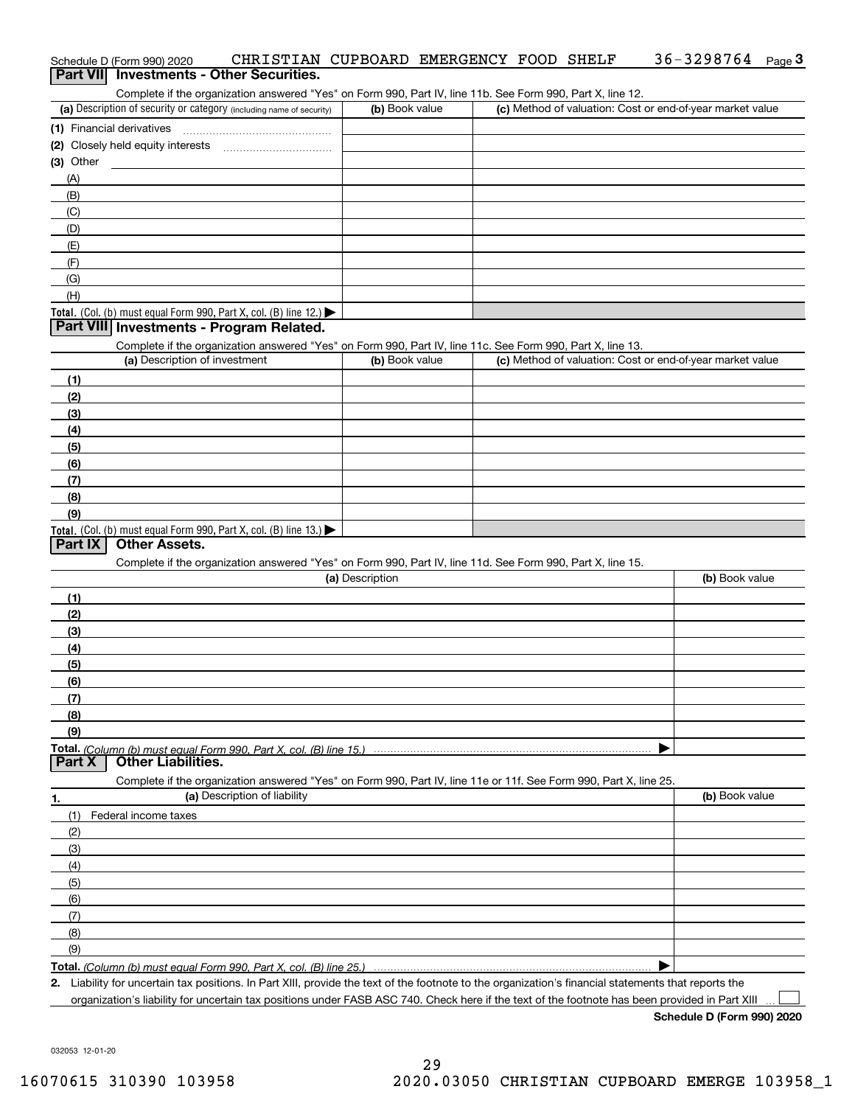| Schedule D (Form 990) 2020               |  | CHRISTIAN CUPBOARD EMERGENCY FOOD SHELF |  | $36 - 3298764$ Page 3 |  |
|------------------------------------------|--|-----------------------------------------|--|-----------------------|--|
| Part VII Investments - Other Securities. |  |                                         |  |                       |  |

Complete if the organization answered "Yes" on Form 990, Part IV, line 11b. See Form 990, Part X, line 12.

| (a) Description of security or category (including name of security)                      | (b) Book value | (c) Method of valuation: Cost or end-of-year market value |
|-------------------------------------------------------------------------------------------|----------------|-----------------------------------------------------------|
| (1) Financial derivatives                                                                 |                |                                                           |
| (2) Closely held equity interests                                                         |                |                                                           |
| $(3)$ Other                                                                               |                |                                                           |
| (A)                                                                                       |                |                                                           |
| (B)                                                                                       |                |                                                           |
| (C)                                                                                       |                |                                                           |
| (D)                                                                                       |                |                                                           |
| (E)                                                                                       |                |                                                           |
| (F)                                                                                       |                |                                                           |
| (G)                                                                                       |                |                                                           |
| (H)                                                                                       |                |                                                           |
| Total. (Col. (b) must equal Form 990, Part X, col. (B) line $12$ .) $\blacktriangleright$ |                |                                                           |

### **Part VIII Investments - Program Related.**

Complete if the organization answered "Yes" on Form 990, Part IV, line 11c. See Form 990, Part X, line 13.

| (a) Description of investment                                       | (b) Book value | (c) Method of valuation: Cost or end-of-year market value |
|---------------------------------------------------------------------|----------------|-----------------------------------------------------------|
| (1)                                                                 |                |                                                           |
| (2)                                                                 |                |                                                           |
| $\frac{1}{2}$                                                       |                |                                                           |
| (4)                                                                 |                |                                                           |
| $\left(5\right)$                                                    |                |                                                           |
| (6)                                                                 |                |                                                           |
| (7)                                                                 |                |                                                           |
| (8)                                                                 |                |                                                           |
| (9)                                                                 |                |                                                           |
| Total. (Col. (b) must equal Form 990, Part X, col. (B) line $13.$ ) |                |                                                           |

## **Part IX Other Assets.**

Complete if the organization answered "Yes" on Form 990, Part IV, line 11d. See Form 990, Part X, line 15.

| (a) Description                                                                                                   | (b) Book value |
|-------------------------------------------------------------------------------------------------------------------|----------------|
| (1)                                                                                                               |                |
| (2)                                                                                                               |                |
| $\frac{1}{2}$                                                                                                     |                |
| (4)                                                                                                               |                |
| (5)                                                                                                               |                |
| (6)                                                                                                               |                |
|                                                                                                                   |                |
| (8)                                                                                                               |                |
| (9)                                                                                                               |                |
|                                                                                                                   |                |
| Part X<br><b>Other Liabilities.</b>                                                                               |                |
| Complete if the organization answered "Yes" on Form 990, Part IV, line 11e or 11f. See Form 990, Part X, line 25. |                |

| 1.                  | (a) Description of liability | (b) Book value |
|---------------------|------------------------------|----------------|
|                     | (1) Federal income taxes     |                |
| (2)                 |                              |                |
| $\qquad \qquad (3)$ |                              |                |
| (4)                 |                              |                |
| $\frac{1}{2}$ (5)   |                              |                |
| (6)                 |                              |                |
| (7)                 |                              |                |
| (8)                 |                              |                |
| (9)                 |                              |                |
|                     |                              |                |

*(Column (b) must equal Form 990, Part X, col. (B) line 25.)* 

**2.**Liability for uncertain tax positions. In Part XIII, provide the text of the footnote to the organization's financial statements that reports the organization's liability for uncertain tax positions under FASB ASC 740. Check here if the text of the footnote has been provided in Part XIII

**Schedule D (Form 990) 2020**

 $\mathcal{L}^{\text{max}}$ 

032053 12-01-20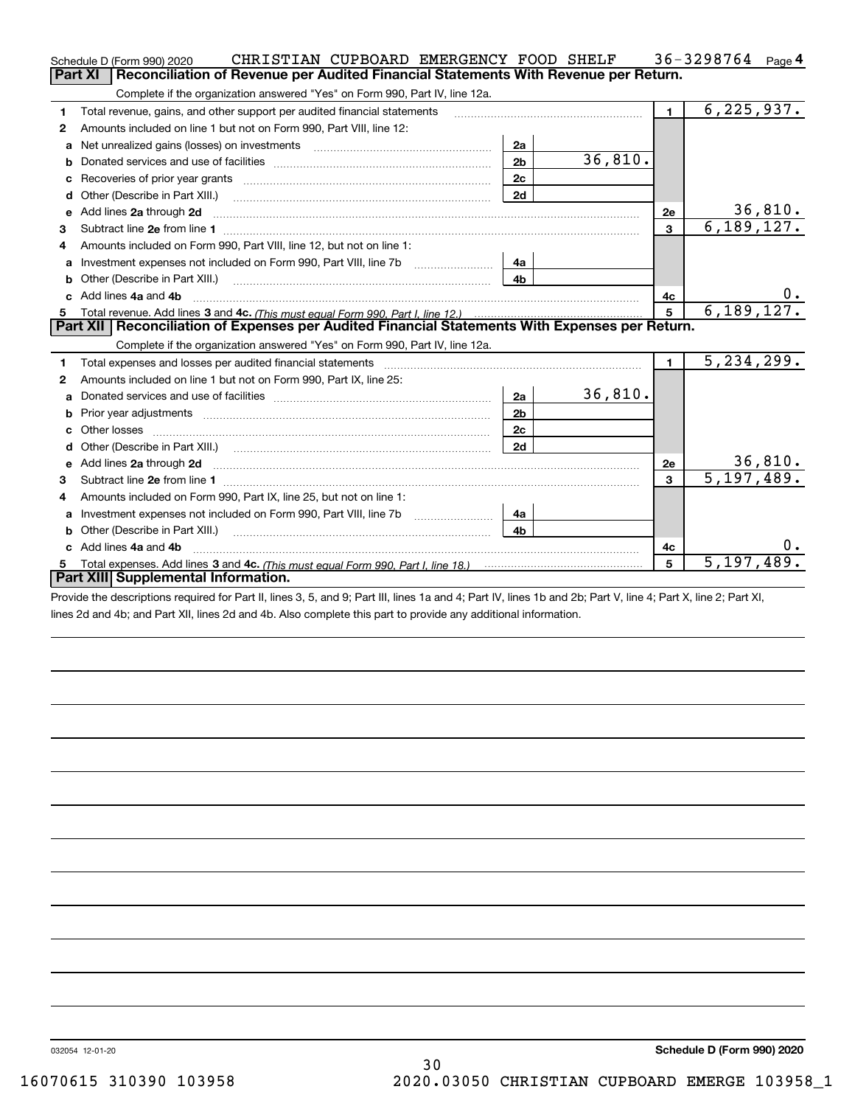|    | CHRISTIAN CUPBOARD EMERGENCY FOOD SHELF<br>Schedule D (Form 990) 2020                                                  |                |         |                 | 36-3298764 $_{Page 4}$   |
|----|------------------------------------------------------------------------------------------------------------------------|----------------|---------|-----------------|--------------------------|
|    | Reconciliation of Revenue per Audited Financial Statements With Revenue per Return.<br>Part XI                         |                |         |                 |                          |
|    | Complete if the organization answered "Yes" on Form 990, Part IV, line 12a.                                            |                |         |                 |                          |
| 1  | Total revenue, gains, and other support per audited financial statements                                               |                |         | $\blacksquare$  | $\overline{6,225,937.}$  |
| 2  | Amounts included on line 1 but not on Form 990, Part VIII, line 12:                                                    |                |         |                 |                          |
| a  |                                                                                                                        | 2a             |         |                 |                          |
|    |                                                                                                                        | 2 <sub>b</sub> | 36,810. |                 |                          |
|    |                                                                                                                        | 2c             |         |                 |                          |
| d  | Other (Describe in Part XIII.) <b>Construction Construction</b> Chern Construction Chern Chern Chern Chern Chern Chern | 2d             |         |                 |                          |
| е  | Add lines 2a through 2d                                                                                                |                |         | <b>2e</b>       | <u>36,810.</u>           |
| 3  |                                                                                                                        |                |         | 3               | 6, 189, 127.             |
| 4  | Amounts included on Form 990, Part VIII, line 12, but not on line 1:                                                   |                |         |                 |                          |
| a  |                                                                                                                        | 4a             |         |                 |                          |
|    |                                                                                                                        | 4b             |         |                 |                          |
|    | c Add lines 4a and 4b                                                                                                  |                |         | 4c              |                          |
|    |                                                                                                                        |                |         | $5\phantom{.0}$ | 6, 189, 127.             |
|    |                                                                                                                        |                |         |                 |                          |
|    | Part XII   Reconciliation of Expenses per Audited Financial Statements With Expenses per Return.                       |                |         |                 |                          |
|    | Complete if the organization answered "Yes" on Form 990, Part IV, line 12a.                                            |                |         |                 |                          |
| 1  | Total expenses and losses per audited financial statements                                                             |                |         | $\blacksquare$  | 5, 234, 299.             |
| 2  | Amounts included on line 1 but not on Form 990, Part IX, line 25:                                                      |                |         |                 |                          |
| a  |                                                                                                                        | 2a             | 36,810. |                 |                          |
| b  |                                                                                                                        | 2 <sub>b</sub> |         |                 |                          |
| c. | Other losses                                                                                                           | 2 <sub>c</sub> |         |                 |                          |
| d  | Other (Describe in Part XIII.) <b>Construction Construction</b> Chern Construction Chern Chern Chern Chern Chern Chern | 2d             |         |                 |                          |
|    |                                                                                                                        |                |         | 2e              | 36,810.                  |
| з  | Subtract line 2e from line 1 <b>manufacture in the contract of the 2e</b> from line 1                                  |                |         | 3               | 5, 197, 489.             |
| 4  | Amounts included on Form 990, Part IX, line 25, but not on line 1:                                                     |                |         |                 |                          |
| a  | Investment expenses not included on Form 990, Part VIII, line 7b [1000000000000000000000000000000000                   | 4a             |         |                 |                          |
| b  | Other (Describe in Part XIII.)                                                                                         | 4 <sub>b</sub> |         |                 |                          |
|    | Add lines 4a and 4b                                                                                                    |                |         | 4c              | $0$ .                    |
| 5  | Part XIII Supplemental Information.                                                                                    |                |         | 5               | $\overline{5,197,489}$ . |

Provide the descriptions required for Part II, lines 3, 5, and 9; Part III, lines 1a and 4; Part IV, lines 1b and 2b; Part V, line 4; Part X, line 2; Part XI, lines 2d and 4b; and Part XII, lines 2d and 4b. Also complete this part to provide any additional information.

032054 12-01-20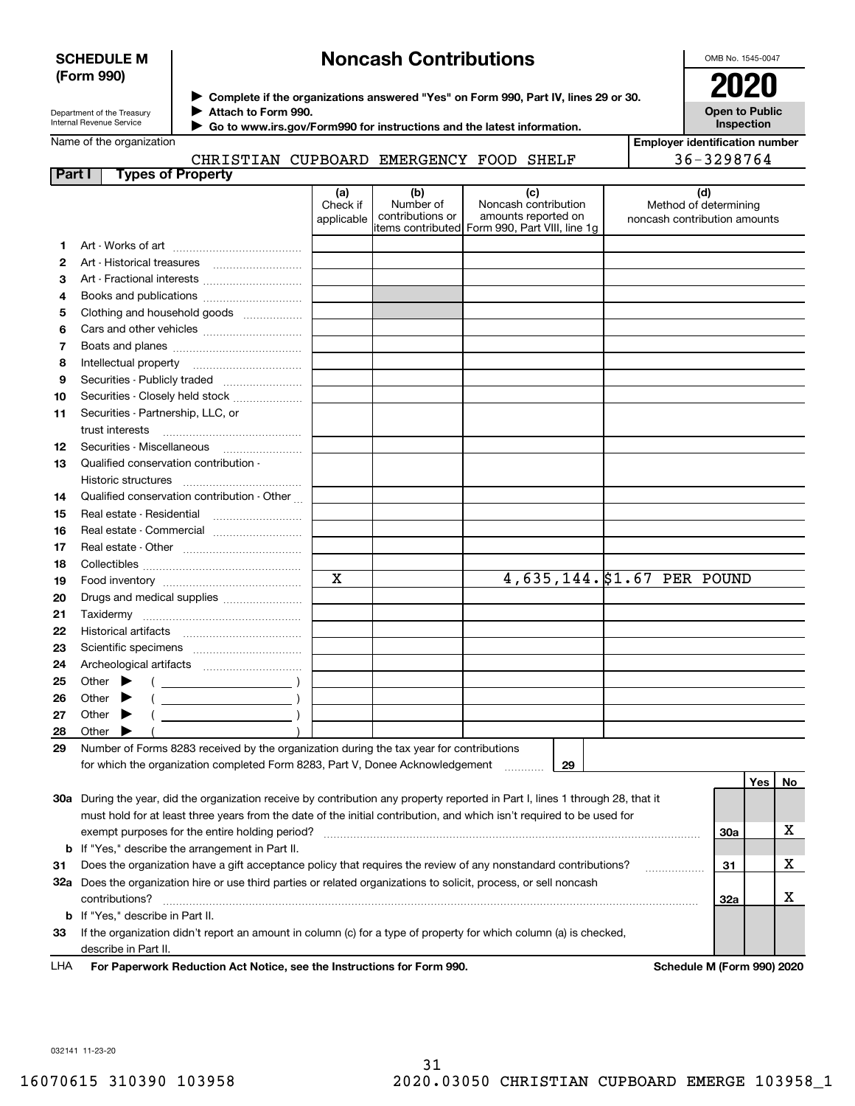### **SCHEDULE M (Form 990)**

## **Noncash Contributions**

OMB No. 1545-0047

| Department of the Treasury |
|----------------------------|
| Internal Revenue Service   |

**Complete if the organizations answered "Yes" on Form 990, Part IV, lines 29 or 30.** <sup>J</sup>**2020 Attach to Form 990.** J

**Open to Public Inspection**

**Employer identification number**

36-3298764

| Name of the organization |  |
|--------------------------|--|
|--------------------------|--|

 **Go to www.irs.gov/Form990 for instructions and the latest information.** J

## CHRISTIAN CUPBOARD EMERGENCY FOOD SHELF

| Part I |       | <b>Types of Property</b>                                                                                                       |                               |                                      |                                                                                                      |                                                              |     |     |    |
|--------|-------|--------------------------------------------------------------------------------------------------------------------------------|-------------------------------|--------------------------------------|------------------------------------------------------------------------------------------------------|--------------------------------------------------------------|-----|-----|----|
|        |       |                                                                                                                                | (a)<br>Check if<br>applicable | (b)<br>Number of<br>contributions or | (c)<br>Noncash contribution<br>amounts reported on<br>items contributed Form 990, Part VIII, line 1q | (d)<br>Method of determining<br>noncash contribution amounts |     |     |    |
| 1.     |       |                                                                                                                                |                               |                                      |                                                                                                      |                                                              |     |     |    |
| 2      |       |                                                                                                                                |                               |                                      |                                                                                                      |                                                              |     |     |    |
| з      |       | Art - Fractional interests                                                                                                     |                               |                                      |                                                                                                      |                                                              |     |     |    |
| 4      |       |                                                                                                                                |                               |                                      |                                                                                                      |                                                              |     |     |    |
|        |       |                                                                                                                                |                               |                                      |                                                                                                      |                                                              |     |     |    |
| 5      |       | Clothing and household goods                                                                                                   |                               |                                      |                                                                                                      |                                                              |     |     |    |
| 6      |       |                                                                                                                                |                               |                                      |                                                                                                      |                                                              |     |     |    |
| 7      |       |                                                                                                                                |                               |                                      |                                                                                                      |                                                              |     |     |    |
| 8      |       | Intellectual property                                                                                                          |                               |                                      |                                                                                                      |                                                              |     |     |    |
| 9      |       | Securities - Publicly traded                                                                                                   |                               |                                      |                                                                                                      |                                                              |     |     |    |
| 10     |       | Securities - Closely held stock                                                                                                |                               |                                      |                                                                                                      |                                                              |     |     |    |
| 11     |       | Securities - Partnership, LLC, or                                                                                              |                               |                                      |                                                                                                      |                                                              |     |     |    |
|        |       | trust interests                                                                                                                |                               |                                      |                                                                                                      |                                                              |     |     |    |
| 12     |       |                                                                                                                                |                               |                                      |                                                                                                      |                                                              |     |     |    |
| 13     |       | Qualified conservation contribution -                                                                                          |                               |                                      |                                                                                                      |                                                              |     |     |    |
|        |       | Historic structures                                                                                                            |                               |                                      |                                                                                                      |                                                              |     |     |    |
| 14     |       | Qualified conservation contribution - Other                                                                                    |                               |                                      |                                                                                                      |                                                              |     |     |    |
| 15     |       | Real estate - Residential                                                                                                      |                               |                                      |                                                                                                      |                                                              |     |     |    |
| 16     |       | Real estate - Commercial                                                                                                       |                               |                                      |                                                                                                      |                                                              |     |     |    |
| 17     |       |                                                                                                                                |                               |                                      |                                                                                                      |                                                              |     |     |    |
| 18     |       |                                                                                                                                |                               |                                      |                                                                                                      |                                                              |     |     |    |
| 19     |       |                                                                                                                                | $\mathbf X$                   |                                      |                                                                                                      | 4,635,144. \$1.67 PER POUND                                  |     |     |    |
| 20     |       |                                                                                                                                |                               |                                      |                                                                                                      |                                                              |     |     |    |
| 21     |       |                                                                                                                                |                               |                                      |                                                                                                      |                                                              |     |     |    |
| 22     |       |                                                                                                                                |                               |                                      |                                                                                                      |                                                              |     |     |    |
| 23     |       |                                                                                                                                |                               |                                      |                                                                                                      |                                                              |     |     |    |
| 24     |       |                                                                                                                                |                               |                                      |                                                                                                      |                                                              |     |     |    |
| 25     |       | Other $\blacktriangleright$                                                                                                    |                               |                                      |                                                                                                      |                                                              |     |     |    |
| 26     | Other |                                                                                                                                |                               |                                      |                                                                                                      |                                                              |     |     |    |
| 27     | Other | ▸                                                                                                                              |                               |                                      |                                                                                                      |                                                              |     |     |    |
| 28     |       | Other $\blacktriangleright$                                                                                                    |                               |                                      |                                                                                                      |                                                              |     |     |    |
| 29     |       | Number of Forms 8283 received by the organization during the tax year for contributions                                        |                               |                                      |                                                                                                      |                                                              |     |     |    |
|        |       | for which the organization completed Form 8283, Part V, Donee Acknowledgement                                                  |                               |                                      | 29<br>1.1.1.1.1.1.1.1.1                                                                              |                                                              |     |     |    |
|        |       | 30a During the year, did the organization receive by contribution any property reported in Part I, lines 1 through 28, that it |                               |                                      |                                                                                                      |                                                              |     | Yes | No |
|        |       | must hold for at least three years from the date of the initial contribution, and which isn't required to be used for          |                               |                                      |                                                                                                      |                                                              |     |     |    |
|        |       | exempt purposes for the entire holding period?                                                                                 |                               |                                      |                                                                                                      |                                                              | 30a |     | х  |
|        |       | <b>b</b> If "Yes," describe the arrangement in Part II.                                                                        |                               |                                      |                                                                                                      |                                                              |     |     |    |
| 31     |       | Does the organization have a gift acceptance policy that requires the review of any nonstandard contributions?                 |                               |                                      |                                                                                                      |                                                              | 31  |     | x  |
|        |       | 32a Does the organization hire or use third parties or related organizations to solicit, process, or sell noncash              |                               |                                      |                                                                                                      | .                                                            |     |     |    |
|        |       |                                                                                                                                |                               |                                      |                                                                                                      |                                                              |     |     |    |

contributions? ~~~~~~~~~~~~~~~~~~~~~~~~~~~~~~~~~~~~~~~~~~~~~~~~~~~~~~

**33**If the organization didn't report an amount in column (c) for a type of property for which column (a) is checked, describe in Part II.

**b**If "Yes," describe in Part II.

**For Paperwork Reduction Act Notice, see the Instructions for Form 990. Schedule M (Form 990) 2020** LHA

**32a**

X

032141 11-23-20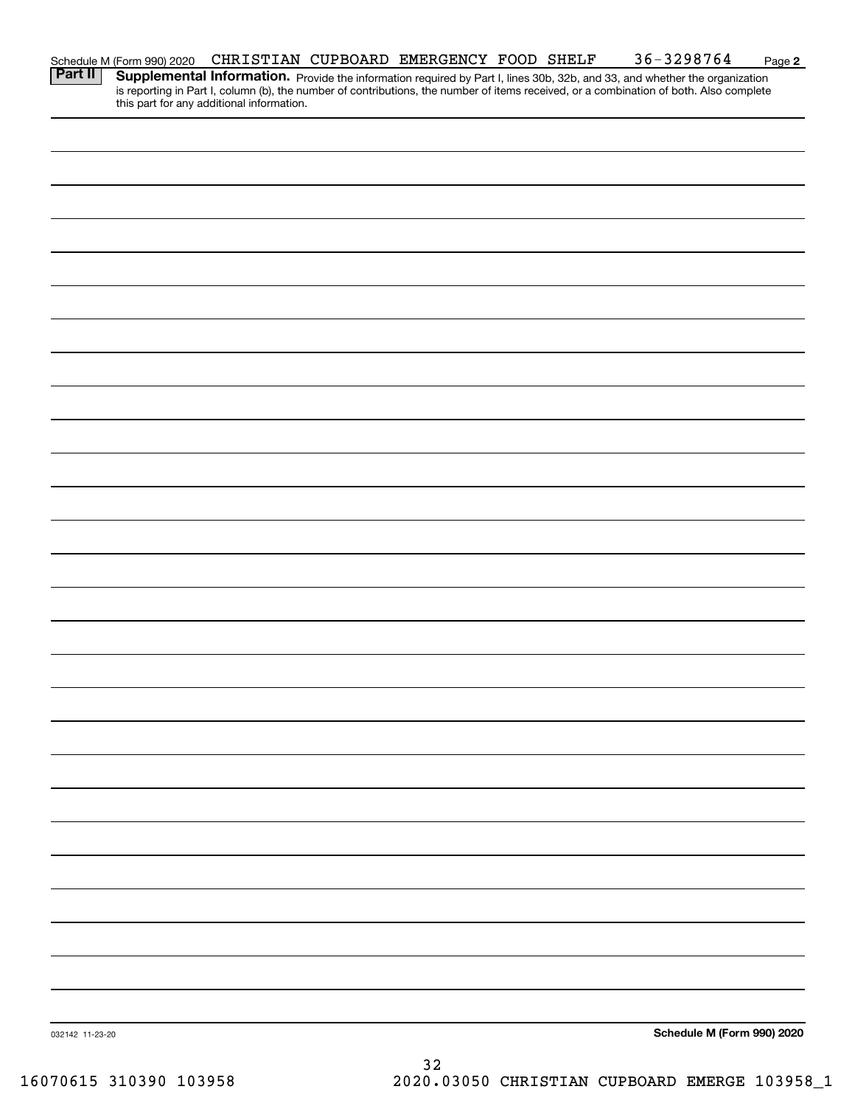|                 | Schedule M (Form 990) 2020<br><b>Part II</b>   Supplementa |                                           | CHRISTIAN CUPBOARD EMERGENCY FOOD SHELF |  | $36 - 3298764$                                                                                                                                                                                                                      | Page 2 |
|-----------------|------------------------------------------------------------|-------------------------------------------|-----------------------------------------|--|-------------------------------------------------------------------------------------------------------------------------------------------------------------------------------------------------------------------------------------|--------|
|                 |                                                            | this part for any additional information. |                                         |  | <b>Supplemental Information.</b> Provide the information required by Part I, lines 30b, 32b, and 33, and whether the organization is reporting in Part I, column (b), the number of contributions, the number of items received, or |        |
|                 |                                                            |                                           |                                         |  |                                                                                                                                                                                                                                     |        |
|                 |                                                            |                                           |                                         |  |                                                                                                                                                                                                                                     |        |
|                 |                                                            |                                           |                                         |  |                                                                                                                                                                                                                                     |        |
|                 |                                                            |                                           |                                         |  |                                                                                                                                                                                                                                     |        |
|                 |                                                            |                                           |                                         |  |                                                                                                                                                                                                                                     |        |
|                 |                                                            |                                           |                                         |  |                                                                                                                                                                                                                                     |        |
|                 |                                                            |                                           |                                         |  |                                                                                                                                                                                                                                     |        |
|                 |                                                            |                                           |                                         |  |                                                                                                                                                                                                                                     |        |
|                 |                                                            |                                           |                                         |  |                                                                                                                                                                                                                                     |        |
|                 |                                                            |                                           |                                         |  |                                                                                                                                                                                                                                     |        |
|                 |                                                            |                                           |                                         |  |                                                                                                                                                                                                                                     |        |
|                 |                                                            |                                           |                                         |  |                                                                                                                                                                                                                                     |        |
|                 |                                                            |                                           |                                         |  |                                                                                                                                                                                                                                     |        |
|                 |                                                            |                                           |                                         |  |                                                                                                                                                                                                                                     |        |
|                 |                                                            |                                           |                                         |  |                                                                                                                                                                                                                                     |        |
|                 |                                                            |                                           |                                         |  |                                                                                                                                                                                                                                     |        |
|                 |                                                            |                                           |                                         |  |                                                                                                                                                                                                                                     |        |
|                 |                                                            |                                           |                                         |  |                                                                                                                                                                                                                                     |        |
|                 |                                                            |                                           |                                         |  |                                                                                                                                                                                                                                     |        |
|                 |                                                            |                                           |                                         |  |                                                                                                                                                                                                                                     |        |
|                 |                                                            |                                           |                                         |  |                                                                                                                                                                                                                                     |        |
|                 |                                                            |                                           |                                         |  |                                                                                                                                                                                                                                     |        |
|                 |                                                            |                                           |                                         |  |                                                                                                                                                                                                                                     |        |
|                 |                                                            |                                           |                                         |  |                                                                                                                                                                                                                                     |        |
|                 |                                                            |                                           |                                         |  |                                                                                                                                                                                                                                     |        |
|                 |                                                            |                                           |                                         |  |                                                                                                                                                                                                                                     |        |
|                 |                                                            |                                           |                                         |  |                                                                                                                                                                                                                                     |        |
| 032142 11-23-20 |                                                            |                                           |                                         |  | Schedule M (Form 990) 2020                                                                                                                                                                                                          |        |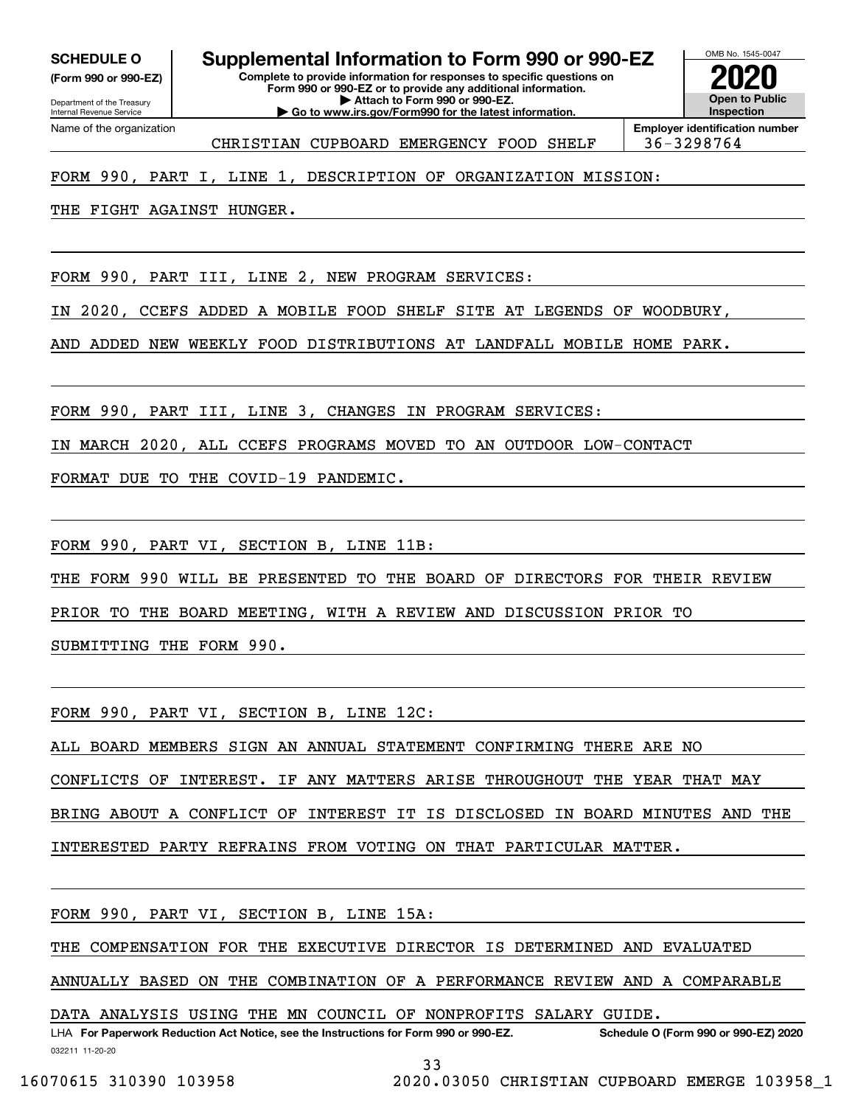**(Form 990 or 990-EZ)**

Department of the Treasury Internal Revenue Service Name of the organization

OMB No. 1545-0047 **Complete to provide information for responses to specific questions on Form 990 or 990-EZ or to provide any additional information. SCHEDULE O Supplemental Information to Form 990 or 990-EZ**

**Open to Public Inspection2020**

CHRISTIAN CUPBOARD EMERGENCY FOOD SHELF | 36-3298764

**| Attach to Form 990 or 990-EZ. | Go to www.irs.gov/Form990 for the latest information.**

**Employer identification number**

## FORM 990, PART I, LINE 1, DESCRIPTION OF ORGANIZATION MISSION:

THE FIGHT AGAINST HUNGER.

FORM 990, PART III, LINE 2, NEW PROGRAM SERVICES:

IN 2020, CCEFS ADDED A MOBILE FOOD SHELF SITE AT LEGENDS OF WOODBURY,

AND ADDED NEW WEEKLY FOOD DISTRIBUTIONS AT LANDFALL MOBILE HOME PARK.

FORM 990, PART III, LINE 3, CHANGES IN PROGRAM SERVICES:

IN MARCH 2020, ALL CCEFS PROGRAMS MOVED TO AN OUTDOOR LOW-CONTACT

FORMAT DUE TO THE COVID-19 PANDEMIC.

FORM 990, PART VI, SECTION B, LINE 11B:

THE FORM 990 WILL BE PRESENTED TO THE BOARD OF DIRECTORS FOR THEIR REVIEW

PRIOR TO THE BOARD MEETING, WITH A REVIEW AND DISCUSSION PRIOR TO

SUBMITTING THE FORM 990.

FORM 990, PART VI, SECTION B, LINE 12C:

ALL BOARD MEMBERS SIGN AN ANNUAL STATEMENT CONFIRMING THERE ARE NO

CONFLICTS OF INTEREST. IF ANY MATTERS ARISE THROUGHOUT THE YEAR THAT MAY

BRING ABOUT A CONFLICT OF INTEREST IT IS DISCLOSED IN BOARD MINUTES AND THE

INTERESTED PARTY REFRAINS FROM VOTING ON THAT PARTICULAR MATTER.

FORM 990, PART VI, SECTION B, LINE 15A:

THE COMPENSATION FOR THE EXECUTIVE DIRECTOR IS DETERMINED AND EVALUATED

ANNUALLY BASED ON THE COMBINATION OF A PERFORMANCE REVIEW AND A COMPARABLE

DATA ANALYSIS USING THE MN COUNCIL OF NONPROFITS SALARY GUIDE.

032211 11-20-20 LHA For Paperwork Reduction Act Notice, see the Instructions for Form 990 or 990-EZ. Schedule O (Form 990 or 990-EZ) 2020

33